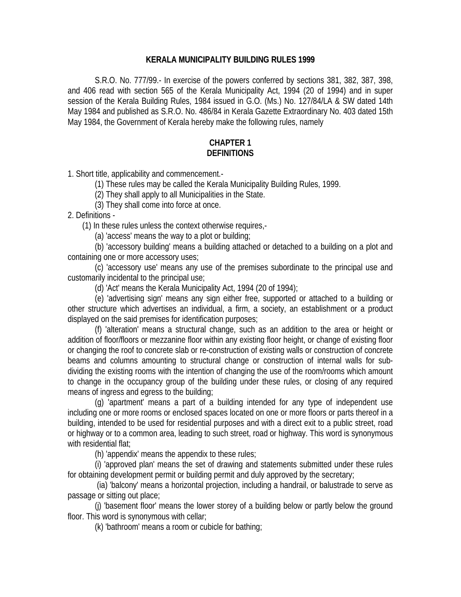### **KERALA MUNICIPALITY BUILDING RULES 1999**

S.R.O. No. 777/99.- In exercise of the powers conferred by sections 381, 382, 387, 398, and 406 read with section 565 of the Kerala Municipality Act, 1994 (20 of 1994) and in super session of the Kerala Building Rules, 1984 issued in G.O. (Ms.) No. 127/84/LA & SW dated 14th May 1984 and published as S.R.O. No. 486/84 in Kerala Gazette Extraordinary No. 403 dated 15th May 1984, the Government of Kerala hereby make the following rules, namely

## **CHAPTER 1 DEFINITIONS**

1. Short title, applicability and commencement.-

(1) These rules may be called the Kerala Municipality Building Rules, 1999.

(2) They shall apply to all Municipalities in the State.

(3) They shall come into force at once.

2. Definitions -

(1) In these rules unless the context otherwise requires,-

(a) 'access' means the way to a plot or building;

 (b) 'accessory building' means a building attached or detached to a building on a plot and containing one or more accessory uses;

 (c) 'accessory use' means any use of the premises subordinate to the principal use and customarily incidental to the principal use;

(d) 'Act' means the Kerala Municipality Act, 1994 (20 of 1994);

(e) 'advertising sign' means any sign either free, supported or attached to a building or other structure which advertises an individual, a firm, a society, an establishment or a product displayed on the said premises for identification purposes;

(f) 'alteration' means a structural change, such as an addition to the area or height or addition of floor/floors or mezzanine floor within any existing floor height, or change of existing floor or changing the roof to concrete slab or re-construction of existing walls or construction of concrete beams and columns amounting to structural change or construction of internal walls for subdividing the existing rooms with the intention of changing the use of the room/rooms which amount to change in the occupancy group of the building under these rules, or closing of any required means of ingress and egress to the building;

(g) 'apartment' means a part of a building intended for any type of independent use including one or more rooms or enclosed spaces located on one or more floors or parts thereof in a building, intended to be used for residential purposes and with a direct exit to a public street, road or highway or to a common area, leading to such street, road or highway. This word is synonymous with residential flat;

(h) 'appendix' means the appendix to these rules;

(i) 'approved plan' means the set of drawing and statements submitted under these rules for obtaining development permit or building permit and duly approved by the secretary;

 (ia) 'balcony' means a horizontal projection, including a handrail, or balustrade to serve as passage or sitting out place;

(j) 'basement floor' means the lower storey of a building below or partly below the ground floor. This word is synonymous with cellar;

(k) 'bathroom' means a room or cubicle for bathing;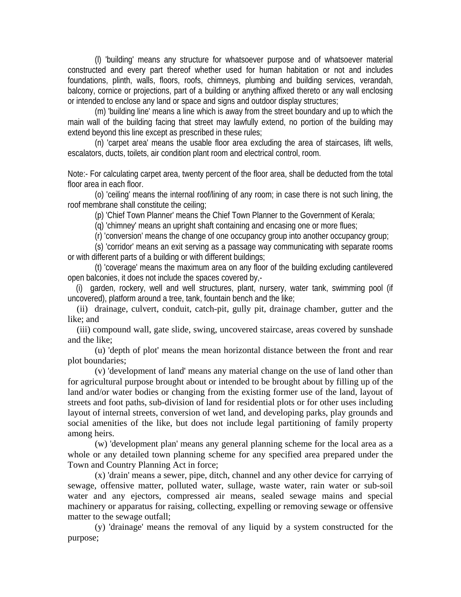(l) 'building' means any structure for whatsoever purpose and of whatsoever material constructed and every part thereof whether used for human habitation or not and includes foundations, plinth, walls, floors, roofs, chimneys, plumbing and building services, verandah, balcony, cornice or projections, part of a building or anything affixed thereto or any wall enclosing or intended to enclose any land or space and signs and outdoor display structures;

(m) 'building line' means a line which is away from the street boundary and up to which the main wall of the building facing that street may lawfully extend, no portion of the building may extend beyond this line except as prescribed in these rules;

(n) 'carpet area' means the usable floor area excluding the area of staircases, lift wells, escalators, ducts, toilets, air condition plant room and electrical control, room.

Note:- For calculating carpet area, twenty percent of the floor area, shall be deducted from the total floor area in each floor.

(o) 'ceiling' means the internal roof/lining of any room; in case there is not such lining, the roof membrane shall constitute the ceiling;

(p) 'Chief Town Planner' means the Chief Town Planner to the Government of Kerala;

(q) 'chimney' means an upright shaft containing and encasing one or more flues;

(r) 'conversion' means the change of one occupancy group into another occupancy group;

(s) 'corridor' means an exit serving as a passage way communicating with separate rooms or with different parts of a building or with different buildings;

(t) 'coverage' means the maximum area on any floor of the building excluding cantilevered open balconies, it does not include the spaces covered by,-

 (i) garden, rockery, well and well structures, plant, nursery, water tank, swimming pool (if uncovered), platform around a tree, tank, fountain bench and the like;

 (ii) drainage, culvert, conduit, catch-pit, gully pit, drainage chamber, gutter and the like; and

 (iii) compound wall, gate slide, swing, uncovered staircase, areas covered by sunshade and the like;

 (u) 'depth of plot' means the mean horizontal distance between the front and rear plot boundaries;

 (v) 'development of land' means any material change on the use of land other than for agricultural purpose brought about or intended to be brought about by filling up of the land and/or water bodies or changing from the existing former use of the land, layout of streets and foot paths, sub-division of land for residential plots or for other uses including layout of internal streets, conversion of wet land, and developing parks, play grounds and social amenities of the like, but does not include legal partitioning of family property among heirs.

 (w) 'development plan' means any general planning scheme for the local area as a whole or any detailed town planning scheme for any specified area prepared under the Town and Country Planning Act in force;

 (x) 'drain' means a sewer, pipe, ditch, channel and any other device for carrying of sewage, offensive matter, polluted water, sullage, waste water, rain water or sub-soil water and any ejectors, compressed air means, sealed sewage mains and special machinery or apparatus for raising, collecting, expelling or removing sewage or offensive matter to the sewage outfall;

 (y) 'drainage' means the removal of any liquid by a system constructed for the purpose;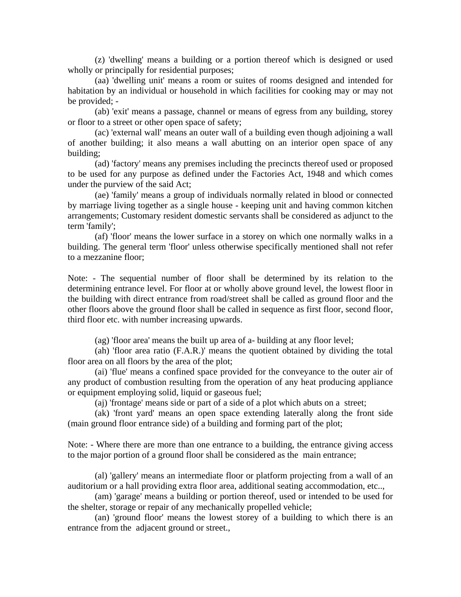(z) 'dwelling' means a building or a portion thereof which is designed or used wholly or principally for residential purposes;

 (aa) 'dwelling unit' means a room or suites of rooms designed and intended for habitation by an individual or household in which facilities for cooking may or may not be provided; -

 (ab) 'exit' means a passage, channel or means of egress from any building, storey or floor to a street or other open space of safety;

 (ac) 'external wall' means an outer wall of a building even though adjoining a wall of another building; it also means a wall abutting on an interior open space of any building;

 (ad) 'factory' means any premises including the precincts thereof used or proposed to be used for any purpose as defined under the Factories Act, 1948 and which comes under the purview of the said Act;

 (ae) 'family' means a group of individuals normally related in blood or connected by marriage living together as a single house - keeping unit and having common kitchen arrangements; Customary resident domestic servants shall be considered as adjunct to the term 'family';

 (af) 'floor' means the lower surface in a storey on which one normally walks in a building. The general term 'floor' unless otherwise specifically mentioned shall not refer to a mezzanine floor;

Note: - The sequential number of floor shall be determined by its relation to the determining entrance level. For floor at or wholly above ground level, the lowest floor in the building with direct entrance from road/street shall be called as ground floor and the other floors above the ground floor shall be called in sequence as first floor, second floor, third floor etc. with number increasing upwards.

(ag) 'floor area' means the built up area of a- building at any floor level;

 (ah) 'floor area ratio (F.A.R.)' means the quotient obtained by dividing the total floor area on all floors by the area of the plot;

 (ai) 'flue' means a confined space provided for the conveyance to the outer air of any product of combustion resulting from the operation of any heat producing appliance or equipment employing solid, liquid or gaseous fuel;

(aj) 'frontage' means side or part of a side of a plot which abuts on a street;

 (ak) 'front yard' means an open space extending laterally along the front side (main ground floor entrance side) of a building and forming part of the plot;

Note: - Where there are more than one entrance to a building, the entrance giving access to the major portion of a ground floor shall be considered as the main entrance;

 (al) 'gallery' means an intermediate floor or platform projecting from a wall of an auditorium or a hall providing extra floor area, additional seating accommodation, etc..,

 (am) 'garage' means a building or portion thereof, used or intended to be used for the shelter, storage or repair of any mechanically propelled vehicle;

 (an) 'ground floor' means the lowest storey of a building to which there is an entrance from the adjacent ground or street.,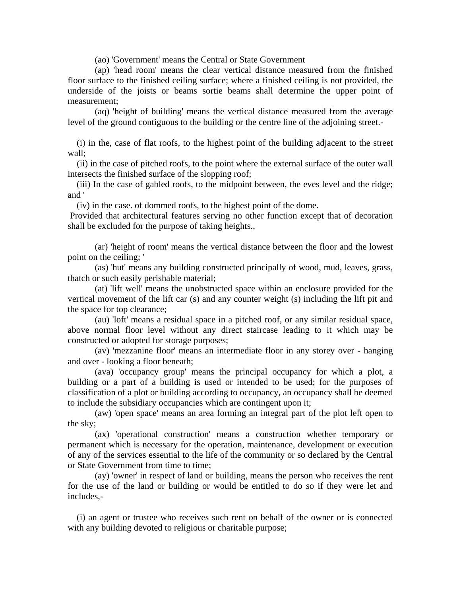(ao) 'Government' means the Central or State Government

 (ap) 'head room' means the clear vertical distance measured from the finished floor surface to the finished ceiling surface; where a finished ceiling is not provided, the underside of the joists or beams sortie beams shall determine the upper point of measurement;

 (aq) 'height of building' means the vertical distance measured from the average level of the ground contiguous to the building or the centre line of the adjoining street.-

 (i) in the, case of flat roofs, to the highest point of the building adjacent to the street wall;

 (ii) in the case of pitched roofs, to the point where the external surface of the outer wall intersects the finished surface of the slopping roof;

 (iii) In the case of gabled roofs, to the midpoint between, the eves level and the ridge; and '

(iv) in the case. of dommed roofs, to the highest point of the dome.

 Provided that architectural features serving no other function except that of decoration shall be excluded for the purpose of taking heights.,

 (ar) 'height of room' means the vertical distance between the floor and the lowest point on the ceiling; '

 (as) 'hut' means any building constructed principally of wood, mud, leaves, grass, thatch or such easily perishable material;

 (at) 'lift well' means the unobstructed space within an enclosure provided for the vertical movement of the lift car (s) and any counter weight (s) including the lift pit and the space for top clearance;

 (au) 'loft' means a residual space in a pitched roof, or any similar residual space, above normal floor level without any direct staircase leading to it which may be constructed or adopted for storage purposes;

 (av) 'mezzanine floor' means an intermediate floor in any storey over - hanging and over - looking a floor beneath;

 (ava) 'occupancy group' means the principal occupancy for which a plot, a building or a part of a building is used or intended to be used; for the purposes of classification of a plot or building according to occupancy, an occupancy shall be deemed to include the subsidiary occupancies which are contingent upon it;

 (aw) 'open space' means an area forming an integral part of the plot left open to the sky;

 (ax) 'operational construction' means a construction whether temporary or permanent which is necessary for the operation, maintenance, development or execution of any of the services essential to the life of the community or so declared by the Central or State Government from time to time;

 (ay) 'owner' in respect of land or building, means the person who receives the rent for the use of the land or building or would be entitled to do so if they were let and includes,-

 (i) an agent or trustee who receives such rent on behalf of the owner or is connected with any building devoted to religious or charitable purpose;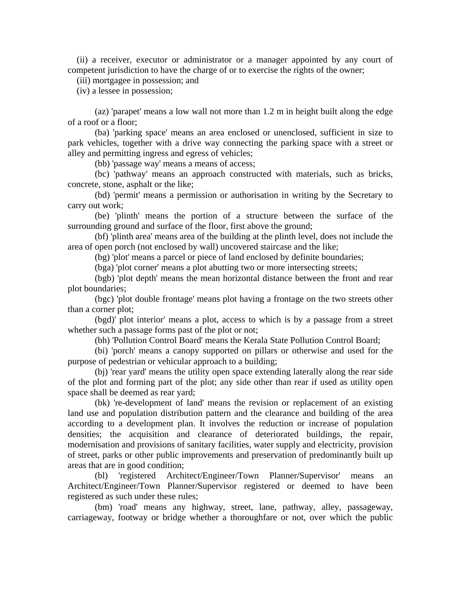(ii) a receiver, executor or administrator or a manager appointed by any court of competent jurisdiction to have the charge of or to exercise the rights of the owner;

(iii) mortgagee in possession; and

(iv) a lessee in possession;

 (az) 'parapet' means a low wall not more than 1.2 m in height built along the edge of a roof or a floor;

 (ba) 'parking space' means an area enclosed or unenclosed, sufficient in size to park vehicles, together with a drive way connecting the parking space with a street or alley and permitting ingress and egress of vehicles;

(bb) 'passage way' means a means of access;

 (bc) 'pathway' means an approach constructed with materials, such as bricks, concrete, stone, asphalt or the like;

 (bd) 'permit' means a permission or authorisation in writing by the Secretary to carry out work;

 (be) 'plinth' means the portion of a structure between the surface of the surrounding ground and surface of the floor, first above the ground;

 (bf) 'plinth area' means area of the building at the plinth level, does not include the area of open porch (not enclosed by wall) uncovered staircase and the like;

(bg) 'plot' means a parcel or piece of land enclosed by definite boundaries;

(bga) 'plot corner' means a plot abutting two or more intersecting streets;

 (bgb) 'plot depth' means the mean horizontal distance between the front and rear plot boundaries;

 (bgc) 'plot double frontage' means plot having a frontage on the two streets other than a corner plot;

 (bgd)' plot interior' means a plot, access to which is by a passage from a street whether such a passage forms past of the plot or not;

(bh) 'Pollution Control Board' means the Kerala State Pollution Control Board;

 (bi) 'porch' means a canopy supported on pillars or otherwise and used for the purpose of pedestrian or vehicular approach to a building;

 (bj) 'rear yard' means the utility open space extending laterally along the rear side of the plot and forming part of the plot; any side other than rear if used as utility open space shall be deemed as rear yard;

 (bk) 're-development of land' means the revision or replacement of an existing land use and population distribution pattern and the clearance and building of the area according to a development plan. It involves the reduction or increase of population densities; the acquisition and clearance of deteriorated buildings, the repair, modernisation and provisions of sanitary facilities, water supply and electricity, provision of street, parks or other public improvements and preservation of predominantly built up areas that are in good condition;

 (bl) 'registered Architect/Engineer/Town Planner/Supervisor' means an Architect/Engineer/Town Planner/Supervisor registered or deemed to have been registered as such under these rules;

 (bm) 'road' means any highway, street, lane, pathway, alley, passageway, carriageway, footway or bridge whether a thoroughfare or not, over which the public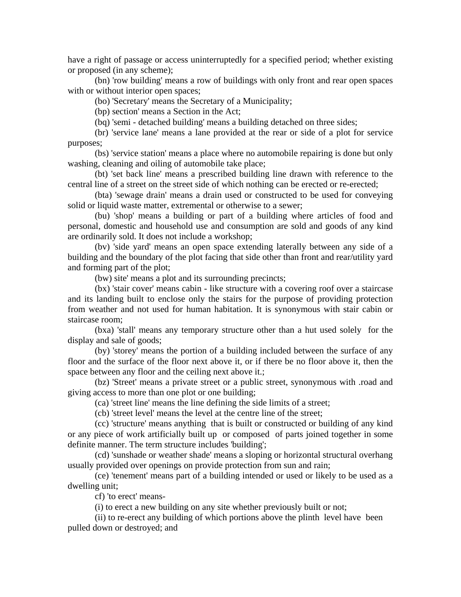have a right of passage or access uninterruptedly for a specified period; whether existing or proposed (in any scheme);

 (bn) 'row building' means a row of buildings with only front and rear open spaces with or without interior open spaces;

(bo) 'Secretary' means the Secretary of a Municipality;

(bp) section' means a Section in the Act;

(bq) 'semi - detached building' means a building detached on three sides;

 (br) 'service lane' means a lane provided at the rear or side of a plot for service purposes;

 (bs) 'service station' means a place where no automobile repairing is done but only washing, cleaning and oiling of automobile take place;

 (bt) 'set back line' means a prescribed building line drawn with reference to the central line of a street on the street side of which nothing can be erected or re-erected;

 (bta) 'sewage drain' means a drain used or constructed to be used for conveying solid or liquid waste matter, extremental or otherwise to a sewer;

 (bu) 'shop' means a building or part of a building where articles of food and personal, domestic and household use and consumption are sold and goods of any kind are ordinarily sold. It does not include a workshop;

 (bv) 'side yard' means an open space extending laterally between any side of a building and the boundary of the plot facing that side other than front and rear/utility yard and forming part of the plot;

(bw) site' means a plot and its surrounding precincts;

 (bx) 'stair cover' means cabin - like structure with a covering roof over a staircase and its landing built to enclose only the stairs for the purpose of providing protection from weather and not used for human habitation. It is synonymous with stair cabin or staircase room;

 (bxa) 'stall' means any temporary structure other than a hut used solely for the display and sale of goods;

 (by) 'storey' means the portion of a building included between the surface of any floor and the surface of the floor next above it, or if there be no floor above it, then the space between any floor and the ceiling next above it.;

 (bz) 'Street' means a private street or a public street, synonymous with .road and giving access to more than one plot or one building;

(ca) 'street line' means the line defining the side limits of a street;

(cb) 'street level' means the level at the centre line of the street;

 (cc) 'structure' means anything that is built or constructed or building of any kind or any piece of work artificially built up or composed of parts joined together in some definite manner. The term structure includes 'building';

 (cd) 'sunshade or weather shade' means a sloping or horizontal structural overhang usually provided over openings on provide protection from sun and rain;

 (ce) 'tenement' means part of a building intended or used or likely to be used as a dwelling unit;

cf) 'to erect' means-

(i) to erect a new building on any site whether previously built or not;

 (ii) to re-erect any building of which portions above the plinth level have been pulled down or destroyed; and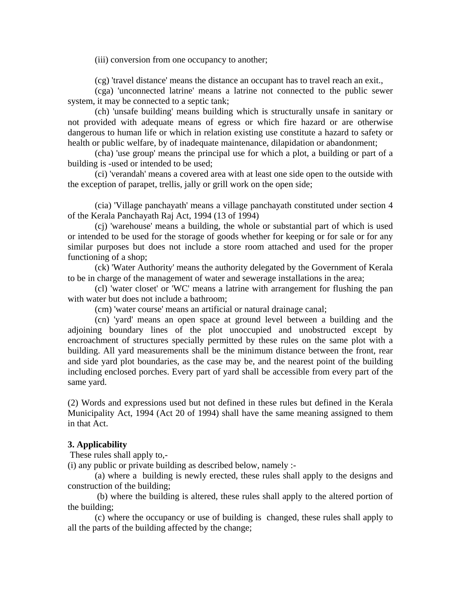(iii) conversion from one occupancy to another;

(cg) 'travel distance' means the distance an occupant has to travel reach an exit.,

 (cga) 'unconnected latrine' means a latrine not connected to the public sewer system, it may be connected to a septic tank;

 (ch) 'unsafe building' means building which is structurally unsafe in sanitary or not provided with adequate means of egress or which fire hazard or are otherwise dangerous to human life or which in relation existing use constitute a hazard to safety or health or public welfare, by of inadequate maintenance, dilapidation or abandonment;

 (cha) 'use group' means the principal use for which a plot, a building or part of a building is -used or intended to be used;

 (ci) 'verandah' means a covered area with at least one side open to the outside with the exception of parapet, trellis, jally or grill work on the open side;

 (cia) 'Village panchayath' means a village panchayath constituted under section 4 of the Kerala Panchayath Raj Act, 1994 (13 of 1994)

 (cj) 'warehouse' means a building, the whole or substantial part of which is used or intended to be used for the storage of goods whether for keeping or for sale or for any similar purposes but does not include a store room attached and used for the proper functioning of a shop;

 (ck) 'Water Authority' means the authority delegated by the Government of Kerala to be in charge of the management of water and sewerage installations in the area;

 (cl) 'water closet' or 'WC' means a latrine with arrangement for flushing the pan with water but does not include a bathroom:

(cm) 'water course' means an artificial or natural drainage canal;

 (cn) 'yard' means an open space at ground level between a building and the adjoining boundary lines of the plot unoccupied and unobstructed except by encroachment of structures specially permitted by these rules on the same plot with a building. All yard measurements shall be the minimum distance between the front, rear and side yard plot boundaries, as the case may be, and the nearest point of the building including enclosed porches. Every part of yard shall be accessible from every part of the same yard.

(2) Words and expressions used but not defined in these rules but defined in the Kerala Municipality Act, 1994 (Act 20 of 1994) shall have the same meaning assigned to them in that Act.

#### **3. Applicability**

These rules shall apply to,-

(i) any public or private building as described below, namely :-

 (a) where a building is newly erected, these rules shall apply to the designs and construction of the building;

 (b) where the building is altered, these rules shall apply to the altered portion of the building;

 (c) where the occupancy or use of building is changed, these rules shall apply to all the parts of the building affected by the change;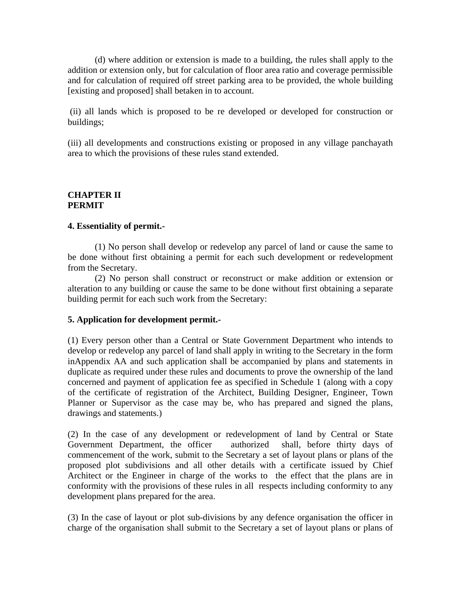(d) where addition or extension is made to a building, the rules shall apply to the addition or extension only, but for calculation of floor area ratio and coverage permissible and for calculation of required off street parking area to be provided, the whole building [existing and proposed] shall betaken in to account.

 (ii) all lands which is proposed to be re developed or developed for construction or buildings;

(iii) all developments and constructions existing or proposed in any village panchayath area to which the provisions of these rules stand extended.

#### **CHAPTER II PERMIT**

#### **4. Essentiality of permit.-**

 (1) No person shall develop or redevelop any parcel of land or cause the same to be done without first obtaining a permit for each such development or redevelopment from the Secretary.

 (2) No person shall construct or reconstruct or make addition or extension or alteration to any building or cause the same to be done without first obtaining a separate building permit for each such work from the Secretary:

### **5. Application for development permit.-**

(1) Every person other than a Central or State Government Department who intends to develop or redevelop any parcel of land shall apply in writing to the Secretary in the form inAppendix AA and such application shall be accompanied by plans and statements in duplicate as required under these rules and documents to prove the ownership of the land concerned and payment of application fee as specified in Schedule 1 (along with a copy of the certificate of registration of the Architect, Building Designer, Engineer, Town Planner or Supervisor as the case may be, who has prepared and signed the plans, drawings and statements.)

(2) In the case of any development or redevelopment of land by Central or State Government Department, the officer authorized shall, before thirty days of commencement of the work, submit to the Secretary a set of layout plans or plans of the proposed plot subdivisions and all other details with a certificate issued by Chief Architect or the Engineer in charge of the works to the effect that the plans are in conformity with the provisions of these rules in all respects including conformity to any development plans prepared for the area.

(3) In the case of layout or plot sub-divisions by any defence organisation the officer in charge of the organisation shall submit to the Secretary a set of layout plans or plans of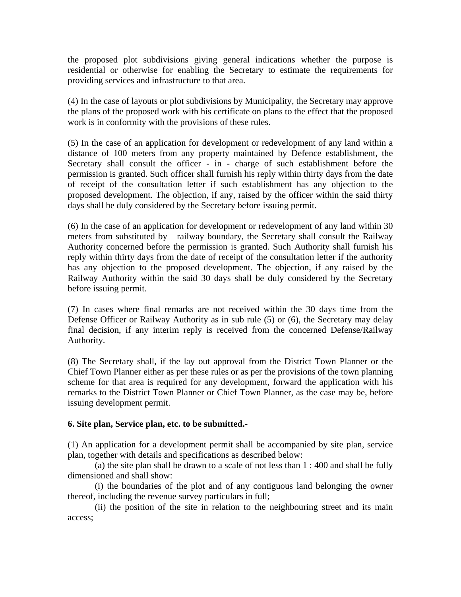the proposed plot subdivisions giving general indications whether the purpose is residential or otherwise for enabling the Secretary to estimate the requirements for providing services and infrastructure to that area.

(4) In the case of layouts or plot subdivisions by Municipality, the Secretary may approve the plans of the proposed work with his certificate on plans to the effect that the proposed work is in conformity with the provisions of these rules.

(5) In the case of an application for development or redevelopment of any land within a distance of 100 meters from any property maintained by Defence establishment, the Secretary shall consult the officer - in - charge of such establishment before the permission is granted. Such officer shall furnish his reply within thirty days from the date of receipt of the consultation letter if such establishment has any objection to the proposed development. The objection, if any, raised by the officer within the said thirty days shall be duly considered by the Secretary before issuing permit.

(6) In the case of an application for development or redevelopment of any land within 30 meters from substituted by railway boundary, the Secretary shall consult the Railway Authority concerned before the permission is granted. Such Authority shall furnish his reply within thirty days from the date of receipt of the consultation letter if the authority has any objection to the proposed development. The objection, if any raised by the Railway Authority within the said 30 days shall be duly considered by the Secretary before issuing permit.

(7) In cases where final remarks are not received within the 30 days time from the Defense Officer or Railway Authority as in sub rule (5) or (6), the Secretary may delay final decision, if any interim reply is received from the concerned Defense/Railway Authority.

(8) The Secretary shall, if the lay out approval from the District Town Planner or the Chief Town Planner either as per these rules or as per the provisions of the town planning scheme for that area is required for any development, forward the application with his remarks to the District Town Planner or Chief Town Planner, as the case may be, before issuing development permit.

# **6. Site plan, Service plan, etc. to be submitted.-**

(1) An application for a development permit shall be accompanied by site plan, service plan, together with details and specifications as described below:

 (a) the site plan shall be drawn to a scale of not less than 1 : 400 and shall be fully dimensioned and shall show:

 (i) the boundaries of the plot and of any contiguous land belonging the owner thereof, including the revenue survey particulars in full;

 (ii) the position of the site in relation to the neighbouring street and its main access;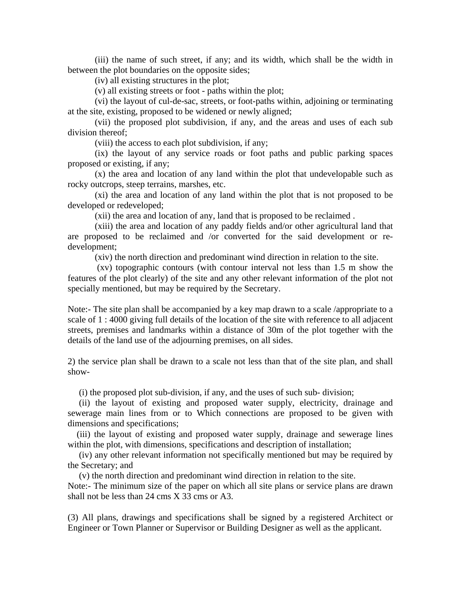(iii) the name of such street, if any; and its width, which shall be the width in between the plot boundaries on the opposite sides;

(iv) all existing structures in the plot;

(v) all existing streets or foot - paths within the plot;

 (vi) the layout of cul-de-sac, streets, or foot-paths within, adjoining or terminating at the site, existing, proposed to be widened or newly aligned;

 (vii) the proposed plot subdivision, if any, and the areas and uses of each sub division thereof;

(viii) the access to each plot subdivision, if any;

 (ix) the layout of any service roads or foot paths and public parking spaces proposed or existing, if any;

 (x) the area and location of any land within the plot that undevelopable such as rocky outcrops, steep terrains, marshes, etc.

 (xi) the area and location of any land within the plot that is not proposed to be developed or redeveloped;

(xii) the area and location of any, land that is proposed to be reclaimed .

 (xiii) the area and location of any paddy fields and/or other agricultural land that are proposed to be reclaimed and /or converted for the said development or redevelopment;

(xiv) the north direction and predominant wind direction in relation to the site.

 (xv) topographic contours (with contour interval not less than 1.5 m show the features of the plot clearly) of the site and any other relevant information of the plot not specially mentioned, but may be required by the Secretary.

Note:- The site plan shall be accompanied by a key map drawn to a scale /appropriate to a scale of 1 : 4000 giving full details of the location of the site with reference to all adjacent streets, premises and landmarks within a distance of 30m of the plot together with the details of the land use of the adjourning premises, on all sides.

2) the service plan shall be drawn to a scale not less than that of the site plan, and shall show-

(i) the proposed plot sub-division, if any, and the uses of such sub- division;

 (ii) the layout of existing and proposed water supply, electricity, drainage and sewerage main lines from or to Which connections are proposed to be given with dimensions and specifications;

 (iii) the layout of existing and proposed water supply, drainage and sewerage lines within the plot, with dimensions, specifications and description of installation;

 (iv) any other relevant information not specifically mentioned but may be required by the Secretary; and

(v) the north direction and predominant wind direction in relation to the site.

Note:- The minimum size of the paper on which all site plans or service plans are drawn shall not be less than 24 cms X 33 cms or A3.

(3) All plans, drawings and specifications shall be signed by a registered Architect or Engineer or Town Planner or Supervisor or Building Designer as well as the applicant.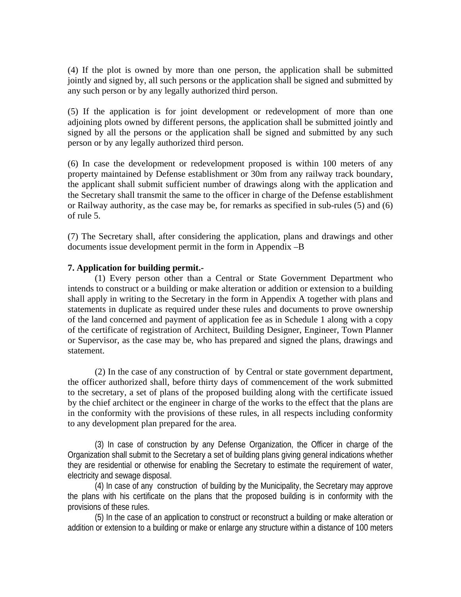(4) If the plot is owned by more than one person, the application shall be submitted jointly and signed by, all such persons or the application shall be signed and submitted by any such person or by any legally authorized third person.

(5) If the application is for joint development or redevelopment of more than one adjoining plots owned by different persons, the application shall be submitted jointly and signed by all the persons or the application shall be signed and submitted by any such person or by any legally authorized third person.

(6) In case the development or redevelopment proposed is within 100 meters of any property maintained by Defense establishment or 30m from any railway track boundary, the applicant shall submit sufficient number of drawings along with the application and the Secretary shall transmit the same to the officer in charge of the Defense establishment or Railway authority, as the case may be, for remarks as specified in sub-rules (5) and (6) of rule 5.

(7) The Secretary shall, after considering the application, plans and drawings and other documents issue development permit in the form in Appendix –B

## **7. Application for building permit.-**

 (1) Every person other than a Central or State Government Department who intends to construct or a building or make alteration or addition or extension to a building shall apply in writing to the Secretary in the form in Appendix A together with plans and statements in duplicate as required under these rules and documents to prove ownership of the land concerned and payment of application fee as in Schedule 1 along with a copy of the certificate of registration of Architect, Building Designer, Engineer, Town Planner or Supervisor, as the case may be, who has prepared and signed the plans, drawings and statement.

 (2) In the case of any construction of by Central or state government department, the officer authorized shall, before thirty days of commencement of the work submitted to the secretary, a set of plans of the proposed building along with the certificate issued by the chief architect or the engineer in charge of the works to the effect that the plans are in the conformity with the provisions of these rules, in all respects including conformity to any development plan prepared for the area.

(3) In case of construction by any Defense Organization, the Officer in charge of the Organization shall submit to the Secretary a set of building plans giving general indications whether they are residential or otherwise for enabling the Secretary to estimate the requirement of water, electricity and sewage disposal.

(4) In case of any construction of building by the Municipality, the Secretary may approve the plans with his certificate on the plans that the proposed building is in conformity with the provisions of these rules.

(5) In the case of an application to construct or reconstruct a building or make alteration or addition or extension to a building or make or enlarge any structure within a distance of 100 meters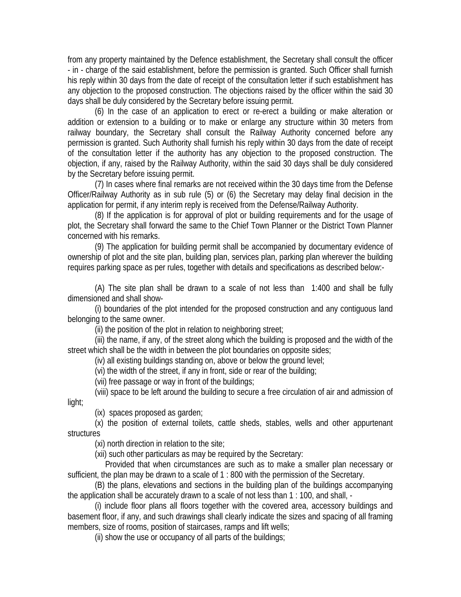from any property maintained by the Defence establishment, the Secretary shall consult the officer - in - charge of the said establishment, before the permission is granted. Such Officer shall furnish his reply within 30 days from the date of receipt of the consultation letter if such establishment has any objection to the proposed construction. The objections raised by the officer within the said 30 days shall be duly considered by the Secretary before issuing permit.

(6) In the case of an application to erect or re-erect a building or make alteration or addition or extension to a building or to make or enlarge any structure within 30 meters from railway boundary, the Secretary shall consult the Railway Authority concerned before any permission is granted. Such Authority shall furnish his reply within 30 days from the date of receipt of the consultation letter if the authority has any objection to the proposed construction. The objection, if any, raised by the Railway Authority, within the said 30 days shall be duly considered by the Secretary before issuing permit.

(7) In cases where final remarks are not received within the 30 days time from the Defense Officer/Railway Authority as in sub rule (5) or (6) the Secretary may delay final decision in the application for permit, if any interim reply is received from the Defense/Railway Authority.

(8) If the application is for approval of plot or building requirements and for the usage of plot, the Secretary shall forward the same to the Chief Town Planner or the District Town Planner concerned with his remarks.

(9) The application for building permit shall be accompanied by documentary evidence of ownership of plot and the site plan, building plan, services plan, parking plan wherever the building requires parking space as per rules, together with details and specifications as described below:-

(A) The site plan shall be drawn to a scale of not less than 1:400 and shall be fully dimensioned and shall show-

(i) boundaries of the plot intended for the proposed construction and any contiguous land belonging to the same owner.

(ii) the position of the plot in relation to neighboring street;

(iii) the name, if any, of the street along which the building is proposed and the width of the street which shall be the width in between the plot boundaries on opposite sides;

(iv) all existing buildings standing on, above or below the ground level;

(vi) the width of the street, if any in front, side or rear of the building;

(vii) free passage or way in front of the buildings;

(viii) space to be left around the building to secure a free circulation of air and admission of light;

(ix) spaces proposed as garden;

(x) the position of external toilets, cattle sheds, stables, wells and other appurtenant **structures** 

(xi) north direction in relation to the site;

(xii) such other particulars as may be required by the Secretary:

 Provided that when circumstances are such as to make a smaller plan necessary or sufficient, the plan may be drawn to a scale of 1 : 800 with the permission of the Secretary.

(B) the plans, elevations and sections in the building plan of the buildings accompanying the application shall be accurately drawn to a scale of not less than 1 : 100, and shall, -

(i) include floor plans all floors together with the covered area, accessory buildings and basement floor, if any, and such drawings shall clearly indicate the sizes and spacing of all framing members, size of rooms, position of staircases, ramps and lift wells;

(ii) show the use or occupancy of all parts of the buildings;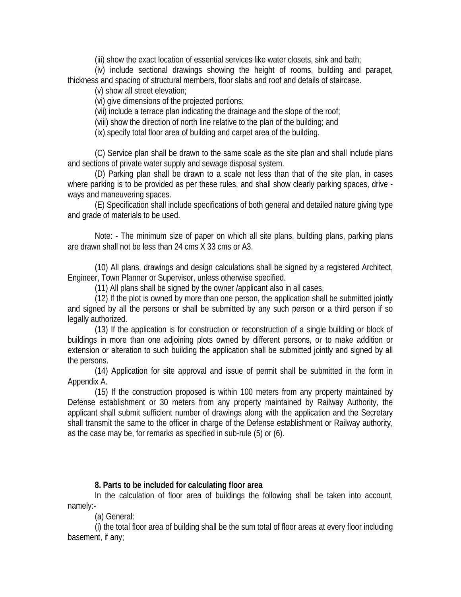(iii) show the exact location of essential services like water closets, sink and bath;

(iv) include sectional drawings showing the height of rooms, building and parapet, thickness and spacing of structural members, floor slabs and roof and details of staircase.

(v) show all street elevation;

(vi) give dimensions of the projected portions;

(vii) include a terrace plan indicating the drainage and the slope of the roof;

(viii) show the direction of north line relative to the plan of the building; and

(ix) specify total floor area of building and carpet area of the building.

(C) Service plan shall be drawn to the same scale as the site plan and shall include plans and sections of private water supply and sewage disposal system.

(D) Parking plan shall be drawn to a scale not less than that of the site plan, in cases where parking is to be provided as per these rules, and shall show clearly parking spaces, drive ways and maneuvering spaces.

(E) Specification shall include specifications of both general and detailed nature giving type and grade of materials to be used.

Note: - The minimum size of paper on which all site plans, building plans, parking plans are drawn shall not be less than 24 cms X 33 cms or A3.

(10) All plans, drawings and design calculations shall be signed by a registered Architect, Engineer, Town Planner or Supervisor, unless otherwise specified.

(11) All plans shall be signed by the owner /applicant also in all cases.

(12) If the plot is owned by more than one person, the application shall be submitted jointly and signed by all the persons or shall be submitted by any such person or a third person if so legally authorized.

(13) If the application is for construction or reconstruction of a single building or block of buildings in more than one adjoining plots owned by different persons, or to make addition or extension or alteration to such building the application shall be submitted jointly and signed by all the persons.

(14) Application for site approval and issue of permit shall be submitted in the form in Appendix A.

(15) If the construction proposed is within 100 meters from any property maintained by Defense establishment or 30 meters from any property maintained by Railway Authority, the applicant shall submit sufficient number of drawings along with the application and the Secretary shall transmit the same to the officer in charge of the Defense establishment or Railway authority, as the case may be, for remarks as specified in sub-rule (5) or (6).

# **8. Parts to be included for calculating floor area**

In the calculation of floor area of buildings the following shall be taken into account, namely:-

(a) General:

(i) the total floor area of building shall be the sum total of floor areas at every floor including basement, if any;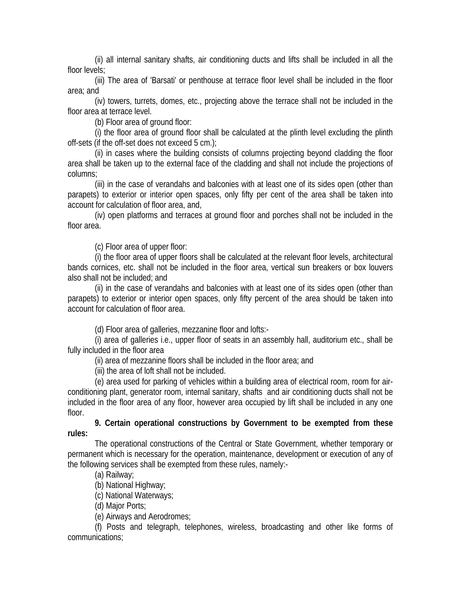(ii) all internal sanitary shafts, air conditioning ducts and lifts shall be included in all the floor levels;

(iii) The area of 'Barsati' or penthouse at terrace floor level shall be included in the floor area; and

(iv) towers, turrets, domes, etc., projecting above the terrace shall not be included in the floor area at terrace level.

(b) Floor area of ground floor:

(i) the floor area of ground floor shall be calculated at the plinth level excluding the plinth off-sets (if the off-set does not exceed 5 cm.);

(ii) in cases where the building consists of columns projecting beyond cladding the floor area shall be taken up to the external face of the cladding and shall not include the projections of columns;

(iii) in the case of verandahs and balconies with at least one of its sides open (other than parapets) to exterior or interior open spaces, only fifty per cent of the area shall be taken into account for calculation of floor area, and,

(iv) open platforms and terraces at ground floor and porches shall not be included in the floor area.

(c) Floor area of upper floor:

(i) the floor area of upper floors shall be calculated at the relevant floor levels, architectural bands cornices, etc. shall not be included in the floor area, vertical sun breakers or box louvers also shall not be included; and

(ii) in the case of verandahs and balconies with at least one of its sides open (other than parapets) to exterior or interior open spaces, only fifty percent of the area should be taken into account for calculation of floor area.

(d) Floor area of galleries, mezzanine floor and lofts:-

(i) area of galleries i.e., upper floor of seats in an assembly hall, auditorium etc., shall be fully included in the floor area

(ii) area of mezzanine floors shall be included in the floor area; and

(iii) the area of loft shall not be included.

(e) area used for parking of vehicles within a building area of electrical room, room for airconditioning plant, generator room, internal sanitary, shafts and air conditioning ducts shall not be included in the floor area of any floor, however area occupied by lift shall be included in any one floor.

**9. Certain operational constructions by Government to be exempted from these rules:**

The operational constructions of the Central or State Government, whether temporary or permanent which is necessary for the operation, maintenance, development or execution of any of the following services shall be exempted from these rules, namely:-

(a) Railway;

(b) National Highway;

(c) National Waterways;

(d) Major Ports;

(e) Airways and Aerodromes;

(f) Posts and telegraph, telephones, wireless, broadcasting and other like forms of communications;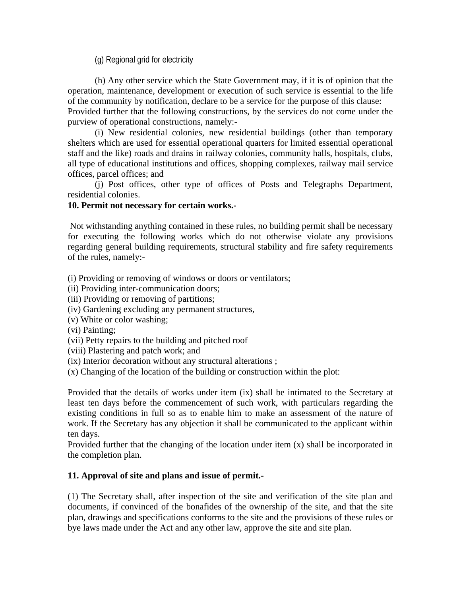(g) Regional grid for electricity

 (h) Any other service which the State Government may, if it is of opinion that the operation, maintenance, development or execution of such service is essential to the life of the community by notification, declare to be a service for the purpose of this clause: Provided further that the following constructions, by the services do not come under the purview of operational constructions, namely:-

 (i) New residential colonies, new residential buildings (other than temporary shelters which are used for essential operational quarters for limited essential operational staff and the like) roads and drains in railway colonies, community halls, hospitals, clubs, all type of educational institutions and offices, shopping complexes, railway mail service offices, parcel offices; and

 (j) Post offices, other type of offices of Posts and Telegraphs Department, residential colonies.

## **10. Permit not necessary for certain works.-**

 Not withstanding anything contained in these rules, no building permit shall be necessary for executing the following works which do not otherwise violate any provisions regarding general building requirements, structural stability and fire safety requirements of the rules, namely:-

(i) Providing or removing of windows or doors or ventilators;

- (ii) Providing inter-communication doors;
- (iii) Providing or removing of partitions;
- (iv) Gardening excluding any permanent structures,
- (v) White or color washing;
- (vi) Painting;
- (vii) Petty repairs to the building and pitched roof
- (viii) Plastering and patch work; and
- (ix) Interior decoration without any structural alterations ;
- (x) Changing of the location of the building or construction within the plot:

Provided that the details of works under item (ix) shall be intimated to the Secretary at least ten days before the commencement of such work, with particulars regarding the existing conditions in full so as to enable him to make an assessment of the nature of work. If the Secretary has any objection it shall be communicated to the applicant within ten days.

Provided further that the changing of the location under item (x) shall be incorporated in the completion plan.

# **11. Approval of site and plans and issue of permit.-**

(1) The Secretary shall, after inspection of the site and verification of the site plan and documents, if convinced of the bonafides of the ownership of the site, and that the site plan, drawings and specifications conforms to the site and the provisions of these rules or bye laws made under the Act and any other law, approve the site and site plan.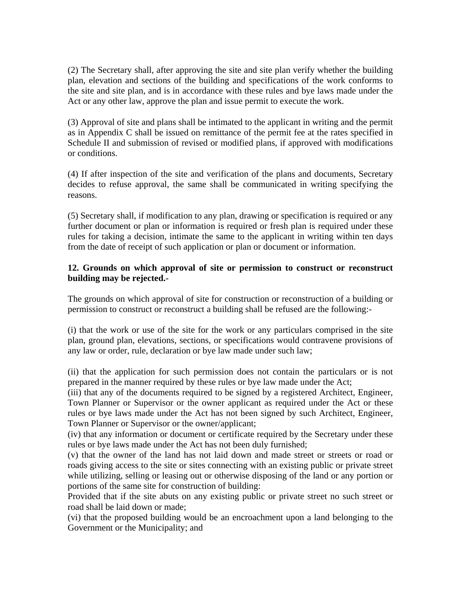(2) The Secretary shall, after approving the site and site plan verify whether the building plan, elevation and sections of the building and specifications of the work conforms to the site and site plan, and is in accordance with these rules and bye laws made under the Act or any other law, approve the plan and issue permit to execute the work.

(3) Approval of site and plans shall be intimated to the applicant in writing and the permit as in Appendix C shall be issued on remittance of the permit fee at the rates specified in Schedule II and submission of revised or modified plans, if approved with modifications or conditions.

(4) If after inspection of the site and verification of the plans and documents, Secretary decides to refuse approval, the same shall be communicated in writing specifying the reasons.

(5) Secretary shall, if modification to any plan, drawing or specification is required or any further document or plan or information is required or fresh plan is required under these rules for taking a decision, intimate the same to the applicant in writing within ten days from the date of receipt of such application or plan or document or information.

## **12. Grounds on which approval of site or permission to construct or reconstruct building may be rejected.-**

The grounds on which approval of site for construction or reconstruction of a building or permission to construct or reconstruct a building shall be refused are the following:-

(i) that the work or use of the site for the work or any particulars comprised in the site plan, ground plan, elevations, sections, or specifications would contravene provisions of any law or order, rule, declaration or bye law made under such law;

(ii) that the application for such permission does not contain the particulars or is not prepared in the manner required by these rules or bye law made under the Act;

(iii) that any of the documents required to be signed by a registered Architect, Engineer, Town Planner or Supervisor or the owner applicant as required under the Act or these rules or bye laws made under the Act has not been signed by such Architect, Engineer, Town Planner or Supervisor or the owner/applicant;

(iv) that any information or document or certificate required by the Secretary under these rules or bye laws made under the Act has not been duly furnished;

(v) that the owner of the land has not laid down and made street or streets or road or roads giving access to the site or sites connecting with an existing public or private street while utilizing, selling or leasing out or otherwise disposing of the land or any portion or portions of the same site for construction of building:

Provided that if the site abuts on any existing public or private street no such street or road shall be laid down or made;

(vi) that the proposed building would be an encroachment upon a land belonging to the Government or the Municipality; and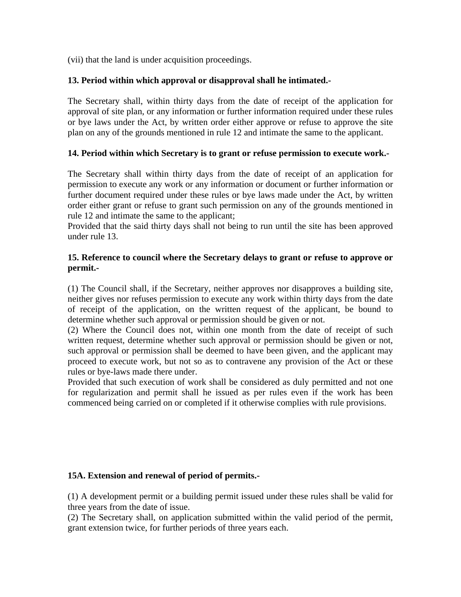(vii) that the land is under acquisition proceedings.

# **13. Period within which approval or disapproval shall he intimated.-**

The Secretary shall, within thirty days from the date of receipt of the application for approval of site plan, or any information or further information required under these rules or bye laws under the Act, by written order either approve or refuse to approve the site plan on any of the grounds mentioned in rule 12 and intimate the same to the applicant.

# **14. Period within which Secretary is to grant or refuse permission to execute work.-**

The Secretary shall within thirty days from the date of receipt of an application for permission to execute any work or any information or document or further information or further document required under these rules or bye laws made under the Act, by written order either grant or refuse to grant such permission on any of the grounds mentioned in rule 12 and intimate the same to the applicant;

Provided that the said thirty days shall not being to run until the site has been approved under rule 13.

## **15. Reference to council where the Secretary delays to grant or refuse to approve or permit.-**

(1) The Council shall, if the Secretary, neither approves nor disapproves a building site, neither gives nor refuses permission to execute any work within thirty days from the date of receipt of the application, on the written request of the applicant, be bound to determine whether such approval or permission should be given or not.

(2) Where the Council does not, within one month from the date of receipt of such written request, determine whether such approval or permission should be given or not, such approval or permission shall be deemed to have been given, and the applicant may proceed to execute work, but not so as to contravene any provision of the Act or these rules or bye-laws made there under.

Provided that such execution of work shall be considered as duly permitted and not one for regularization and permit shall he issued as per rules even if the work has been commenced being carried on or completed if it otherwise complies with rule provisions.

# **15A. Extension and renewal of period of permits.-**

(1) A development permit or a building permit issued under these rules shall be valid for three years from the date of issue.

(2) The Secretary shall, on application submitted within the valid period of the permit, grant extension twice, for further periods of three years each.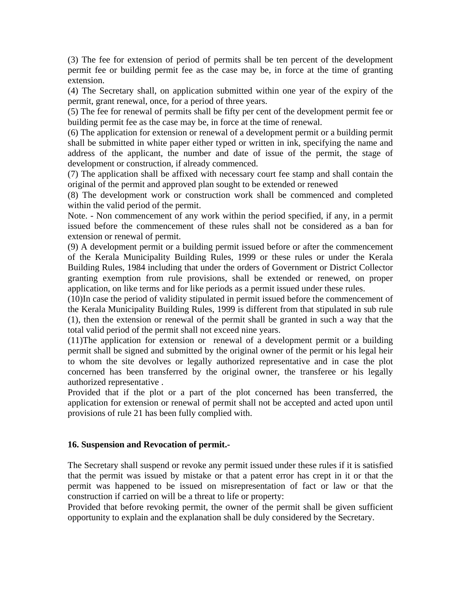(3) The fee for extension of period of permits shall be ten percent of the development permit fee or building permit fee as the case may be, in force at the time of granting extension.

(4) The Secretary shall, on application submitted within one year of the expiry of the permit, grant renewal, once, for a period of three years.

(5) The fee for renewal of permits shall be fifty per cent of the development permit fee or building permit fee as the case may be, in force at the time of renewal.

(6) The application for extension or renewal of a development permit or a building permit shall be submitted in white paper either typed or written in ink, specifying the name and address of the applicant, the number and date of issue of the permit, the stage of development or construction, if already commenced.

(7) The application shall be affixed with necessary court fee stamp and shall contain the original of the permit and approved plan sought to be extended or renewed

(8) The development work or construction work shall be commenced and completed within the valid period of the permit.

Note. - Non commencement of any work within the period specified, if any, in a permit issued before the commencement of these rules shall not be considered as a ban for extension or renewal of permit.

(9) A development permit or a building permit issued before or after the commencement of the Kerala Municipality Building Rules, 1999 or these rules or under the Kerala Building Rules, 1984 including that under the orders of Government or District Collector granting exemption from rule provisions, shall be extended or renewed, on proper application, on like terms and for like periods as a permit issued under these rules.

(10)In case the period of validity stipulated in permit issued before the commencement of the Kerala Municipality Building Rules, 1999 is different from that stipulated in sub rule (1), then the extension or renewal of the permit shall be granted in such a way that the total valid period of the permit shall not exceed nine years.

(11)The application for extension or renewal of a development permit or a building permit shall be signed and submitted by the original owner of the permit or his legal heir to whom the site devolves or legally authorized representative and in case the plot concerned has been transferred by the original owner, the transferee or his legally authorized representative .

Provided that if the plot or a part of the plot concerned has been transferred, the application for extension or renewal of permit shall not be accepted and acted upon until provisions of rule 21 has been fully complied with.

### **16. Suspension and Revocation of permit.-**

The Secretary shall suspend or revoke any permit issued under these rules if it is satisfied that the permit was issued by mistake or that a patent error has crept in it or that the permit was happened to be issued on misrepresentation of fact or law or that the construction if carried on will be a threat to life or property:

Provided that before revoking permit, the owner of the permit shall be given sufficient opportunity to explain and the explanation shall be duly considered by the Secretary.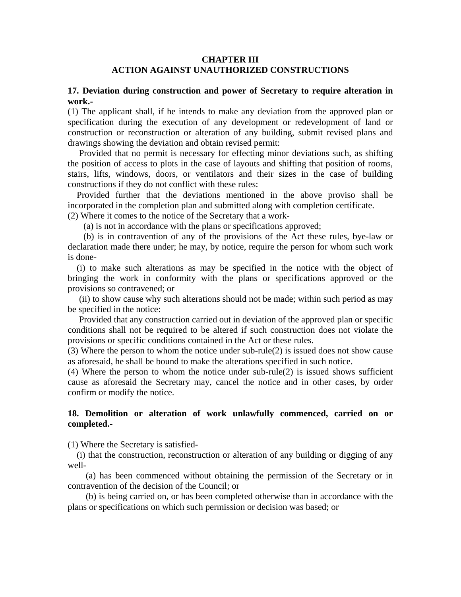#### **CHAPTER III ACTION AGAINST UNAUTHORIZED CONSTRUCTIONS**

#### **17. Deviation during construction and power of Secretary to require alteration in work.-**

(1) The applicant shall, if he intends to make any deviation from the approved plan or specification during the execution of any development or redevelopment of land or construction or reconstruction or alteration of any building, submit revised plans and drawings showing the deviation and obtain revised permit:

 Provided that no permit is necessary for effecting minor deviations such, as shifting the position of access to plots in the case of layouts and shifting that position of rooms, stairs, lifts, windows, doors, or ventilators and their sizes in the case of building constructions if they do not conflict with these rules:

 Provided further that the deviations mentioned in the above proviso shall be incorporated in the completion plan and submitted along with completion certificate.

(2) Where it comes to the notice of the Secretary that a work-

(a) is not in accordance with the plans or specifications approved;

 (b) is in contravention of any of the provisions of the Act these rules, bye-law or declaration made there under; he may, by notice, require the person for whom such work is done-

 (i) to make such alterations as may be specified in the notice with the object of bringing the work in conformity with the plans or specifications approved or the provisions so contravened; or

 (ii) to show cause why such alterations should not be made; within such period as may be specified in the notice:

 Provided that any construction carried out in deviation of the approved plan or specific conditions shall not be required to be altered if such construction does not violate the provisions or specific conditions contained in the Act or these rules.

(3) Where the person to whom the notice under sub-rule(2) is issued does not show cause as aforesaid, he shall be bound to make the alterations specified in such notice.

(4) Where the person to whom the notice under sub-rule(2) is issued shows sufficient cause as aforesaid the Secretary may, cancel the notice and in other cases, by order confirm or modify the notice.

#### **18. Demolition or alteration of work unlawfully commenced, carried on or completed.-**

(1) Where the Secretary is satisfied-

 (i) that the construction, reconstruction or alteration of any building or digging of any well-

 (a) has been commenced without obtaining the permission of the Secretary or in contravention of the decision of the Council; or

 (b) is being carried on, or has been completed otherwise than in accordance with the plans or specifications on which such permission or decision was based; or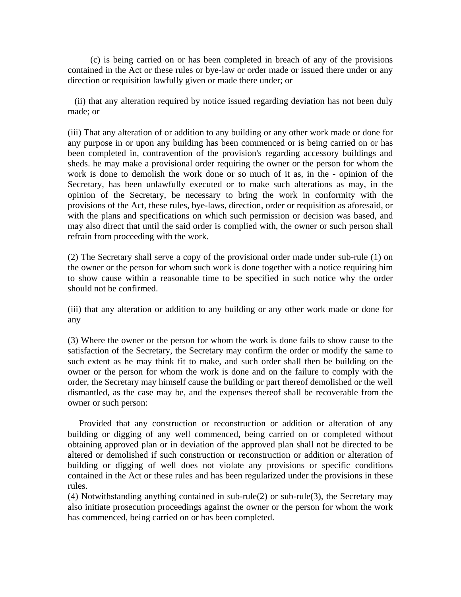(c) is being carried on or has been completed in breach of any of the provisions contained in the Act or these rules or bye-law or order made or issued there under or any direction or requisition lawfully given or made there under; or

 (ii) that any alteration required by notice issued regarding deviation has not been duly made; or

(iii) That any alteration of or addition to any building or any other work made or done for any purpose in or upon any building has been commenced or is being carried on or has been completed in, contravention of the provision's regarding accessory buildings and sheds. he may make a provisional order requiring the owner or the person for whom the work is done to demolish the work done or so much of it as, in the - opinion of the Secretary, has been unlawfully executed or to make such alterations as may, in the opinion of the Secretary, be necessary to bring the work in conformity with the provisions of the Act, these rules, bye-laws, direction, order or requisition as aforesaid, or with the plans and specifications on which such permission or decision was based, and may also direct that until the said order is complied with, the owner or such person shall refrain from proceeding with the work.

(2) The Secretary shall serve a copy of the provisional order made under sub-rule (1) on the owner or the person for whom such work is done together with a notice requiring him to show cause within a reasonable time to be specified in such notice why the order should not be confirmed.

(iii) that any alteration or addition to any building or any other work made or done for any

(3) Where the owner or the person for whom the work is done fails to show cause to the satisfaction of the Secretary, the Secretary may confirm the order or modify the same to such extent as he may think fit to make, and such order shall then be building on the owner or the person for whom the work is done and on the failure to comply with the order, the Secretary may himself cause the building or part thereof demolished or the well dismantled, as the case may be, and the expenses thereof shall be recoverable from the owner or such person:

 Provided that any construction or reconstruction or addition or alteration of any building or digging of any well commenced, being carried on or completed without obtaining approved plan or in deviation of the approved plan shall not be directed to be altered or demolished if such construction or reconstruction or addition or alteration of building or digging of well does not violate any provisions or specific conditions contained in the Act or these rules and has been regularized under the provisions in these rules.

(4) Notwithstanding anything contained in sub-rule(2) or sub-rule(3), the Secretary may also initiate prosecution proceedings against the owner or the person for whom the work has commenced, being carried on or has been completed.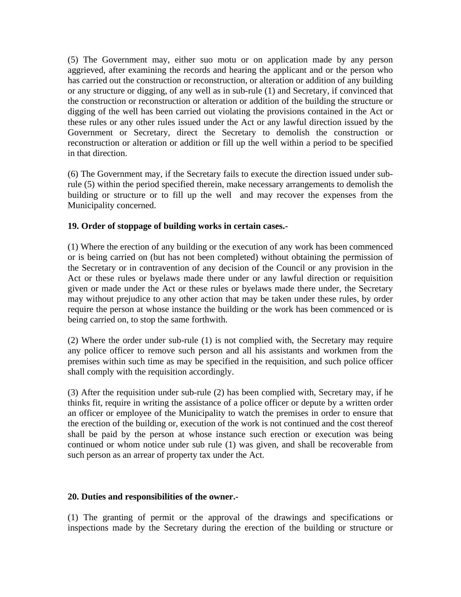(5) The Government may, either suo motu or on application made by any person aggrieved, after examining the records and hearing the applicant and or the person who has carried out the construction or reconstruction, or alteration or addition of any building or any structure or digging, of any well as in sub-rule (1) and Secretary, if convinced that the construction or reconstruction or alteration or addition of the building the structure or digging of the well has been carried out violating the provisions contained in the Act or these rules or any other rules issued under the Act or any lawful direction issued by the Government or Secretary, direct the Secretary to demolish the construction or reconstruction or alteration or addition or fill up the well within a period to be specified in that direction.

(6) The Government may, if the Secretary fails to execute the direction issued under subrule (5) within the period specified therein, make necessary arrangements to demolish the building or structure or to fill up the well and may recover the expenses from the Municipality concerned.

## **19. Order of stoppage of building works in certain cases.-**

(1) Where the erection of any building or the execution of any work has been commenced or is being carried on (but has not been completed) without obtaining the permission of the Secretary or in contravention of any decision of the Council or any provision in the Act or these rules or byelaws made there under or any lawful direction or requisition given or made under the Act or these rules or byelaws made there under, the Secretary may without prejudice to any other action that may be taken under these rules, by order require the person at whose instance the building or the work has been commenced or is being carried on, to stop the same forthwith.

(2) Where the order under sub-rule (1) is not complied with, the Secretary may require any police officer to remove such person and all his assistants and workmen from the premises within such time as may be specified in the requisition, and such police officer shall comply with the requisition accordingly.

(3) After the requisition under sub-rule (2) has been complied with, Secretary may, if he thinks fit, require in writing the assistance of a police officer or depute by a written order an officer or employee of the Municipality to watch the premises in order to ensure that the erection of the building or, execution of the work is not continued and the cost thereof shall be paid by the person at whose instance such erection or execution was being continued or whom notice under sub rule (1) was given, and shall be recoverable from such person as an arrear of property tax under the Act.

### **20. Duties and responsibilities of the owner.-**

(1) The granting of permit or the approval of the drawings and specifications or inspections made by the Secretary during the erection of the building or structure or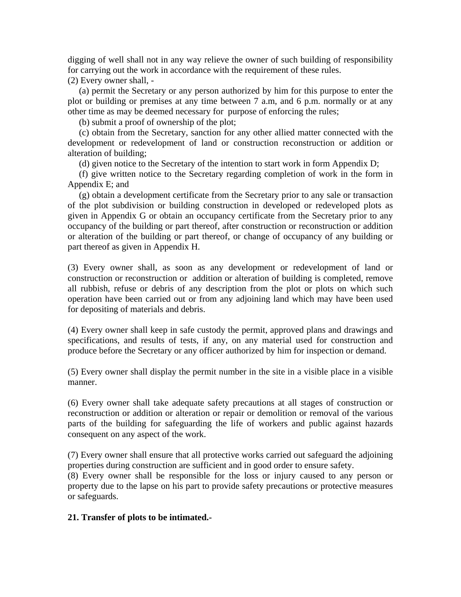digging of well shall not in any way relieve the owner of such building of responsibility for carrying out the work in accordance with the requirement of these rules.

(2) Every owner shall, -

 (a) permit the Secretary or any person authorized by him for this purpose to enter the plot or building or premises at any time between 7 a.m, and 6 p.m. normally or at any other time as may be deemed necessary for purpose of enforcing the rules;

(b) submit a proof of ownership of the plot;

 (c) obtain from the Secretary, sanction for any other allied matter connected with the development or redevelopment of land or construction reconstruction or addition or alteration of building;

(d) given notice to the Secretary of the intention to start work in form Appendix D;

 (f) give written notice to the Secretary regarding completion of work in the form in Appendix E; and

 (g) obtain a development certificate from the Secretary prior to any sale or transaction of the plot subdivision or building construction in developed or redeveloped plots as given in Appendix G or obtain an occupancy certificate from the Secretary prior to any occupancy of the building or part thereof, after construction or reconstruction or addition or alteration of the building or part thereof, or change of occupancy of any building or part thereof as given in Appendix H.

(3) Every owner shall, as soon as any development or redevelopment of land or construction or reconstruction or addition or alteration of building is completed, remove all rubbish, refuse or debris of any description from the plot or plots on which such operation have been carried out or from any adjoining land which may have been used for depositing of materials and debris.

(4) Every owner shall keep in safe custody the permit, approved plans and drawings and specifications, and results of tests, if any, on any material used for construction and produce before the Secretary or any officer authorized by him for inspection or demand.

(5) Every owner shall display the permit number in the site in a visible place in a visible manner.

(6) Every owner shall take adequate safety precautions at all stages of construction or reconstruction or addition or alteration or repair or demolition or removal of the various parts of the building for safeguarding the life of workers and public against hazards consequent on any aspect of the work.

(7) Every owner shall ensure that all protective works carried out safeguard the adjoining properties during construction are sufficient and in good order to ensure safety.

(8) Every owner shall be responsible for the loss or injury caused to any person or property due to the lapse on his part to provide safety precautions or protective measures or safeguards.

### **21. Transfer of plots to be intimated.-**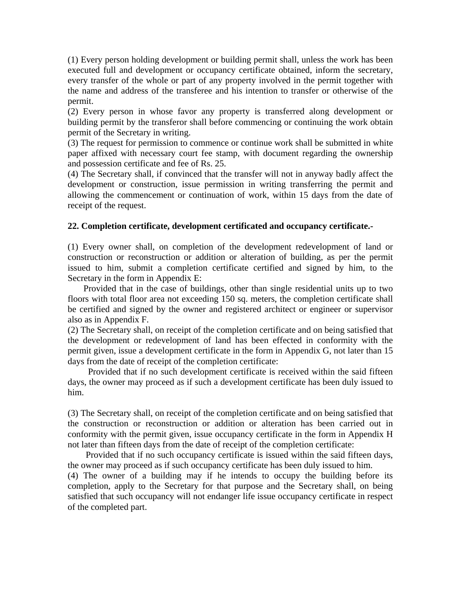(1) Every person holding development or building permit shall, unless the work has been executed full and development or occupancy certificate obtained, inform the secretary, every transfer of the whole or part of any property involved in the permit together with the name and address of the transferee and his intention to transfer or otherwise of the permit.

(2) Every person in whose favor any property is transferred along development or building permit by the transferor shall before commencing or continuing the work obtain permit of the Secretary in writing.

(3) The request for permission to commence or continue work shall be submitted in white paper affixed with necessary court fee stamp, with document regarding the ownership and possession certificate and fee of Rs. 25.

(4) The Secretary shall, if convinced that the transfer will not in anyway badly affect the development or construction, issue permission in writing transferring the permit and allowing the commencement or continuation of work, within 15 days from the date of receipt of the request.

### **22. Completion certificate, development certificated and occupancy certificate.-**

(1) Every owner shall, on completion of the development redevelopment of land or construction or reconstruction or addition or alteration of building, as per the permit issued to him, submit a completion certificate certified and signed by him, to the Secretary in the form in Appendix E:

 Provided that in the case of buildings, other than single residential units up to two floors with total floor area not exceeding 150 sq. meters, the completion certificate shall be certified and signed by the owner and registered architect or engineer or supervisor also as in Appendix F.

(2) The Secretary shall, on receipt of the completion certificate and on being satisfied that the development or redevelopment of land has been effected in conformity with the permit given, issue a development certificate in the form in Appendix G, not later than 15 days from the date of receipt of the completion certificate:

 Provided that if no such development certificate is received within the said fifteen days, the owner may proceed as if such a development certificate has been duly issued to him.

(3) The Secretary shall, on receipt of the completion certificate and on being satisfied that the construction or reconstruction or addition or alteration has been carried out in conformity with the permit given, issue occupancy certificate in the form in Appendix H not later than fifteen days from the date of receipt of the completion certificate:

 Provided that if no such occupancy certificate is issued within the said fifteen days, the owner may proceed as if such occupancy certificate has been duly issued to him.

(4) The owner of a building may if he intends to occupy the building before its completion, apply to the Secretary for that purpose and the Secretary shall, on being satisfied that such occupancy will not endanger life issue occupancy certificate in respect of the completed part.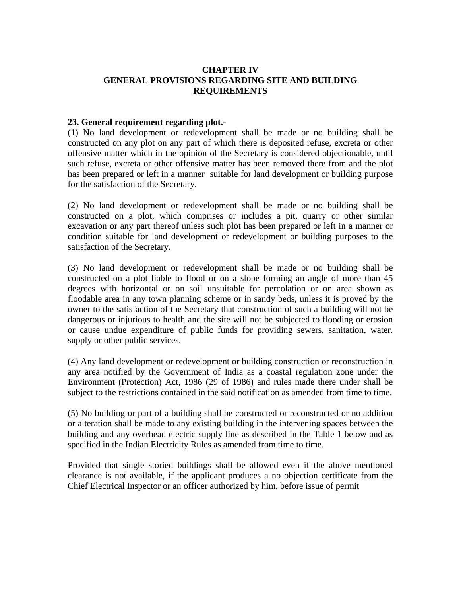## **CHAPTER IV GENERAL PROVISIONS REGARDING SITE AND BUILDING REQUIREMENTS**

### **23. General requirement regarding plot.-**

(1) No land development or redevelopment shall be made or no building shall be constructed on any plot on any part of which there is deposited refuse, excreta or other offensive matter which in the opinion of the Secretary is considered objectionable, until such refuse, excreta or other offensive matter has been removed there from and the plot has been prepared or left in a manner suitable for land development or building purpose for the satisfaction of the Secretary.

(2) No land development or redevelopment shall be made or no building shall be constructed on a plot, which comprises or includes a pit, quarry or other similar excavation or any part thereof unless such plot has been prepared or left in a manner or condition suitable for land development or redevelopment or building purposes to the satisfaction of the Secretary.

(3) No land development or redevelopment shall be made or no building shall be constructed on a plot liable to flood or on a slope forming an angle of more than 45 degrees with horizontal or on soil unsuitable for percolation or on area shown as floodable area in any town planning scheme or in sandy beds, unless it is proved by the owner to the satisfaction of the Secretary that construction of such a building will not be dangerous or injurious to health and the site will not be subjected to flooding or erosion or cause undue expenditure of public funds for providing sewers, sanitation, water. supply or other public services.

(4) Any land development or redevelopment or building construction or reconstruction in any area notified by the Government of India as a coastal regulation zone under the Environment (Protection) Act, 1986 (29 of 1986) and rules made there under shall be subject to the restrictions contained in the said notification as amended from time to time.

(5) No building or part of a building shall be constructed or reconstructed or no addition or alteration shall be made to any existing building in the intervening spaces between the building and any overhead electric supply line as described in the Table 1 below and as specified in the Indian Electricity Rules as amended from time to time.

Provided that single storied buildings shall be allowed even if the above mentioned clearance is not available, if the applicant produces a no objection certificate from the Chief Electrical Inspector or an officer authorized by him, before issue of permit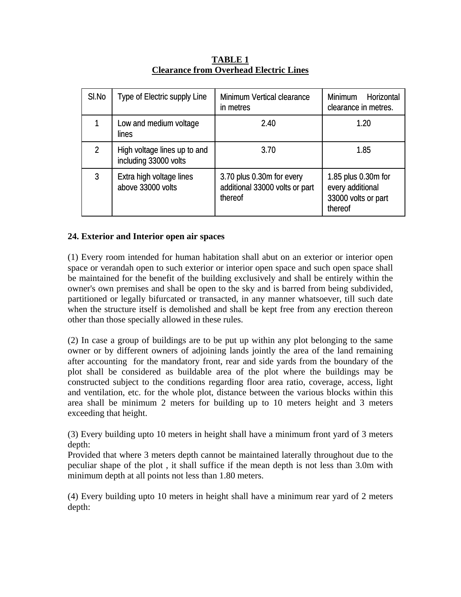| SI.No | Type of Electric supply Line                          | Minimum Vertical clearance<br>in metres                                | <b>Minimum</b><br>Horizontal<br>clearance in metres.                      |
|-------|-------------------------------------------------------|------------------------------------------------------------------------|---------------------------------------------------------------------------|
|       | Low and medium voltage<br>lines                       | 2.40                                                                   | 1.20                                                                      |
| 2     | High voltage lines up to and<br>including 33000 volts | 3.70                                                                   | 1.85                                                                      |
| 3     | Extra high voltage lines<br>above 33000 volts         | 3.70 plus 0.30m for every<br>additional 33000 volts or part<br>thereof | 1.85 plus 0.30m for<br>every additional<br>33000 volts or part<br>thereof |

**TABLE 1 Clearance from Overhead Electric Lines**

## **24. Exterior and Interior open air spaces**

(1) Every room intended for human habitation shall abut on an exterior or interior open space or verandah open to such exterior or interior open space and such open space shall be maintained for the benefit of the building exclusively and shall be entirely within the owner's own premises and shall be open to the sky and is barred from being subdivided, partitioned or legally bifurcated or transacted, in any manner whatsoever, till such date when the structure itself is demolished and shall be kept free from any erection thereon other than those specially allowed in these rules.

(2) In case a group of buildings are to be put up within any plot belonging to the same owner or by different owners of adjoining lands jointly the area of the land remaining after accounting for the mandatory front, rear and side yards from the boundary of the plot shall be considered as buildable area of the plot where the buildings may be constructed subject to the conditions regarding floor area ratio, coverage, access, light and ventilation, etc. for the whole plot, distance between the various blocks within this area shall be minimum 2 meters for building up to 10 meters height and 3 meters exceeding that height.

(3) Every building upto 10 meters in height shall have a minimum front yard of 3 meters depth:

Provided that where 3 meters depth cannot be maintained laterally throughout due to the peculiar shape of the plot , it shall suffice if the mean depth is not less than 3.0m with minimum depth at all points not less than 1.80 meters.

(4) Every building upto 10 meters in height shall have a minimum rear yard of 2 meters depth: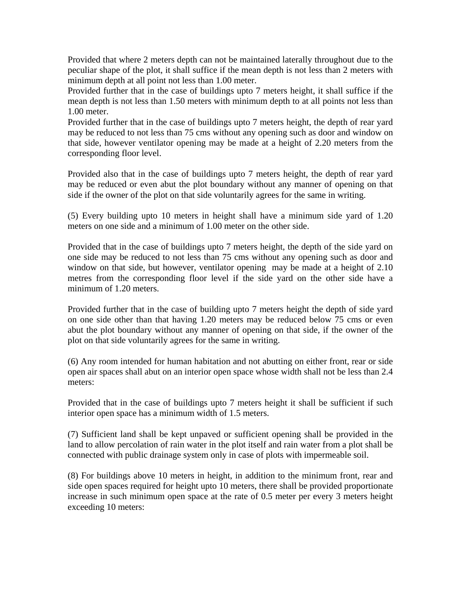Provided that where 2 meters depth can not be maintained laterally throughout due to the peculiar shape of the plot, it shall suffice if the mean depth is not less than 2 meters with minimum depth at all point not less than 1.00 meter.

Provided further that in the case of buildings upto 7 meters height, it shall suffice if the mean depth is not less than 1.50 meters with minimum depth to at all points not less than 1.00 meter.

Provided further that in the case of buildings upto 7 meters height, the depth of rear yard may be reduced to not less than 75 cms without any opening such as door and window on that side, however ventilator opening may be made at a height of 2.20 meters from the corresponding floor level.

Provided also that in the case of buildings upto 7 meters height, the depth of rear yard may be reduced or even abut the plot boundary without any manner of opening on that side if the owner of the plot on that side voluntarily agrees for the same in writing.

(5) Every building upto 10 meters in height shall have a minimum side yard of 1.20 meters on one side and a minimum of 1.00 meter on the other side.

Provided that in the case of buildings upto 7 meters height, the depth of the side yard on one side may be reduced to not less than 75 cms without any opening such as door and window on that side, but however, ventilator opening may be made at a height of 2.10 metres from the corresponding floor level if the side yard on the other side have a minimum of 1.20 meters.

Provided further that in the case of building upto 7 meters height the depth of side yard on one side other than that having 1.20 meters may be reduced below 75 cms or even abut the plot boundary without any manner of opening on that side, if the owner of the plot on that side voluntarily agrees for the same in writing.

(6) Any room intended for human habitation and not abutting on either front, rear or side open air spaces shall abut on an interior open space whose width shall not be less than 2.4 meters:

Provided that in the case of buildings upto 7 meters height it shall be sufficient if such interior open space has a minimum width of 1.5 meters.

(7) Sufficient land shall be kept unpaved or sufficient opening shall be provided in the land to allow percolation of rain water in the plot itself and rain water from a plot shall be connected with public drainage system only in case of plots with impermeable soil.

(8) For buildings above 10 meters in height, in addition to the minimum front, rear and side open spaces required for height upto 10 meters, there shall be provided proportionate increase in such minimum open space at the rate of 0.5 meter per every 3 meters height exceeding 10 meters: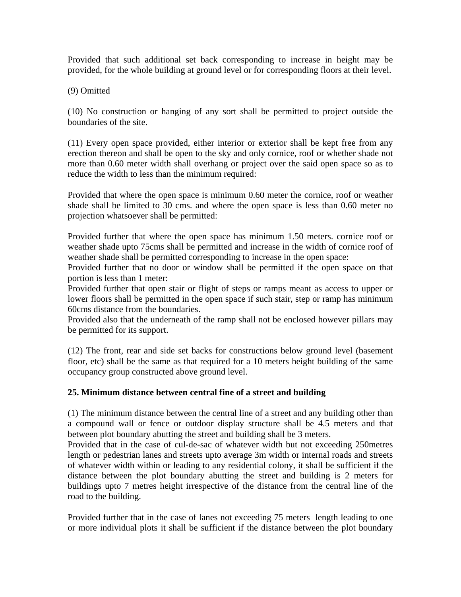Provided that such additional set back corresponding to increase in height may be provided, for the whole building at ground level or for corresponding floors at their level.

(9) Omitted

(10) No construction or hanging of any sort shall be permitted to project outside the boundaries of the site.

(11) Every open space provided, either interior or exterior shall be kept free from any erection thereon and shall be open to the sky and only cornice, roof or whether shade not more than 0.60 meter width shall overhang or project over the said open space so as to reduce the width to less than the minimum required:

Provided that where the open space is minimum 0.60 meter the cornice, roof or weather shade shall be limited to 30 cms. and where the open space is less than 0.60 meter no projection whatsoever shall be permitted:

Provided further that where the open space has minimum 1.50 meters. cornice roof or weather shade upto 75cms shall be permitted and increase in the width of cornice roof of weather shade shall be permitted corresponding to increase in the open space:

Provided further that no door or window shall be permitted if the open space on that portion is less than 1 meter:

Provided further that open stair or flight of steps or ramps meant as access to upper or lower floors shall be permitted in the open space if such stair, step or ramp has minimum 60cms distance from the boundaries.

Provided also that the underneath of the ramp shall not be enclosed however pillars may be permitted for its support.

(12) The front, rear and side set backs for constructions below ground level (basement floor, etc) shall be the same as that required for a 10 meters height building of the same occupancy group constructed above ground level.

# **25. Minimum distance between central fine of a street and building**

(1) The minimum distance between the central line of a street and any building other than a compound wall or fence or outdoor display structure shall be 4.5 meters and that between plot boundary abutting the street and building shall be 3 meters.

Provided that in the case of cul-de-sac of whatever width but not exceeding 250metres length or pedestrian lanes and streets upto average 3m width or internal roads and streets of whatever width within or leading to any residential colony, it shall be sufficient if the distance between the plot boundary abutting the street and building is 2 meters for buildings upto 7 metres height irrespective of the distance from the central line of the road to the building.

Provided further that in the case of lanes not exceeding 75 meters length leading to one or more individual plots it shall be sufficient if the distance between the plot boundary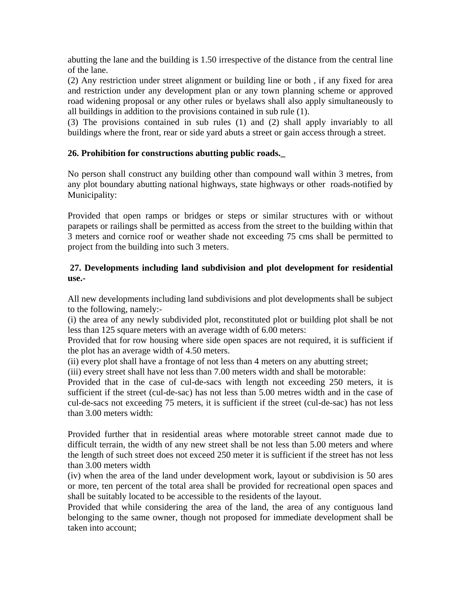abutting the lane and the building is 1.50 irrespective of the distance from the central line of the lane.

(2) Any restriction under street alignment or building line or both , if any fixed for area and restriction under any development plan or any town planning scheme or approved road widening proposal or any other rules or byelaws shall also apply simultaneously to all buildings in addition to the provisions contained in sub rule (1).

(3) The provisions contained in sub rules (1) and (2) shall apply invariably to all buildings where the front, rear or side yard abuts a street or gain access through a street.

# **26. Prohibition for constructions abutting public roads.\_**

No person shall construct any building other than compound wall within 3 metres, from any plot boundary abutting national highways, state highways or other roads-notified by Municipality:

Provided that open ramps or bridges or steps or similar structures with or without parapets or railings shall be permitted as access from the street to the building within that 3 meters and cornice roof or weather shade not exceeding 75 cms shall be permitted to project from the building into such 3 meters.

## **27. Developments including land subdivision and plot development for residential use.-**

All new developments including land subdivisions and plot developments shall be subject to the following, namely:-

(i) the area of any newly subdivided plot, reconstituted plot or building plot shall be not less than 125 square meters with an average width of 6.00 meters:

Provided that for row housing where side open spaces are not required, it is sufficient if the plot has an average width of 4.50 meters.

(ii) every plot shall have a frontage of not less than 4 meters on any abutting street;

(iii) every street shall have not less than 7.00 meters width and shall be motorable:

Provided that in the case of cul-de-sacs with length not exceeding 250 meters, it is sufficient if the street (cul-de-sac) has not less than 5.00 metres width and in the case of cul-de-sacs not exceeding 75 meters, it is sufficient if the street (cul-de-sac) has not less than 3.00 meters width:

Provided further that in residential areas where motorable street cannot made due to difficult terrain, the width of any new street shall be not less than 5.00 meters and where the length of such street does not exceed 250 meter it is sufficient if the street has not less than 3.00 meters width

(iv) when the area of the land under development work, layout or subdivision is 50 ares or more, ten percent of the total area shall be provided for recreational open spaces and shall be suitably located to be accessible to the residents of the layout.

Provided that while considering the area of the land, the area of any contiguous land belonging to the same owner, though not proposed for immediate development shall be taken into account;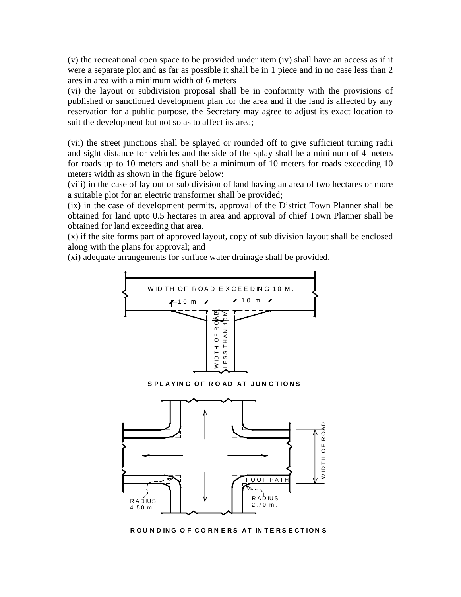(v) the recreational open space to be provided under item (iv) shall have an access as if it were a separate plot and as far as possible it shall be in 1 piece and in no case less than 2 ares in area with a minimum width of 6 meters

(vi) the layout or subdivision proposal shall be in conformity with the provisions of published or sanctioned development plan for the area and if the land is affected by any reservation for a public purpose, the Secretary may agree to adjust its exact location to suit the development but not so as to affect its area;

(vii) the street junctions shall be splayed or rounded off to give sufficient turning radii and sight distance for vehicles and the side of the splay shall be a minimum of 4 meters for roads up to 10 meters and shall be a minimum of 10 meters for roads exceeding 10 meters width as shown in the figure below:

(viii) in the case of lay out or sub division of land having an area of two hectares or more a suitable plot for an electric transformer shall be provided;

(ix) in the case of development permits, approval of the District Town Planner shall be obtained for land upto 0.5 hectares in area and approval of chief Town Planner shall be obtained for land exceeding that area.

(x) if the site forms part of approved layout, copy of sub division layout shall be enclosed along with the plans for approval; and

(xi) adequate arrangements for surface water drainage shall be provided.





**ROUNDING OF CORNERS AT INTERSECTIONS**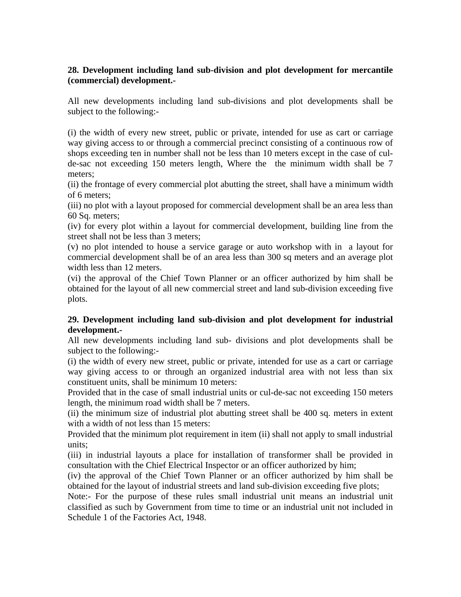# **28. Development including land sub-division and plot development for mercantile (commercial) development.-**

All new developments including land sub-divisions and plot developments shall be subject to the following:-

(i) the width of every new street, public or private, intended for use as cart or carriage way giving access to or through a commercial precinct consisting of a continuous row of shops exceeding ten in number shall not be less than 10 meters except in the case of culde-sac not exceeding 150 meters length, Where the the minimum width shall be 7 meters;

(ii) the frontage of every commercial plot abutting the street, shall have a minimum width of 6 meters;

(iii) no plot with a layout proposed for commercial development shall be an area less than 60 Sq. meters;

(iv) for every plot within a layout for commercial development, building line from the street shall not be less than 3 meters;

(v) no plot intended to house a service garage or auto workshop with in a layout for commercial development shall be of an area less than 300 sq meters and an average plot width less than 12 meters.

(vi) the approval of the Chief Town Planner or an officer authorized by him shall be obtained for the layout of all new commercial street and land sub-division exceeding five plots.

# **29. Development including land sub-division and plot development for industrial development.-**

All new developments including land sub- divisions and plot developments shall be subject to the following:-

(i) the width of every new street, public or private, intended for use as a cart or carriage way giving access to or through an organized industrial area with not less than six constituent units, shall be minimum 10 meters:

Provided that in the case of small industrial units or cul-de-sac not exceeding 150 meters length, the minimum road width shall be 7 meters.

(ii) the minimum size of industrial plot abutting street shall be 400 sq. meters in extent with a width of not less than 15 meters:

Provided that the minimum plot requirement in item (ii) shall not apply to small industrial units;

(iii) in industrial layouts a place for installation of transformer shall be provided in consultation with the Chief Electrical Inspector or an officer authorized by him;

(iv) the approval of the Chief Town Planner or an officer authorized by him shall be obtained for the layout of industrial streets and land sub-division exceeding five plots;

Note:- For the purpose of these rules small industrial unit means an industrial unit classified as such by Government from time to time or an industrial unit not included in Schedule 1 of the Factories Act, 1948.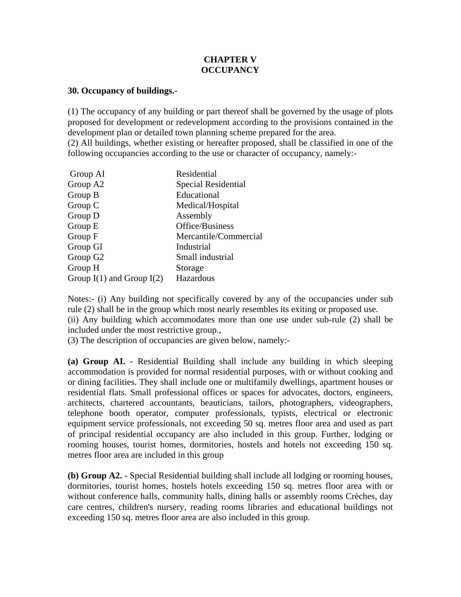## **CHAPTER V OCCUPANCY**

#### **30. Occupancy of buildings.-**

(1) The occupancy of any building or part thereof shall be governed by the usage of plots proposed for development or redevelopment according to the provisions contained in the development plan or detailed town planning scheme prepared for the area.

(2) All buildings, whether existing or hereafter proposed, shall be classified in one of the following occupancies according to the use or character of occupancy, namely:-

| Residential           |
|-----------------------|
| Special Residential   |
| Educational           |
| Medical/Hospital      |
| Assembly              |
| Office/Business       |
| Mercantile/Commercial |
| Industrial            |
| Small industrial      |
| Storage               |
| Hazardous             |
|                       |

Notes:- (i) Any building not specifically covered by any of the occupancies under sub rule (2) shall be in the group which most nearly resembles its exiting or proposed use. (ii) Any building which accommodates more than one use under sub-rule (2) shall be included under the most restrictive group.,

(3) The description of occupancies are given below, namely:-

**(a) Group AI.** - Residential Building shall include any building in which sleeping accommodation is provided for normal residential purposes, with or without cooking and or dining facilities. They shall include one or multifamily dwellings, apartment houses or residential flats. Small professional offices or spaces for advocates, doctors, engineers, architects, chartered accountants, beauticians, tailors, photographers, videographers, telephone booth operator, computer professionals, typists, electrical or electronic equipment service professionals, not exceeding 50 sq. metres floor area and used as part of principal residential occupancy are also included in this group. Further, lodging or rooming houses, tourist homes, dormitories, hostels and hotels not exceeding 150 sq. metres floor area are included in this group

**(b) Group A2.** - Special Residential building shall include all lodging or rooming houses, dormitories, tourist homes, hostels hotels exceeding 150 sq. metres floor area with or without conference halls, community halls, dining halls or assembly rooms Crèches, day care centres, children's nursery, reading rooms libraries and educational buildings not exceeding 150 sq. metres floor area are also included in this group.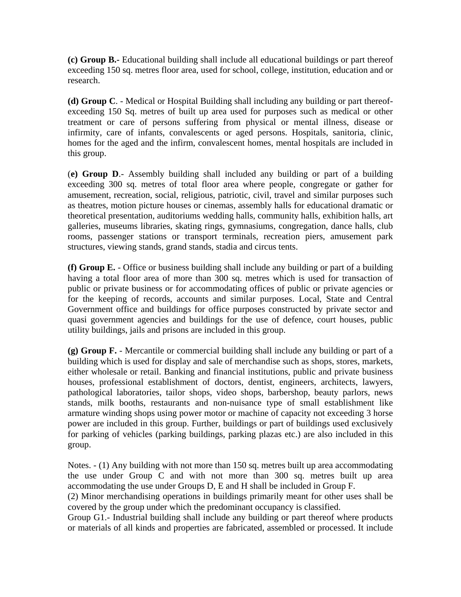**(c) Group B.-** Educational building shall include all educational buildings or part thereof exceeding 150 sq. metres floor area, used for school, college, institution, education and or research.

**(d) Group C**. - Medical or Hospital Building shall including any building or part thereofexceeding 150 Sq. metres of built up area used for purposes such as medical or other treatment or care of persons suffering from physical or mental illness, disease or infirmity, care of infants, convalescents or aged persons. Hospitals, sanitoria, clinic, homes for the aged and the infirm, convalescent homes, mental hospitals are included in this group.

(**e) Group D**.- Assembly building shall included any building or part of a building exceeding 300 sq. metres of total floor area where people, congregate or gather for amusement, recreation, social, religious, patriotic, civil, travel and similar purposes such as theatres, motion picture houses or cinemas, assembly halls for educational dramatic or theoretical presentation, auditoriums wedding halls, community halls, exhibition halls, art galleries, museums libraries, skating rings, gymnasiums, congregation, dance halls, club rooms, passenger stations or transport terminals, recreation piers, amusement park structures, viewing stands, grand stands, stadia and circus tents.

**(f) Group E.** - Office or business building shall include any building or part of a building having a total floor area of more than 300 sq. metres which is used for transaction of public or private business or for accommodating offices of public or private agencies or for the keeping of records, accounts and similar purposes. Local, State and Central Government office and buildings for office purposes constructed by private sector and quasi government agencies and buildings for the use of defence, court houses, public utility buildings, jails and prisons are included in this group.

**(g) Group F.** - Mercantile or commercial building shall include any building or part of a building which is used for display and sale of merchandise such as shops, stores, markets, either wholesale or retail. Banking and financial institutions, public and private business houses, professional establishment of doctors, dentist, engineers, architects, lawyers, pathological laboratories, tailor shops, video shops, barbershop, beauty parlors, news stands, milk booths, restaurants and non-nuisance type of small establishment like armature winding shops using power motor or machine of capacity not exceeding 3 horse power are included in this group. Further, buildings or part of buildings used exclusively for parking of vehicles (parking buildings, parking plazas etc.) are also included in this group.

Notes. - (1) Any building with not more than 150 sq. metres built up area accommodating the use under Group C and with not more than 300 sq. metres built up area accommodating the use under Groups D, E and H shall be included in Group F.

(2) Minor merchandising operations in buildings primarily meant for other uses shall be covered by the group under which the predominant occupancy is classified.

Group G1.- Industrial building shall include any building or part thereof where products or materials of all kinds and properties are fabricated, assembled or processed. It include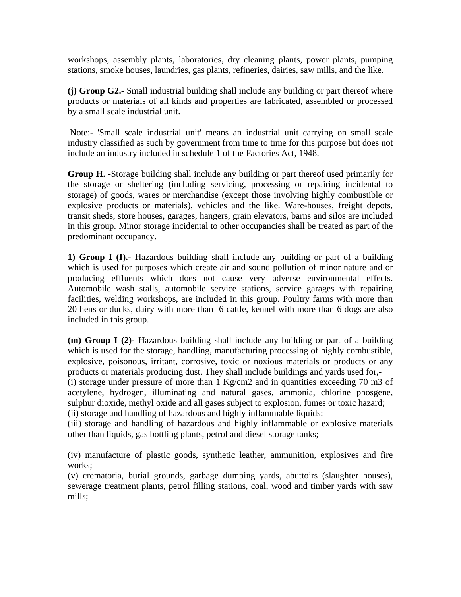workshops, assembly plants, laboratories, dry cleaning plants, power plants, pumping stations, smoke houses, laundries, gas plants, refineries, dairies, saw mills, and the like.

**(j) Group G2.-** Small industrial building shall include any building or part thereof where products or materials of all kinds and properties are fabricated, assembled or processed by a small scale industrial unit.

 Note:- 'Small scale industrial unit' means an industrial unit carrying on small scale industry classified as such by government from time to time for this purpose but does not include an industry included in schedule 1 of the Factories Act, 1948.

**Group H.** -Storage building shall include any building or part thereof used primarily for the storage or sheltering (including servicing, processing or repairing incidental to storage) of goods, wares or merchandise (except those involving highly combustible or explosive products or materials), vehicles and the like. Ware-houses, freight depots, transit sheds, store houses, garages, hangers, grain elevators, barns and silos are included in this group. Minor storage incidental to other occupancies shall be treated as part of the predominant occupancy.

**1) Group I (I).-** Hazardous building shall include any building or part of a building which is used for purposes which create air and sound pollution of minor nature and or producing effluents which does not cause very adverse environmental effects. Automobile wash stalls, automobile service stations, service garages with repairing facilities, welding workshops, are included in this group. Poultry farms with more than 20 hens or ducks, dairy with more than 6 cattle, kennel with more than 6 dogs are also included in this group.

**(m) Group I (2)-** Hazardous building shall include any building or part of a building which is used for the storage, handling, manufacturing processing of highly combustible, explosive, poisonous, irritant, corrosive, toxic or noxious materials or products or any products or materials producing dust. They shall include buildings and yards used for,- (i) storage under pressure of more than 1 Kg/cm2 and in quantities exceeding 70 m3 of acetylene, hydrogen, illuminating and natural gases, ammonia, chlorine phosgene, sulphur dioxide, methyl oxide and all gases subject to explosion, fumes or toxic hazard; (ii) storage and handling of hazardous and highly inflammable liquids:

(iii) storage and handling of hazardous and highly inflammable or explosive materials other than liquids, gas bottling plants, petrol and diesel storage tanks;

(iv) manufacture of plastic goods, synthetic leather, ammunition, explosives and fire works:

(v) crematoria, burial grounds, garbage dumping yards, abuttoirs (slaughter houses), sewerage treatment plants, petrol filling stations, coal, wood and timber yards with saw mills;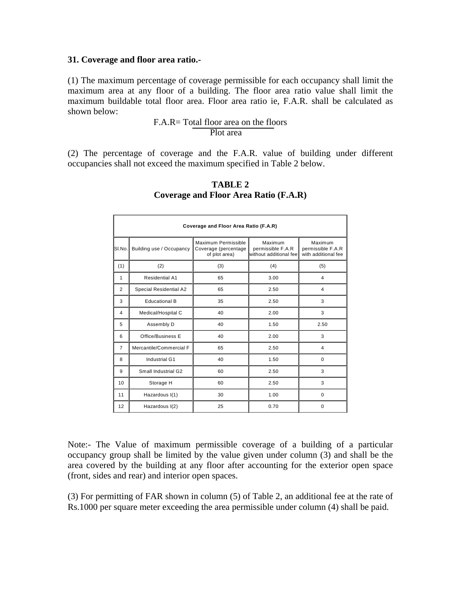#### **31. Coverage and floor area ratio.-**

(1) The maximum percentage of coverage permissible for each occupancy shall limit the maximum area at any floor of a building. The floor area ratio value shall limit the maximum buildable total floor area. Floor area ratio ie, F.A.R. shall be calculated as shown below:

 F.A.R= Total floor area on the floors Plot area

(2) The percentage of coverage and the F.A.R. value of building under different occupancies shall not exceed the maximum specified in Table 2 below.

| Coverage and Floor Area Ratio (F.A.R) |                          |                                                              |                                                        |                                                     |  |  |
|---------------------------------------|--------------------------|--------------------------------------------------------------|--------------------------------------------------------|-----------------------------------------------------|--|--|
| SI.No.                                | Building use / Occupancy | Maximum Permissible<br>Coverage (percentage<br>of plot area) | Maximum<br>permissible F.A.R<br>without additional fee | Maximum<br>permissible F.A.R<br>with additional fee |  |  |
| (1)                                   | (2)                      | (3)                                                          | (4)                                                    | (5)                                                 |  |  |
| 1                                     | <b>Residential A1</b>    | 65                                                           | 3.00                                                   | $\overline{4}$                                      |  |  |
| 2                                     | Special Residential A2   | 65                                                           | 2.50                                                   | 4                                                   |  |  |
| 3                                     | <b>Educational B</b>     | 35                                                           | 2.50                                                   | 3                                                   |  |  |
| 4                                     | Medical/Hospital C       | 40                                                           | 2.00                                                   | 3                                                   |  |  |
| 5                                     | Assembly D               | 40                                                           | 1.50                                                   | 2.50                                                |  |  |
| 6                                     | Office/Business E        | 40                                                           | 2.00                                                   | 3                                                   |  |  |
| $\overline{7}$                        | Mercantile/Commercial F  | 65                                                           | 2.50                                                   | 4                                                   |  |  |
| 8                                     | Industrial G1            | 40                                                           | 1.50                                                   | 0                                                   |  |  |
| 9                                     | Small Industrial G2      | 60                                                           | 2.50                                                   | 3                                                   |  |  |
| 10                                    | Storage H                | 60                                                           | 2.50                                                   | 3                                                   |  |  |
| 11                                    | Hazardous I(1)           | 30                                                           | 1.00                                                   | 0                                                   |  |  |
| 12                                    | Hazardous I(2)           | 25                                                           | 0.70                                                   | 0                                                   |  |  |

### **TABLE 2 Coverage and Floor Area Ratio (F.A.R)**

Note:- The Value of maximum permissible coverage of a building of a particular occupancy group shall be limited by the value given under column (3) and shall be the area covered by the building at any floor after accounting for the exterior open space (front, sides and rear) and interior open spaces.

(3) For permitting of FAR shown in column (5) of Table 2, an additional fee at the rate of Rs.1000 per square meter exceeding the area permissible under column (4) shall be paid.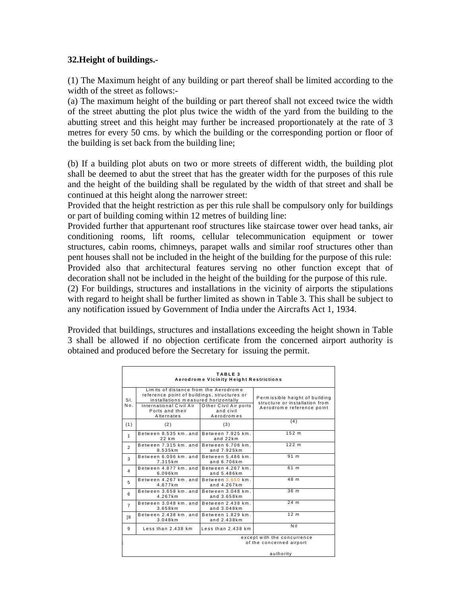## **32.Height of buildings.-**

(1) The Maximum height of any building or part thereof shall be limited according to the width of the street as follows:-

(a) The maximum height of the building or part thereof shall not exceed twice the width of the street abutting the plot plus twice the width of the yard from the building to the abutting street and this height may further be increased proportionately at the rate of 3 metres for every 50 cms. by which the building or the corresponding portion or floor of the building is set back from the building line;

(b) If a building plot abuts on two or more streets of different width, the building plot shall be deemed to abut the street that has the greater width for the purposes of this rule and the height of the building shall be regulated by the width of that street and shall be continued at this height along the narrower street:

Provided that the height restriction as per this rule shall be compulsory only for buildings or part of building coming within 12 metres of building line:

Provided further that appurtenant roof structures like staircase tower over head tanks, air conditioning rooms, lift rooms, cellular telecommunication equipment or tower structures, cabin rooms, chimneys, parapet walls and similar roof structures other than pent houses shall not be included in the height of the building for the purpose of this rule: Provided also that architectural features serving no other function except that of decoration shall not be included in the height of the building for the purpose of this rule.

(2) For buildings, structures and installations in the vicinity of airports the stipulations with regard to height shall be further limited as shown in Table 3. This shall be subject to any notification issued by Government of India under the Aircrafts Act 1, 1934.

Provided that buildings, structures and installations exceeding the height shown in Table 3 shall be allowed if no objection certificate from the concerned airport authority is obtained and produced before the Secretary for issuing the permit.

| TABLE <sub>3</sub><br>Aerodrome Vicinity Height Restrictions |                                                                                                                                                                                                                                             |                                    |                                                                                               |  |
|--------------------------------------------------------------|---------------------------------------------------------------------------------------------------------------------------------------------------------------------------------------------------------------------------------------------|------------------------------------|-----------------------------------------------------------------------------------------------|--|
| S <sub>L</sub><br>No.                                        | Limits of distance from the Aerodrome<br>reference point of buildings, structures or<br>installations measured horizontally<br>International Civil Air<br>Other Civil Air ports<br>Ports and their<br>and civil<br>Aerodromes<br>Alternates |                                    | Permissible height of building<br>structure or installation from<br>Aerodrome reference point |  |
| (1)                                                          | (2)                                                                                                                                                                                                                                         | (3)                                | (4)                                                                                           |  |
| $\mathbf{1}$                                                 | Between 8.535 km, and<br>22 km                                                                                                                                                                                                              | Between 7.925 km.<br>and $22km$    | 152 <sub>m</sub>                                                                              |  |
| $\overline{2}$                                               | Between 7.315 km, and<br>8.535km                                                                                                                                                                                                            | Between 6.706 km.<br>and 7.925km   | 122 m                                                                                         |  |
| 3                                                            | Between 6.096 km, and<br>7.315km                                                                                                                                                                                                            | Between 5.486 km.<br>and $6.706km$ | 91 m                                                                                          |  |
| 4                                                            | Between 4.877 km, and<br>6.096km                                                                                                                                                                                                            | Between 4.267 km.<br>and 5.486km   | 61 <sub>m</sub>                                                                               |  |
| 5                                                            | Between 4.267 km, and<br>4.877km                                                                                                                                                                                                            | Between 3.650 km.<br>and 4.267km   | 48 m                                                                                          |  |
| 6                                                            | Between 3.658 km, and<br>4.267km                                                                                                                                                                                                            | Between 3.048 km.<br>and 3.658km   | 36 m                                                                                          |  |
| $\overline{7}$                                               | Between 3.048 km, and<br>3.658km                                                                                                                                                                                                            | Between 2.438 km.<br>and 3.048km   | 24 <sub>m</sub>                                                                               |  |
| [8                                                           | Between 2.438 km, and<br>3.048km                                                                                                                                                                                                            | Between 1.829 km.<br>and 2.438km   | 12 <sub>m</sub>                                                                               |  |
| 9                                                            | Less than $2.438$ km                                                                                                                                                                                                                        | Less than $2.438$ km               | Nil                                                                                           |  |
| except with the concurrence<br>of the concerned airport      |                                                                                                                                                                                                                                             |                                    |                                                                                               |  |
| authority                                                    |                                                                                                                                                                                                                                             |                                    |                                                                                               |  |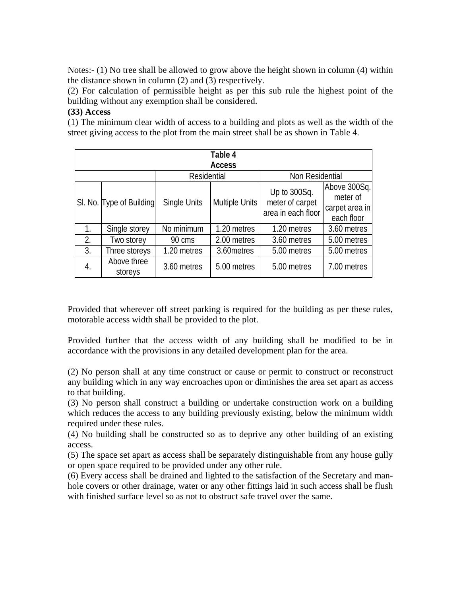Notes:- (1) No tree shall be allowed to grow above the height shown in column (4) within the distance shown in column (2) and (3) respectively.

(2) For calculation of permissible height as per this sub rule the highest point of the building without any exemption shall be considered.

## **(33) Access**

(1) The minimum clear width of access to a building and plots as well as the width of the street giving access to the plot from the main street shall be as shown in Table 4.

| Table 4       |                          |                     |                |                                                       |                                                          |  |  |
|---------------|--------------------------|---------------------|----------------|-------------------------------------------------------|----------------------------------------------------------|--|--|
| <b>Access</b> |                          |                     |                |                                                       |                                                          |  |  |
|               |                          | Residential         |                | Non Residential                                       |                                                          |  |  |
|               | SI. No. Type of Building | <b>Single Units</b> | Multiple Units | Up to 300Sq.<br>meter of carpet<br>area in each floor | Above 300Sq.<br>meter of<br>carpet area in<br>each floor |  |  |
| 1.            | Single storey            | No minimum          | 1.20 metres    | 1.20 metres                                           | 3.60 metres                                              |  |  |
| 2.            | Two storey               | 90 cms              | 2.00 metres    | 3.60 metres                                           | 5.00 metres                                              |  |  |
| 3.            | Three storeys            | 1.20 metres         | 3.60 metres    | 5.00 metres                                           | 5.00 metres                                              |  |  |
| 4.            | Above three<br>storeys   | 3.60 metres         | 5.00 metres    | 5.00 metres                                           | 7.00 metres                                              |  |  |

Provided that wherever off street parking is required for the building as per these rules, motorable access width shall be provided to the plot.

Provided further that the access width of any building shall be modified to be in accordance with the provisions in any detailed development plan for the area.

(2) No person shall at any time construct or cause or permit to construct or reconstruct any building which in any way encroaches upon or diminishes the area set apart as access to that building.

(3) No person shall construct a building or undertake construction work on a building which reduces the access to any building previously existing, below the minimum width required under these rules.

(4) No building shall be constructed so as to deprive any other building of an existing access.

(5) The space set apart as access shall be separately distinguishable from any house gully or open space required to be provided under any other rule.

(6) Every access shall be drained and lighted to the satisfaction of the Secretary and manhole covers or other drainage, water or any other fittings laid in such access shall be flush with finished surface level so as not to obstruct safe travel over the same.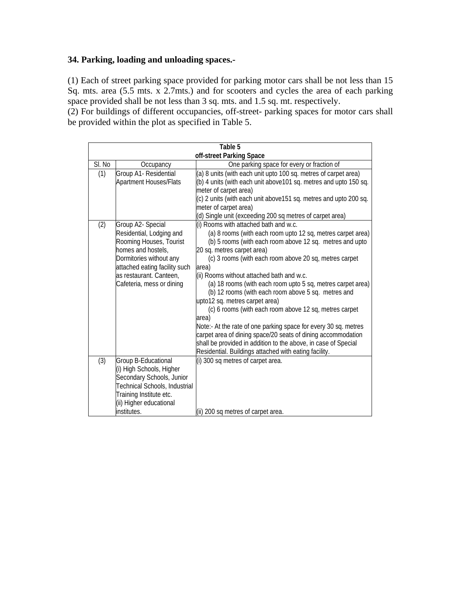# **34. Parking, loading and unloading spaces.-**

(1) Each of street parking space provided for parking motor cars shall be not less than 15 Sq. mts. area (5.5 mts. x 2.7mts.) and for scooters and cycles the area of each parking space provided shall be not less than 3 sq. mts. and 1.5 sq. mt. respectively.

(2) For buildings of different occupancies, off-street- parking spaces for motor cars shall be provided within the plot as specified in Table 5.

|        | Table 5                       |                                                                                                                                |  |  |  |
|--------|-------------------------------|--------------------------------------------------------------------------------------------------------------------------------|--|--|--|
|        | off-street Parking Space      |                                                                                                                                |  |  |  |
| SI. No | Occupancy                     | One parking space for every or fraction of                                                                                     |  |  |  |
| (1)    | Group A1- Residential         | (a) 8 units (with each unit upto 100 sq. metres of carpet area)                                                                |  |  |  |
|        | <b>Apartment Houses/Flats</b> | (b) 4 units (with each unit above 101 sq. metres and upto 150 sq.                                                              |  |  |  |
|        |                               | meter of carpet area)                                                                                                          |  |  |  |
|        |                               | (c) 2 units (with each unit above 151 sq. metres and upto 200 sq.                                                              |  |  |  |
|        |                               | meter of carpet area)                                                                                                          |  |  |  |
|        |                               | (d) Single unit (exceeding 200 sq metres of carpet area)                                                                       |  |  |  |
| (2)    | Group A2- Special             | (i) Rooms with attached bath and w.c.                                                                                          |  |  |  |
|        | Residential, Lodging and      | (a) 8 rooms (with each room upto 12 sq, metres carpet area)                                                                    |  |  |  |
|        | Rooming Houses, Tourist       | (b) 5 rooms (with each room above 12 sq. metres and upto                                                                       |  |  |  |
|        | homes and hostels,            | 20 sq. metres carpet area)                                                                                                     |  |  |  |
|        | Dormitories without any       | (c) 3 rooms (with each room above 20 sq, metres carpet                                                                         |  |  |  |
|        | attached eating facility such | area)                                                                                                                          |  |  |  |
|        | as restaurant. Canteen,       | (ii) Rooms without attached bath and w.c.                                                                                      |  |  |  |
|        | Cafeteria, mess or dining     | (a) 18 rooms (with each room upto 5 sq, metres carpet area)                                                                    |  |  |  |
|        |                               | (b) 12 rooms (with each room above 5 sq. metres and                                                                            |  |  |  |
|        |                               | upto12 sq. metres carpet area)                                                                                                 |  |  |  |
|        |                               | (c) 6 rooms (with each room above 12 sq, metres carpet                                                                         |  |  |  |
|        |                               | area)                                                                                                                          |  |  |  |
|        |                               | Note:- At the rate of one parking space for every 30 sq. metres                                                                |  |  |  |
|        |                               | carpet area of dining space/20 seats of dining accommodation<br>shall be provided in addition to the above, in case of Special |  |  |  |
|        |                               | Residential. Buildings attached with eating facility.                                                                          |  |  |  |
| (3)    | Group B-Educational           | (i) 300 sq metres of carpet area.                                                                                              |  |  |  |
|        | (i) High Schools, Higher      |                                                                                                                                |  |  |  |
|        | Secondary Schools, Junior     |                                                                                                                                |  |  |  |
|        | Technical Schools, Industrial |                                                                                                                                |  |  |  |
|        | Training Institute etc.       |                                                                                                                                |  |  |  |
|        | (ii) Higher educational       |                                                                                                                                |  |  |  |
|        | institutes.                   | (ii) 200 sq metres of carpet area.                                                                                             |  |  |  |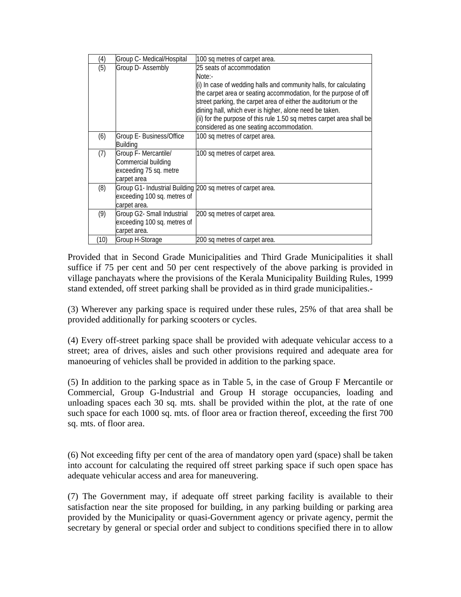| (4)  | Group C- Medical/Hospital   | 100 sq metres of carpet area.                                         |
|------|-----------------------------|-----------------------------------------------------------------------|
| (5)  | Group D- Assembly           | 25 seats of accommodation                                             |
|      |                             | Note:-                                                                |
|      |                             | (i) In case of wedding halls and community halls, for calculating     |
|      |                             | the carpet area or seating accommodation, for the purpose of off      |
|      |                             | street parking, the carpet area of either the auditorium or the       |
|      |                             | dining hall, which ever is higher, alone need be taken.               |
|      |                             | (ii) for the purpose of this rule 1.50 sq metres carpet area shall be |
|      |                             | considered as one seating accommodation.                              |
| (6)  | Group E- Business/Office    | 100 sq metres of carpet area.                                         |
|      | <b>Building</b>             |                                                                       |
| (7)  | Group F- Mercantile/        | 100 sq metres of carpet area.                                         |
|      | Commercial building         |                                                                       |
|      | exceeding 75 sq. metre      |                                                                       |
|      | carpet area                 |                                                                       |
| (8)  |                             | Group G1- Industrial Building 200 sq metres of carpet area.           |
|      | exceeding 100 sq. metres of |                                                                       |
|      | carpet area.                |                                                                       |
| (9)  | Group G2- Small Industrial  | 200 sq metres of carpet area.                                         |
|      | exceeding 100 sq. metres of |                                                                       |
|      | carpet area.                |                                                                       |
| (10) | Group H-Storage             | 200 sq metres of carpet area.                                         |

Provided that in Second Grade Municipalities and Third Grade Municipalities it shall suffice if 75 per cent and 50 per cent respectively of the above parking is provided in village panchayats where the provisions of the Kerala Municipality Building Rules, 1999 stand extended, off street parking shall be provided as in third grade municipalities.-

(3) Wherever any parking space is required under these rules, 25% of that area shall be provided additionally for parking scooters or cycles.

(4) Every off-street parking space shall be provided with adequate vehicular access to a street; area of drives, aisles and such other provisions required and adequate area for manoeuring of vehicles shall be provided in addition to the parking space.

(5) In addition to the parking space as in Table 5, in the case of Group F Mercantile or Commercial, Group G-Industrial and Group H storage occupancies, loading and unloading spaces each 30 sq. mts. shall be provided within the plot, at the rate of one such space for each 1000 sq. mts. of floor area or fraction thereof, exceeding the first 700 sq. mts. of floor area.

(6) Not exceeding fifty per cent of the area of mandatory open yard (space) shall be taken into account for calculating the required off street parking space if such open space has adequate vehicular access and area for maneuvering.

(7) The Government may, if adequate off street parking facility is available to their satisfaction near the site proposed for building, in any parking building or parking area provided by the Municipality or quasi-Government agency or private agency, permit the secretary by general or special order and subject to conditions specified there in to allow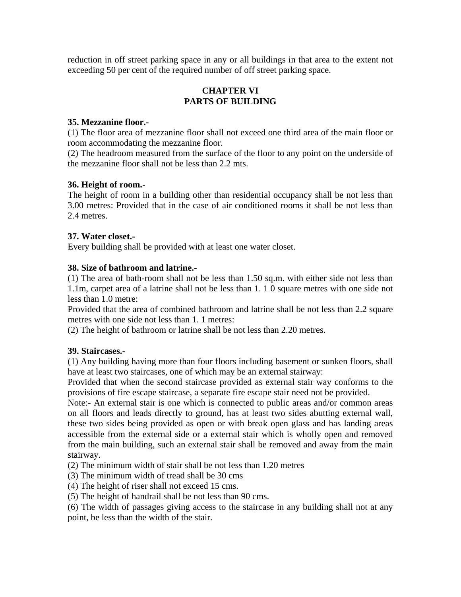reduction in off street parking space in any or all buildings in that area to the extent not exceeding 50 per cent of the required number of off street parking space.

# **CHAPTER VI PARTS OF BUILDING**

# **35. Mezzanine floor.-**

(1) The floor area of mezzanine floor shall not exceed one third area of the main floor or room accommodating the mezzanine floor.

(2) The headroom measured from the surface of the floor to any point on the underside of the mezzanine floor shall not be less than 2.2 mts.

# **36. Height of room.-**

The height of room in a building other than residential occupancy shall be not less than 3.00 metres: Provided that in the case of air conditioned rooms it shall be not less than 2.4 metres.

# **37. Water closet.-**

Every building shall be provided with at least one water closet.

# **38. Size of bathroom and latrine.-**

(1) The area of bath-room shall not be less than 1.50 sq.m. with either side not less than 1.1m, carpet area of a latrine shall not be less than 1. 1 0 square metres with one side not less than 1.0 metre:

Provided that the area of combined bathroom and latrine shall be not less than 2.2 square metres with one side not less than 1. 1 metres:

(2) The height of bathroom or latrine shall be not less than 2.20 metres.

## **39. Staircases.-**

(1) Any building having more than four floors including basement or sunken floors, shall have at least two staircases, one of which may be an external stairway:

Provided that when the second staircase provided as external stair way conforms to the provisions of fire escape staircase, a separate fire escape stair need not be provided.

Note:- An external stair is one which is connected to public areas and/or common areas on all floors and leads directly to ground, has at least two sides abutting external wall, these two sides being provided as open or with break open glass and has landing areas accessible from the external side or a external stair which is wholly open and removed from the main building, such an external stair shall be removed and away from the main stairway.

(2) The minimum width of stair shall be not less than 1.20 metres

(3) The minimum width of tread shall be 30 cms

(4) The height of riser shall not exceed 15 cms.

(5) The height of handrail shall be not less than 90 cms.

(6) The width of passages giving access to the staircase in any building shall not at any point, be less than the width of the stair.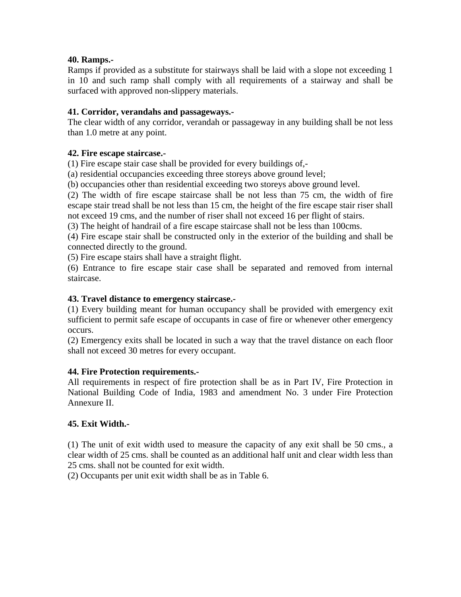# **40. Ramps.-**

Ramps if provided as a substitute for stairways shall be laid with a slope not exceeding 1 in 10 and such ramp shall comply with all requirements of a stairway and shall be surfaced with approved non-slippery materials.

# **41. Corridor, verandahs and passageways.-**

The clear width of any corridor, verandah or passageway in any building shall be not less than 1.0 metre at any point.

# **42. Fire escape staircase.-**

(1) Fire escape stair case shall be provided for every buildings of,-

(a) residential occupancies exceeding three storeys above ground level;

(b) occupancies other than residential exceeding two storeys above ground level.

(2) The width of fire escape staircase shall be not less than 75 cm, the width of fire escape stair tread shall be not less than 15 cm, the height of the fire escape stair riser shall not exceed 19 cms, and the number of riser shall not exceed 16 per flight of stairs.

(3) The height of handrail of a fire escape staircase shall not be less than 100cms.

(4) Fire escape stair shall be constructed only in the exterior of the building and shall be connected directly to the ground.

(5) Fire escape stairs shall have a straight flight.

(6) Entrance to fire escape stair case shall be separated and removed from internal staircase.

# **43. Travel distance to emergency staircase.-**

(1) Every building meant for human occupancy shall be provided with emergency exit sufficient to permit safe escape of occupants in case of fire or whenever other emergency occurs.

(2) Emergency exits shall be located in such a way that the travel distance on each floor shall not exceed 30 metres for every occupant.

## **44. Fire Protection requirements.-**

All requirements in respect of fire protection shall be as in Part IV, Fire Protection in National Building Code of India, 1983 and amendment No. 3 under Fire Protection Annexure II.

# **45. Exit Width.-**

(1) The unit of exit width used to measure the capacity of any exit shall be 50 cms., a clear width of 25 cms. shall be counted as an additional half unit and clear width less than 25 cms. shall not be counted for exit width.

(2) Occupants per unit exit width shall be as in Table 6.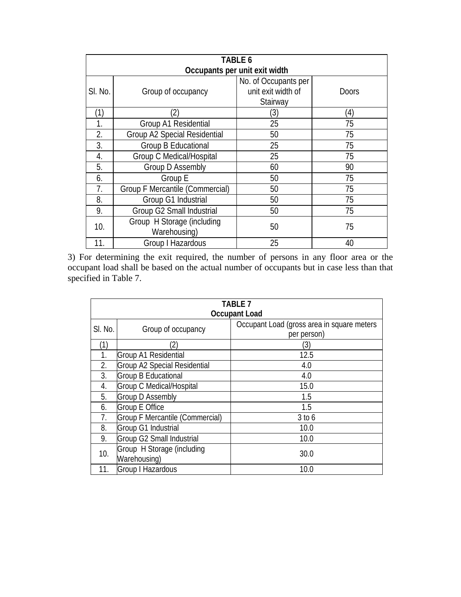|                  | TABLE 6                                    |                                                        |              |  |  |
|------------------|--------------------------------------------|--------------------------------------------------------|--------------|--|--|
|                  | Occupants per unit exit width              |                                                        |              |  |  |
| SI. No.          | Group of occupancy                         | No. of Occupants per<br>unit exit width of<br>Stairway | <b>Doors</b> |  |  |
| (1)              | $\left( 2\right)$                          | (3)                                                    | (4)          |  |  |
| 1.               | Group A1 Residential                       | 25                                                     | 75           |  |  |
| $\overline{2}$ . | Group A2 Special Residential               | 50                                                     | 75           |  |  |
| 3.               | Group B Educational                        | 25                                                     | 75           |  |  |
| 4.               | Group C Medical/Hospital                   | 25                                                     | 75           |  |  |
| 5.               | <b>Group D Assembly</b>                    | 60                                                     | 90           |  |  |
| 6.               | Group E                                    | 50                                                     | 75           |  |  |
| 7.               | <b>Group F Mercantile (Commercial)</b>     | 50                                                     | 75           |  |  |
| 8.               | Group G1 Industrial                        | 50                                                     | 75           |  |  |
| 9.               | Group G2 Small Industrial                  | 50                                                     | 75           |  |  |
| 10.              | Group H Storage (including<br>Warehousing) | 50                                                     | 75           |  |  |
| 11.              | Group I Hazardous                          | 25                                                     | 40           |  |  |

3) For determining the exit required, the number of persons in any floor area or the occupant load shall be based on the actual number of occupants but in case less than that specified in Table 7.

|         | <b>TABLE 7</b>                             |                                                           |  |  |  |
|---------|--------------------------------------------|-----------------------------------------------------------|--|--|--|
|         | <b>Occupant Load</b>                       |                                                           |  |  |  |
| SI. No. | Group of occupancy                         | Occupant Load (gross area in square meters<br>per person) |  |  |  |
| (1)     | (2)                                        | (3)                                                       |  |  |  |
| 1.      | Group A1 Residential                       | 12.5                                                      |  |  |  |
| 2.      | <b>Group A2 Special Residential</b>        | 4.0                                                       |  |  |  |
| 3.      | Group B Educational                        | 4.0                                                       |  |  |  |
| 4.      | Group C Medical/Hospital                   | 15.0                                                      |  |  |  |
| 5.      | <b>Group D Assembly</b>                    | 1.5                                                       |  |  |  |
| 6.      | <b>Group E Office</b>                      | 1.5                                                       |  |  |  |
| 7.      | Group F Mercantile (Commercial)            | $3$ to 6                                                  |  |  |  |
| 8.      | Group G1 Industrial                        | 10.0                                                      |  |  |  |
| 9.      | Group G2 Small Industrial                  | 10.0                                                      |  |  |  |
| 10.     | Group H Storage (including<br>Warehousing) | 30.0                                                      |  |  |  |
| 11.     | Group I Hazardous                          | 10.0                                                      |  |  |  |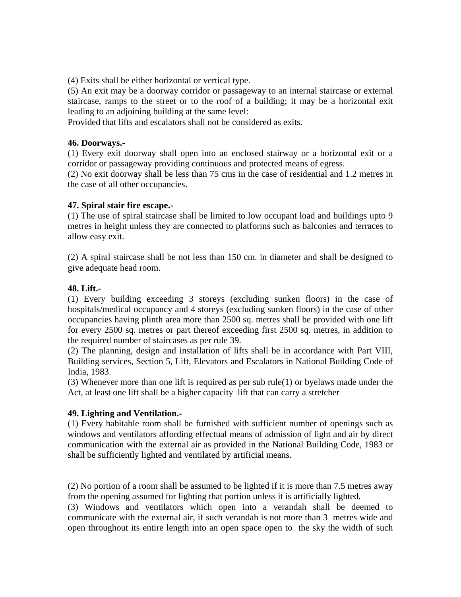(4) Exits shall be either horizontal or vertical type.

(5) An exit may be a doorway corridor or passageway to an internal staircase or external staircase, ramps to the street or to the roof of a building; it may be a horizontal exit leading to an adjoining building at the same level:

Provided that lifts and escalators shall not be considered as exits.

#### **46. Doorways.-**

(1) Every exit doorway shall open into an enclosed stairway or a horizontal exit or a corridor or passageway providing continuous and protected means of egress.

(2) No exit doorway shall be less than 75 cms in the case of residential and 1.2 metres in the case of all other occupancies.

#### **47. Spiral stair fire escape.-**

(1) The use of spiral staircase shall be limited to low occupant load and buildings upto 9 metres in height unless they are connected to platforms such as balconies and terraces to allow easy exit.

(2) A spiral staircase shall be not less than 150 cm. in diameter and shall be designed to give adequate head room.

#### **48. Lift.-**

(1) Every building exceeding 3 storeys (excluding sunken floors) in the case of hospitals/medical occupancy and 4 storeys (excluding sunken floors) in the case of other occupancies having plinth area more than 2500 sq. metres shall be provided with one lift for every 2500 sq. metres or part thereof exceeding first 2500 sq. metres, in addition to the required number of staircases as per rule 39.

(2) The planning, design and installation of lifts shall be in accordance with Part VIII, Building services, Section 5, Lift, Elevators and Escalators in National Building Code of India, 1983.

(3) Whenever more than one lift is required as per sub rule(1) or byelaws made under the Act, at least one lift shall be a higher capacity lift that can carry a stretcher

## **49. Lighting and Ventilation.-**

(1) Every habitable room shall be furnished with sufficient number of openings such as windows and ventilators affording effectual means of admission of light and air by direct communication with the external air as provided in the National Building Code, 1983 or shall be sufficiently lighted and ventilated by artificial means.

(2) No portion of a room shall be assumed to be lighted if it is more than 7.5 metres away from the opening assumed for lighting that portion unless it is artificially lighted.

(3) Windows and ventilators which open into a verandah shall be deemed to communicate with the external air, if such verandah is not more than 3 metres wide and open throughout its entire length into an open space open to the sky the width of such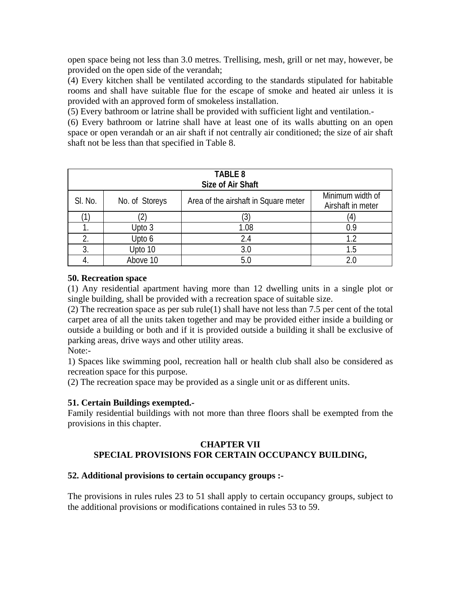open space being not less than 3.0 metres. Trellising, mesh, grill or net may, however, be provided on the open side of the verandah;

(4) Every kitchen shall be ventilated according to the standards stipulated for habitable rooms and shall have suitable flue for the escape of smoke and heated air unless it is provided with an approved form of smokeless installation.

(5) Every bathroom or latrine shall be provided with sufficient light and ventilation.-

(6) Every bathroom or latrine shall have at least one of its walls abutting on an open space or open verandah or an air shaft if not centrally air conditioned; the size of air shaft shaft not be less than that specified in Table 8.

| TABLE 8<br>Size of Air Shaft                                                                               |          |      |     |  |
|------------------------------------------------------------------------------------------------------------|----------|------|-----|--|
| Minimum width of<br>SI. No.<br>Area of the airshaft in Square meter<br>No. of Storeys<br>Airshaft in meter |          |      |     |  |
|                                                                                                            |          |      |     |  |
|                                                                                                            | Upto 3   | 1.08 | 0.9 |  |
| 2.                                                                                                         | Upto 6   | 2.4  | 1.2 |  |
| 3.                                                                                                         | Upto 10  | 3.0  | 1.5 |  |
|                                                                                                            | Above 10 | 5.(  |     |  |

# **50. Recreation space**

(1) Any residential apartment having more than 12 dwelling units in a single plot or single building, shall be provided with a recreation space of suitable size.

(2) The recreation space as per sub rule(1) shall have not less than 7.5 per cent of the total carpet area of all the units taken together and may be provided either inside a building or outside a building or both and if it is provided outside a building it shall be exclusive of parking areas, drive ways and other utility areas.

Note:-

1) Spaces like swimming pool, recreation hall or health club shall also be considered as recreation space for this purpose.

(2) The recreation space may be provided as a single unit or as different units.

# **51. Certain Buildings exempted.-**

Family residential buildings with not more than three floors shall be exempted from the provisions in this chapter.

# **CHAPTER VII SPECIAL PROVISIONS FOR CERTAIN OCCUPANCY BUILDING,**

## **52. Additional provisions to certain occupancy groups :-**

The provisions in rules rules 23 to 51 shall apply to certain occupancy groups, subject to the additional provisions or modifications contained in rules 53 to 59.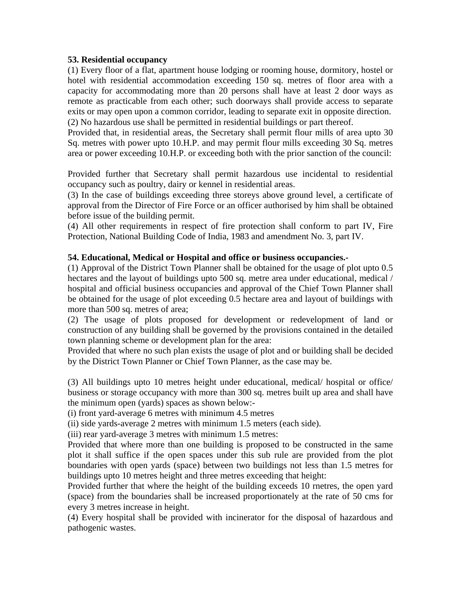## **53. Residential occupancy**

(1) Every floor of a flat, apartment house lodging or rooming house, dormitory, hostel or hotel with residential accommodation exceeding 150 sq. metres of floor area with a capacity for accommodating more than 20 persons shall have at least 2 door ways as remote as practicable from each other; such doorways shall provide access to separate exits or may open upon a common corridor, leading to separate exit in opposite direction. (2) No hazardous use shall be permitted in residential buildings or part thereof.

Provided that, in residential areas, the Secretary shall permit flour mills of area upto 30 Sq. metres with power upto 10.H.P. and may permit flour mills exceeding 30 Sq. metres area or power exceeding 10.H.P. or exceeding both with the prior sanction of the council:

Provided further that Secretary shall permit hazardous use incidental to residential occupancy such as poultry, dairy or kennel in residential areas.

(3) In the case of buildings exceeding three storeys above ground level, a certificate of approval from the Director of Fire Force or an officer authorised by him shall be obtained before issue of the building permit.

(4) All other requirements in respect of fire protection shall conform to part IV, Fire Protection, National Building Code of India, 1983 and amendment No. 3, part IV.

# **54. Educational, Medical or Hospital and office or business occupancies.-**

(1) Approval of the District Town Planner shall be obtained for the usage of plot upto 0.5 hectares and the layout of buildings upto 500 sq. metre area under educational, medical / hospital and official business occupancies and approval of the Chief Town Planner shall be obtained for the usage of plot exceeding 0.5 hectare area and layout of buildings with more than 500 sq. metres of area;

(2) The usage of plots proposed for development or redevelopment of land or construction of any building shall be governed by the provisions contained in the detailed town planning scheme or development plan for the area:

Provided that where no such plan exists the usage of plot and or building shall be decided by the District Town Planner or Chief Town Planner, as the case may be.

(3) All buildings upto 10 metres height under educational, medical/ hospital or office/ business or storage occupancy with more than 300 sq. metres built up area and shall have the minimum open (yards) spaces as shown below:-

(i) front yard-average 6 metres with minimum 4.5 metres

(ii) side yards-average 2 metres with minimum 1.5 meters (each side).

(iii) rear yard-average 3 metres with minimum 1.5 metres:

Provided that where more than one building is proposed to be constructed in the same plot it shall suffice if the open spaces under this sub rule are provided from the plot boundaries with open yards (space) between two buildings not less than 1.5 metres for buildings upto 10 metres height and three metres exceeding that height:

Provided further that where the height of the building exceeds 10 rnetres, the open yard (space) from the boundaries shall be increased proportionately at the rate of 50 cms for every 3 metres increase in height.

(4) Every hospital shall be provided with incinerator for the disposal of hazardous and pathogenic wastes.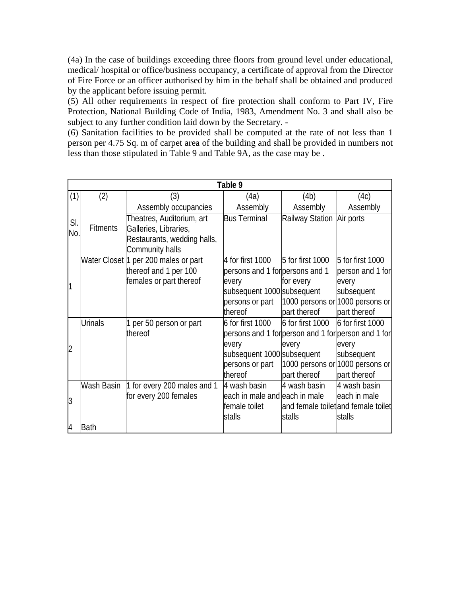(4a) In the case of buildings exceeding three floors from ground level under educational, medical/ hospital or office/business occupancy, a certificate of approval from the Director of Fire Force or an officer authorised by him in the behalf shall be obtained and produced by the applicant before issuing permit.

(5) All other requirements in respect of fire protection shall conform to Part IV, Fire Protection, National Building Code of India, 1983, Amendment No. 3 and shall also be subject to any further condition laid down by the Secretary. -

(6) Sanitation facilities to be provided shall be computed at the rate of not less than 1 person per 4.75 Sq. m of carpet area of the building and shall be provided in numbers not less than those stipulated in Table 9 and Table 9A, as the case may be .

|                |                 |                                      | Table 9                                             |                           |                                     |
|----------------|-----------------|--------------------------------------|-----------------------------------------------------|---------------------------|-------------------------------------|
| (1)            | (2)             | (3)                                  | (4a)                                                | (4b)                      | (4c)                                |
| SI.            |                 | Assembly occupancies                 | Assembly                                            | Assembly                  | Assembly                            |
|                |                 | Theatres, Auditorium, art            | <b>Bus Terminal</b>                                 | Railway Station Air ports |                                     |
| No.            | <b>Fitments</b> | Galleries, Libraries,                |                                                     |                           |                                     |
|                |                 | Restaurants, wedding halls,          |                                                     |                           |                                     |
|                |                 | Community halls                      |                                                     |                           |                                     |
|                |                 | Water Closet 1 per 200 males or part | 4 for first 1000                                    | 5 for first 1000          | 5 for first 1000                    |
|                |                 | thereof and 1 per 100                | persons and 1 for persons and 1                     |                           | person and 1 for                    |
| 1              |                 | females or part thereof              | every                                               | for every                 | every                               |
|                |                 |                                      | subsequent 1000 subsequent                          |                           | subsequent                          |
|                |                 |                                      | persons or part                                     |                           | 1000 persons or 1000 persons or     |
|                |                 |                                      | thereof                                             | part thereof              | part thereof                        |
|                | <b>Urinals</b>  | 1 per 50 person or part              | $6$ for first 1000                                  | 6 for first 1000          | 6 for first 1000                    |
|                |                 | thereof                              | persons and 1 for person and 1 for person and 1 for |                           |                                     |
| $\overline{2}$ |                 |                                      | every                                               | every                     | every                               |
|                |                 |                                      | subsequent 1000 subsequent                          |                           | subsequent                          |
|                |                 |                                      | persons or part                                     |                           | 1000 persons or 1000 persons or     |
|                |                 |                                      | thereof                                             | part thereof              | part thereof                        |
|                | Wash Basin      | 1 for every 200 males and 1          | 4 wash basin                                        | 4 wash basin              | 4 wash basin                        |
| 3              |                 | for every 200 females                | each in male and each in male                       |                           | each in male                        |
|                |                 |                                      | female toilet                                       |                           | and female toilet and female toilet |
|                |                 |                                      | stalls                                              | stalls                    | stalls                              |
| 4              | <b>Bath</b>     |                                      |                                                     |                           |                                     |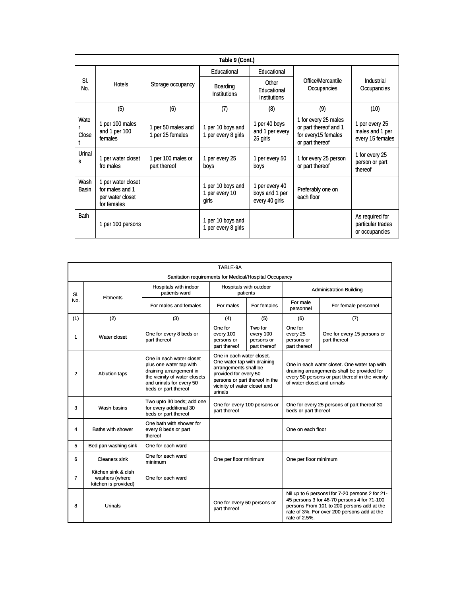|                      | Table 9 (Cont.)                                                          |                                        |                                              |                                                    |                                                                                         |                                                        |
|----------------------|--------------------------------------------------------------------------|----------------------------------------|----------------------------------------------|----------------------------------------------------|-----------------------------------------------------------------------------------------|--------------------------------------------------------|
|                      |                                                                          |                                        | Educational                                  | Educational                                        |                                                                                         |                                                        |
| SI.<br>No.           | Hotels                                                                   | Storage occupancy                      | Boarding<br><b>Institutions</b>              | Other<br>Educational<br><b>Institutions</b>        | Office/Mercantile<br>Occupancies                                                        | Industrial<br>Occupancies                              |
|                      | (5)                                                                      | (6)                                    | (7)                                          | (8)                                                | (9)                                                                                     | (10)                                                   |
| Wate<br>Close        | 1 per 100 males<br>and 1 per 100<br>females                              | 1 per 50 males and<br>1 per 25 females | 1 per 10 boys and<br>1 per every 8 girls     | 1 per 40 boys<br>and 1 per every<br>25 girls       | 1 for every 25 males<br>or part thereof and 1<br>for every15 females<br>or part thereof | 1 per every 25<br>males and 1 per<br>every 15 females  |
| Urinal<br>S          | 1 per water closet<br>fro males                                          | 1 per 100 males or<br>part thereof     | 1 per every 25<br>boys                       | 1 per every 50<br>boys                             | 1 for every 25 person<br>or part thereof                                                | 1 for every 25<br>person or part<br>thereof            |
| Wash<br><b>Basin</b> | 1 per water closet<br>for males and 1<br>per water closet<br>for females |                                        | 1 per 10 boys and<br>1 per every 10<br>girls | 1 per every 40<br>boys and 1 per<br>every 40 girls | Preferably one on<br>each floor                                                         |                                                        |
| <b>Bath</b>          | 1 per 100 persons                                                        |                                        | 1 per 10 boys and<br>1 per every 8 girls     |                                                    |                                                                                         | As required for<br>particular trades<br>or occupancies |

| TABLE-9A       |                                                               |                                                                                                                                                                     |                                                                                                                                                                                         |                                                    |                                                                                                                                                                                |                                                                                                                                                                                            |  |
|----------------|---------------------------------------------------------------|---------------------------------------------------------------------------------------------------------------------------------------------------------------------|-----------------------------------------------------------------------------------------------------------------------------------------------------------------------------------------|----------------------------------------------------|--------------------------------------------------------------------------------------------------------------------------------------------------------------------------------|--------------------------------------------------------------------------------------------------------------------------------------------------------------------------------------------|--|
|                | Sanitation requirements for Medical/Hospital Occupancy        |                                                                                                                                                                     |                                                                                                                                                                                         |                                                    |                                                                                                                                                                                |                                                                                                                                                                                            |  |
| SI.<br>No.     | <b>Fitments</b>                                               | Hospitals with indoor<br>patients ward                                                                                                                              | Hospitals with outdoor<br>patients                                                                                                                                                      |                                                    |                                                                                                                                                                                | <b>Administration Building</b>                                                                                                                                                             |  |
|                |                                                               | For males and females                                                                                                                                               | For males                                                                                                                                                                               | For females                                        | For male<br>personnel                                                                                                                                                          | For female personnel                                                                                                                                                                       |  |
| (1)            | (2)                                                           | (3)                                                                                                                                                                 | (4)                                                                                                                                                                                     | (5)                                                | (6)                                                                                                                                                                            | (7)                                                                                                                                                                                        |  |
| 1              | Water closet                                                  | One for every 8 beds or<br>part thereof                                                                                                                             | One for<br>every 100<br>persons or<br>part thereof                                                                                                                                      | Two for<br>every 100<br>persons or<br>part thereof | One for<br>every 25<br>persons or<br>part thereof                                                                                                                              | One for every 15 persons or<br>part thereof                                                                                                                                                |  |
| $\overline{2}$ | <b>Ablution taps</b>                                          | One in each water closet<br>plus one water tap with<br>draining arrangement in<br>the vicinity of water closets<br>and urinals for every 50<br>beds or part thereof | One in each water closet.<br>One water tap with draining<br>arrangements shall be<br>provided for every 50<br>persons or part thereof in the<br>vicinity of water closet and<br>urinals |                                                    | One in each water closet. One water tap with<br>draining arrangements shall be provided for<br>every 50 persons or part thereof in the vicinity<br>of water closet and urinals |                                                                                                                                                                                            |  |
| 3              | Wash basins                                                   | Two upto 30 beds; add one<br>for every additional 30<br>beds or part thereof                                                                                        | part thereof                                                                                                                                                                            | One for every 100 persons or                       | beds or part thereof                                                                                                                                                           | One for every 25 persons of part thereof 30                                                                                                                                                |  |
| 4              | Baths with shower                                             | One bath with shower for<br>every 8 beds or part<br>thereof                                                                                                         |                                                                                                                                                                                         |                                                    | One on each floor                                                                                                                                                              |                                                                                                                                                                                            |  |
| 5              | Bed pan washing sink                                          | One for each ward                                                                                                                                                   |                                                                                                                                                                                         |                                                    |                                                                                                                                                                                |                                                                                                                                                                                            |  |
| 6              | <b>Cleaners sink</b>                                          | One for each ward<br>minimum                                                                                                                                        | One per floor minimum                                                                                                                                                                   |                                                    | One per floor minimum                                                                                                                                                          |                                                                                                                                                                                            |  |
| $\overline{7}$ | Kitchen sink & dish<br>washers (where<br>kitchen is provided) | One for each ward                                                                                                                                                   |                                                                                                                                                                                         |                                                    |                                                                                                                                                                                |                                                                                                                                                                                            |  |
| 8              | Urinals                                                       |                                                                                                                                                                     | One for every 50 persons or<br>part thereof                                                                                                                                             |                                                    | rate of 2.5%.                                                                                                                                                                  | Nil up to 6 persons1for 7-20 persons 2 for 21-<br>45 persons 3 for 46-70 persons 4 for 71-100<br>persons From 101 to 200 persons add at the<br>rate of 3%. For over 200 persons add at the |  |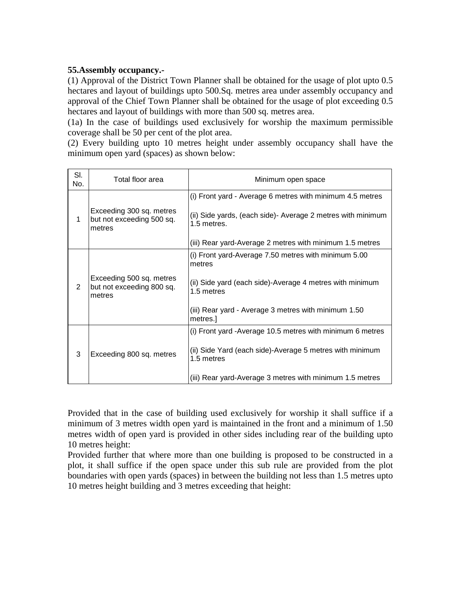# **55.Assembly occupancy.-**

(1) Approval of the District Town Planner shall be obtained for the usage of plot upto 0.5 hectares and layout of buildings upto 500.Sq. metres area under assembly occupancy and approval of the Chief Town Planner shall be obtained for the usage of plot exceeding 0.5 hectares and layout of buildings with more than 500 sq. metres area.

(1a) In the case of buildings used exclusively for worship the maximum permissible coverage shall be 50 per cent of the plot area.

(2) Every building upto 10 metres height under assembly occupancy shall have the minimum open yard (spaces) as shown below:

| SI.<br>No. | Total floor area                                                | Minimum open space                                                          |
|------------|-----------------------------------------------------------------|-----------------------------------------------------------------------------|
|            |                                                                 | (i) Front yard - Average 6 metres with minimum 4.5 metres                   |
| 1          | Exceeding 300 sq. metres<br>but not exceeding 500 sq.<br>metres | (ii) Side yards, (each side) - Average 2 metres with minimum<br>1.5 metres. |
|            |                                                                 | (iii) Rear yard-Average 2 metres with minimum 1.5 metres                    |
|            |                                                                 | (i) Front yard-Average 7.50 metres with minimum 5.00<br>metres              |
| 2          | Exceeding 500 sq. metres<br>but not exceeding 800 sq.<br>metres | (ii) Side yard (each side)-Average 4 metres with minimum<br>1.5 metres      |
|            |                                                                 | (iii) Rear yard - Average 3 metres with minimum 1.50<br>metres.             |
|            |                                                                 | (i) Front yard - Average 10.5 metres with minimum 6 metres                  |
| 3          | Exceeding 800 sq. metres                                        | (ii) Side Yard (each side)-Average 5 metres with minimum<br>1.5 metres      |
|            |                                                                 | (iii) Rear yard-Average 3 metres with minimum 1.5 metres                    |

Provided that in the case of building used exclusively for worship it shall suffice if a minimum of 3 metres width open yard is maintained in the front and a minimum of 1.50 metres width of open yard is provided in other sides including rear of the building upto 10 metres height:

Provided further that where more than one building is proposed to be constructed in a plot, it shall suffice if the open space under this sub rule are provided from the plot boundaries with open yards (spaces) in between the building not less than 1.5 metres upto 10 metres height building and 3 metres exceeding that height: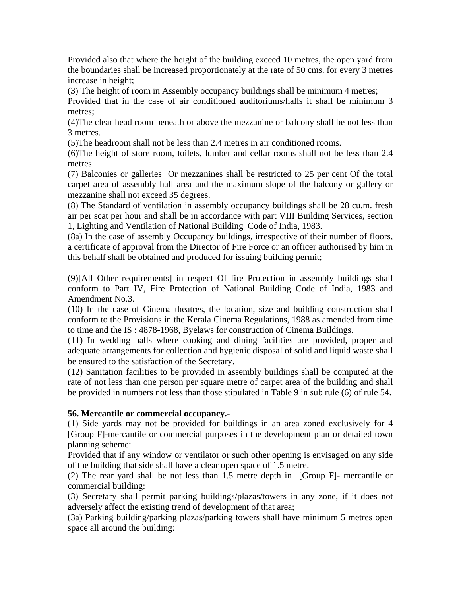Provided also that where the height of the building exceed 10 metres, the open yard from the boundaries shall be increased proportionately at the rate of 50 cms. for every 3 metres increase in height;

(3) The height of room in Assembly occupancy buildings shall be minimum 4 metres;

Provided that in the case of air conditioned auditoriums/halls it shall be minimum 3 metres;

(4)The clear head room beneath or above the mezzanine or balcony shall be not less than 3 metres.

(5)The headroom shall not be less than 2.4 metres in air conditioned rooms.

(6)The height of store room, toilets, lumber and cellar rooms shall not be less than 2.4 metres

(7) Balconies or galleries Or mezzanines shall be restricted to 25 per cent Of the total carpet area of assembly hall area and the maximum slope of the balcony or gallery or mezzanine shall not exceed 35 degrees.

(8) The Standard of ventilation in assembly occupancy buildings shall be 28 cu.m. fresh air per scat per hour and shall be in accordance with part VIII Building Services, section 1, Lighting and Ventilation of National Building Code of India, 1983.

(8a) In the case of assembly Occupancy buildings, irrespective of their number of floors, a certificate of approval from the Director of Fire Force or an officer authorised by him in this behalf shall be obtained and produced for issuing building permit;

(9)[All Other requirements] in respect Of fire Protection in assembly buildings shall conform to Part IV, Fire Protection of National Building Code of India, 1983 and Amendment No.3.

(10) In the case of Cinema theatres, the location, size and building construction shall conform to the Provisions in the Kerala Cinema Regulations, 1988 as amended from time to time and the IS : 4878-1968, Byelaws for construction of Cinema Buildings.

(11) In wedding halls where cooking and dining facilities are provided, proper and adequate arrangements for collection and hygienic disposal of solid and liquid waste shall be ensured to the satisfaction of the Secretary.

(12) Sanitation facilities to be provided in assembly buildings shall be computed at the rate of not less than one person per square metre of carpet area of the building and shall be provided in numbers not less than those stipulated in Table 9 in sub rule (6) of rule 54.

# **56. Mercantile or commercial occupancy.-**

(1) Side yards may not be provided for buildings in an area zoned exclusively for 4 [Group F]-mercantile or commercial purposes in the development plan or detailed town planning scheme:

Provided that if any window or ventilator or such other opening is envisaged on any side of the building that side shall have a clear open space of 1.5 metre.

(2) The rear yard shall be not less than 1.5 metre depth in [Group F]- mercantile or commercial building:

(3) Secretary shall permit parking buildings/plazas/towers in any zone, if it does not adversely affect the existing trend of development of that area;

(3a) Parking building/parking plazas/parking towers shall have minimum 5 metres open space all around the building: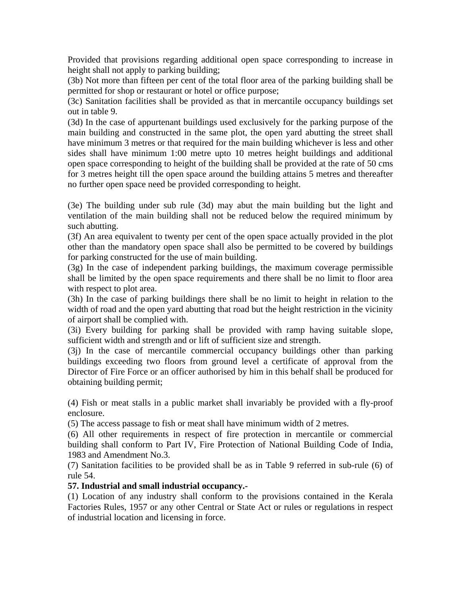Provided that provisions regarding additional open space corresponding to increase in height shall not apply to parking building;

(3b) Not more than fifteen per cent of the total floor area of the parking building shall be permitted for shop or restaurant or hotel or office purpose;

(3c) Sanitation facilities shall be provided as that in mercantile occupancy buildings set out in table 9.

(3d) In the case of appurtenant buildings used exclusively for the parking purpose of the main building and constructed in the same plot, the open yard abutting the street shall have minimum 3 metres or that required for the main building whichever is less and other sides shall have minimum 1:00 metre upto 10 metres height buildings and additional open space corresponding to height of the building shall be provided at the rate of 50 cms for 3 metres height till the open space around the building attains 5 metres and thereafter no further open space need be provided corresponding to height.

(3e) The building under sub rule (3d) may abut the main building but the light and ventilation of the main building shall not be reduced below the required minimum by such abutting.

(3f) An area equivalent to twenty per cent of the open space actually provided in the plot other than the mandatory open space shall also be permitted to be covered by buildings for parking constructed for the use of main building.

(3g) In the case of independent parking buildings, the maximum coverage permissible shall be limited by the open space requirements and there shall be no limit to floor area with respect to plot area.

(3h) In the case of parking buildings there shall be no limit to height in relation to the width of road and the open yard abutting that road but the height restriction in the vicinity of airport shall be complied with.

(3i) Every building for parking shall be provided with ramp having suitable slope, sufficient width and strength and or lift of sufficient size and strength.

(3j) In the case of mercantile commercial occupancy buildings other than parking buildings exceeding two floors from ground level a certificate of approval from the Director of Fire Force or an officer authorised by him in this behalf shall be produced for obtaining building permit;

(4) Fish or meat stalls in a public market shall invariably be provided with a fly-proof enclosure.

(5) The access passage to fish or meat shall have minimum width of 2 metres.

(6) All other requirements in respect of fire protection in mercantile or commercial building shall conform to Part IV, Fire Protection of National Building Code of India, 1983 and Amendment No.3.

(7) Sanitation facilities to be provided shall be as in Table 9 referred in sub-rule (6) of rule 54.

## **57. Industrial and small industrial occupancy.-**

(1) Location of any industry shall conform to the provisions contained in the Kerala Factories Rules, 1957 or any other Central or State Act or rules or regulations in respect of industrial location and licensing in force.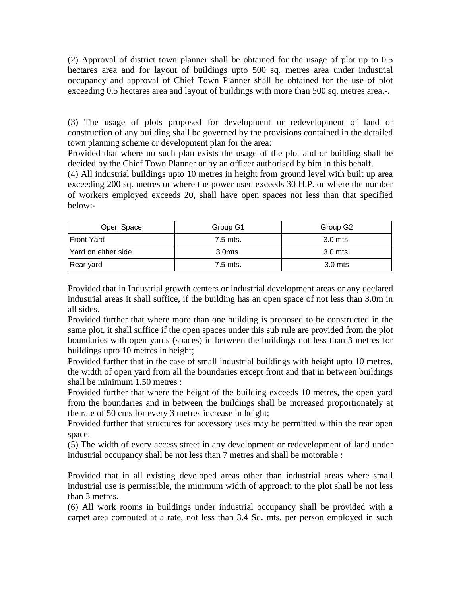(2) Approval of district town planner shall be obtained for the usage of plot up to 0.5 hectares area and for layout of buildings upto 500 sq. metres area under industrial occupancy and approval of Chief Town Planner shall be obtained for the use of plot exceeding 0.5 hectares area and layout of buildings with more than 500 sq. metres area.-.

(3) The usage of plots proposed for development or redevelopment of land or construction of any building shall be governed by the provisions contained in the detailed town planning scheme or development plan for the area:

Provided that where no such plan exists the usage of the plot and or building shall be decided by the Chief Town Planner or by an officer authorised by him in this behalf.

(4) All industrial buildings upto 10 metres in height from ground level with built up area exceeding 200 sq. metres or where the power used exceeds 30 H.P. or where the number of workers employed exceeds 20, shall have open spaces not less than that specified below:-

| Open Space          | Group G1 | Group G2   |
|---------------------|----------|------------|
| <b>IFront Yard</b>  | 7.5 mts. | 3.0 mts.   |
| Yard on either side | 3.0mts.  | $3.0$ mts. |
| Rear yard           | 7.5 mts. | $3.0$ mts  |

Provided that in Industrial growth centers or industrial development areas or any declared industrial areas it shall suffice, if the building has an open space of not less than 3.0m in all sides.

Provided further that where more than one building is proposed to be constructed in the same plot, it shall suffice if the open spaces under this sub rule are provided from the plot boundaries with open yards (spaces) in between the buildings not less than 3 metres for buildings upto 10 metres in height;

Provided further that in the case of small industrial buildings with height upto 10 metres, the width of open yard from all the boundaries except front and that in between buildings shall be minimum 1.50 metres :

Provided further that where the height of the building exceeds 10 metres, the open yard from the boundaries and in between the buildings shall be increased proportionately at the rate of 50 cms for every 3 metres increase in height;

Provided further that structures for accessory uses may be permitted within the rear open space.

(5) The width of every access street in any development or redevelopment of land under industrial occupancy shall be not less than 7 metres and shall be motorable :

Provided that in all existing developed areas other than industrial areas where small industrial use is permissible, the minimum width of approach to the plot shall be not less than 3 metres.

(6) All work rooms in buildings under industrial occupancy shall be provided with a carpet area computed at a rate, not less than 3.4 Sq. mts. per person employed in such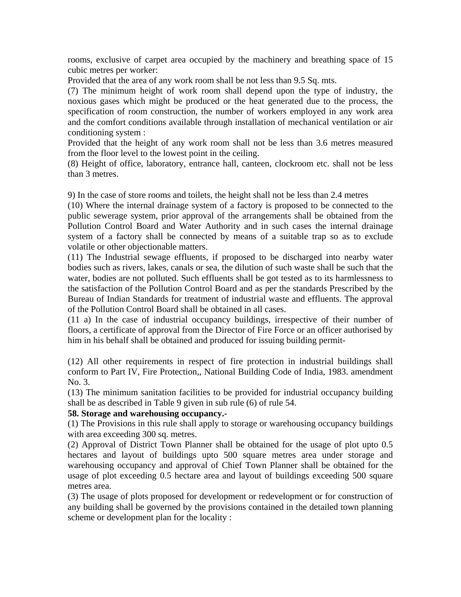rooms, exclusive of carpet area occupied by the machinery and breathing space of 15 cubic metres per worker:

Provided that the area of any work room shall be not less than 9.5 Sq. mts.

(7) The minimum height of work room shall depend upon the type of industry, the noxious gases which might be produced or the heat generated due to the process, the specification of room construction, the number of workers employed in any work area and the comfort conditions available through installation of mechanical ventilation or air conditioning system :

Provided that the height of any work room shall not be less than 3.6 metres measured from the floor level to the lowest point in the ceiling.

(8) Height of office, laboratory, entrance hall, canteen, clockroom etc. shall not be less than 3 metres.

9) In the case of store rooms and toilets, the height shall not be less than 2.4 metres

(10) Where the internal drainage system of a factory is proposed to be connected to the public sewerage system, prior approval of the arrangements shall be obtained from the Pollution Control Board and Water Authority and in such cases the internal drainage system of a factory shall be connected by means of a suitable trap so as to exclude volatile or other objectionable matters.

(11) The Industrial sewage effluents, if proposed to be discharged into nearby water bodies such as rivers, lakes, canals or sea, the dilution of such waste shall be such that the water, bodies are not polluted. Such effluents shall be got tested as to its harmlessness to the satisfaction of the Pollution Control Board and as per the standards Prescribed by the Bureau of Indian Standards for treatment of industrial waste and effluents. The approval of the Pollution Control Board shall be obtained in all cases.

(11 a) In the case of industrial occupancy buildings, irrespective of their number of floors, a certificate of approval from the Director of Fire Force or an officer authorised by him in his behalf shall be obtained and produced for issuing building permit-

(12) All other requirements in respect of fire protection in industrial buildings shall conform to Part IV, Fire Protection,, National Building Code of India, 1983. amendment No. 3.

(13) The minimum sanitation facilities to be provided for industrial occupancy building shall be as described in Table 9 given in sub rule (6) of rule 54.

## **58. Storage and warehousing occupancy.-**

(1) The Provisions in this rule shall apply to storage or warehousing occupancy buildings with area exceeding 300 sq. metres.

(2) Approval of District Town Planner shall be obtained for the usage of plot upto 0.5 hectares and layout of buildings upto 500 square metres area under storage and warehousing occupancy and approval of Chief Town Planner shall be obtained for the usage of plot exceeding 0.5 hectare area and layout of buildings exceeding 500 square metres area.

(3) The usage of plots proposed for development or redevelopment or for construction of any building shall be governed by the provisions contained in the detailed town planning scheme or development plan for the locality :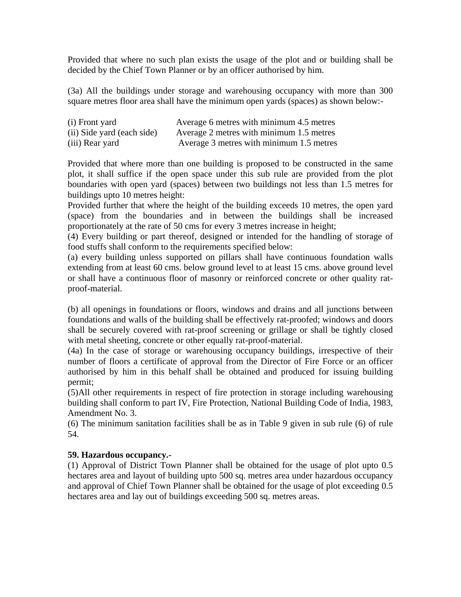Provided that where no such plan exists the usage of the plot and or building shall be decided by the Chief Town Planner or by an officer authorised by him.

(3a) All the buildings under storage and warehousing occupancy with more than 300 square metres floor area shall have the minimum open yards (spaces) as shown below:-

| (i) Front yard             | Average 6 metres with minimum 4.5 metres |
|----------------------------|------------------------------------------|
| (ii) Side yard (each side) | Average 2 metres with minimum 1.5 metres |
| (iii) Rear yard            | Average 3 metres with minimum 1.5 metres |

Provided that where more than one building is proposed to be constructed in the same plot, it shall suffice if the open space under this sub rule are provided from the plot boundaries with open yard (spaces) between two buildings not less than 1.5 metres for buildings upto 10 metres height:

Provided further that where the height of the building exceeds 10 metres, the open yard (space) from the boundaries and in between the buildings shall be increased proportionately at the rate of 50 cms for every 3 metres increase in height;

(4) Every building or part thereof, designed or intended for the handling of storage of food stuffs shall conform to the requirements specified below:

(a) every building unless supported on pillars shall have continuous foundation walls extending from at least 60 cms. below ground level to at least 15 cms. above ground level or shall have a continuous floor of masonry or reinforced concrete or other quality ratproof-material.

(b) all openings in foundations or floors, windows and drains and all junctions between foundations and walls of the building shall be effectively rat-proofed; windows and doors shall be securely covered with rat-proof screening or grillage or shall be tightly closed with metal sheeting, concrete or other equally rat-proof-material.

(4a) In the case of storage or warehousing occupancy buildings, irrespective of their number of floors a certificate of approval from the Director of Fire Force or an officer authorised by him in this behalf shall be obtained and produced for issuing building permit;

(5)All other requirements in respect of fire protection in storage including warehousing building shall conform to part IV, Fire Protection, National Building Code of India, 1983, Amendment No. 3.

(6) The minimum sanitation facilities shall be as in Table 9 given in sub rule (6) of rule 54.

# **59. Hazardous occupancy.-**

(1) Approval of District Town Planner shall be obtained for the usage of plot upto 0.5 hectares area and layout of building upto 500 sq. metres area under hazardous occupancy and approval of Chief Town Planner shall be obtained for the usage of plot exceeding 0.5 hectares area and lay out of buildings exceeding 500 sq. metres areas.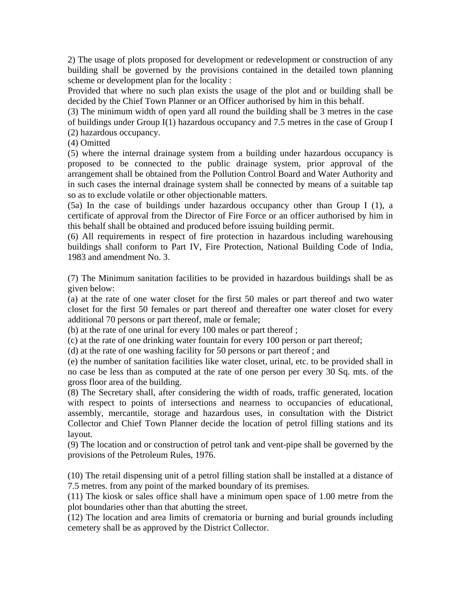2) The usage of plots proposed for development or redevelopment or construction of any building shall be governed by the provisions contained in the detailed town planning scheme or development plan for the locality :

Provided that where no such plan exists the usage of the plot and or building shall be decided by the Chief Town Planner or an Officer authorised by him in this behalf.

(3) The minimum width of open yard all round the building shall be 3 metres in the case of buildings under Group I(1) hazardous occupancy and 7.5 metres in the case of Group I (2) hazardous occupancy.

(4) Omitted

(5) where the internal drainage system from a building under hazardous occupancy is proposed to be connected to the public drainage system, prior approval of the arrangement shall be obtained from the Pollution Control Board and Water Authority and in such cases the internal drainage system shall be connected by means of a suitable tap so as to exclude volatile or other objectionable matters.

(5a) In the case of buildings under hazardous occupancy other than Group I (1), a certificate of approval from the Director of Fire Force or an officer authorised by him in this behalf shall be obtained and produced before issuing building permit.

(6) All requirements in respect of fire protection in hazardous including warehousing buildings shall conform to Part IV, Fire Protection, National Building Code of India, 1983 and amendment No. 3.

(7) The Minimum sanitation facilities to be provided in hazardous buildings shall be as given below:

(a) at the rate of one water closet for the first 50 males or part thereof and two water closet for the first 50 females or part thereof and thereafter one water closet for every additional 70 persons or part thereof, male or female;

(b) at the rate of one urinal for every 100 males or part thereof ;

(c) at the rate of one drinking water fountain for every 100 person or part thereof;

(d) at the rate of one washing facility for 50 persons or part thereof ; and

(e) the number of sanitation facilities like water closet, urinal, etc. to be provided shall in no case be less than as computed at the rate of one person per every 30 Sq. mts. of the gross floor area of the building.

(8) The Secretary shall, after considering the width of roads, traffic generated, location with respect to points of intersections and nearness to occupancies of educational, assembly, mercantile, storage and hazardous uses, in consultation with the District Collector and Chief Town Planner decide the location of petrol filling stations and its layout.

(9) The location and or construction of petrol tank and vent-pipe shall be governed by the provisions of the Petroleum Rules, 1976.

(10) The retail dispensing unit of a petrol filling station shall be installed at a distance of 7.5 metres. from any point of the marked boundary of its premises.

(11) The kiosk or sales office shall have a minimum open space of 1.00 metre from the plot boundaries other than that abutting the street.

(12) The location and area limits of crematoria or burning and burial grounds including cemetery shall be as approved by the District Collector.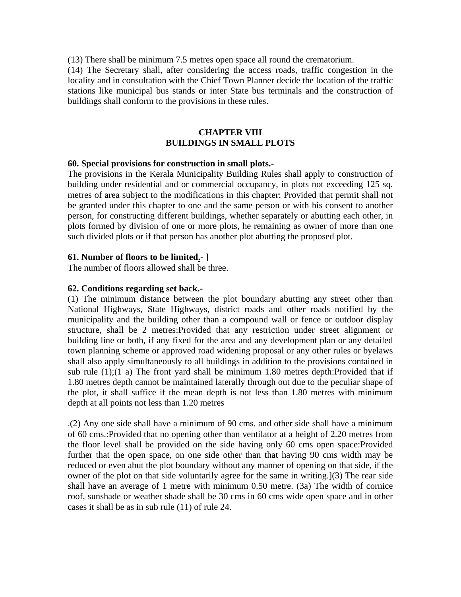(13) There shall be minimum 7.5 metres open space all round the crematorium.

(14) The Secretary shall, after considering the access roads, traffic congestion in the locality and in consultation with the Chief Town Planner decide the location of the traffic stations like municipal bus stands or inter State bus terminals and the construction of buildings shall conform to the provisions in these rules.

# **CHAPTER VIII BUILDINGS IN SMALL PLOTS**

#### **60. Special provisions for construction in small plots.-**

The provisions in the Kerala Municipality Building Rules shall apply to construction of building under residential and or commercial occupancy, in plots not exceeding 125 sq. metres of area subject to the modifications in this chapter: Provided that permit shall not be granted under this chapter to one and the same person or with his consent to another person, for constructing different buildings, whether separately or abutting each other, in plots formed by division of one or more plots, he remaining as owner of more than one such divided plots or if that person has another plot abutting the proposed plot.

#### **61. Number of floors to be limited.-** ]

The number of floors allowed shall be three.

#### **62. Conditions regarding set back.-**

(1) The minimum distance between the plot boundary abutting any street other than National Highways, State Highways, district roads and other roads notified by the municipality and the building other than a compound wall or fence or outdoor display structure, shall be 2 metres:Provided that any restriction under street alignment or building line or both, if any fixed for the area and any development plan or any detailed town planning scheme or approved road widening proposal or any other rules or byelaws shall also apply simultaneously to all buildings in addition to the provisions contained in sub rule  $(1)$ ; $(1 \text{ a})$  The front yard shall be minimum 1.80 metres depth: Provided that if 1.80 metres depth cannot be maintained laterally through out due to the peculiar shape of the plot, it shall suffice if the mean depth is not less than 1.80 metres with minimum depth at all points not less than 1.20 metres

.(2) Any one side shall have a minimum of 90 cms. and other side shall have a minimum of 60 cms.:Provided that no opening other than ventilator at a height of 2.20 metres from the floor level shall be provided on the side having only 60 cms open space:Provided further that the open space, on one side other than that having 90 cms width may be reduced or even abut the plot boundary without any manner of opening on that side, if the owner of the plot on that side voluntarily agree for the same in writing.](3) The rear side shall have an average of 1 metre with minimum 0.50 metre. (3a) The width of cornice roof, sunshade or weather shade shall be 30 cms in 60 cms wide open space and in other cases it shall be as in sub rule (11) of rule 24.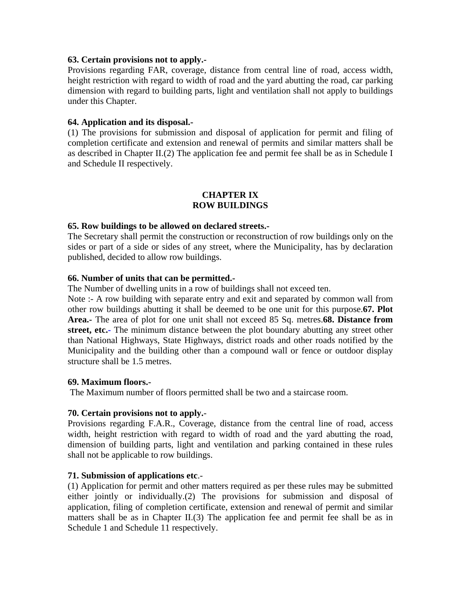#### **63. Certain provisions not to apply.-**

Provisions regarding FAR, coverage, distance from central line of road, access width, height restriction with regard to width of road and the yard abutting the road, car parking dimension with regard to building parts, light and ventilation shall not apply to buildings under this Chapter.

#### **64. Application and its disposal.-**

(1) The provisions for submission and disposal of application for permit and filing of completion certificate and extension and renewal of permits and similar matters shall be as described in Chapter II.(2) The application fee and permit fee shall be as in Schedule I and Schedule II respectively.

#### **CHAPTER IX ROW BUILDINGS**

#### **65. Row buildings to be allowed on declared streets.-**

The Secretary shall permit the construction or reconstruction of row buildings only on the sides or part of a side or sides of any street, where the Municipality, has by declaration published, decided to allow row buildings.

#### **66. Number of units that can be permitted.-**

The Number of dwelling units in a row of buildings shall not exceed ten.

Note :- A row building with separate entry and exit and separated by common wall from other row buildings abutting it shall be deemed to be one unit for this purpose.**67. Plot Area.-** The area of plot for one unit shall not exceed 85 Sq. metres.**68. Distance from street, etc.-** The minimum distance between the plot boundary abutting any street other than National Highways, State Highways, district roads and other roads notified by the Municipality and the building other than a compound wall or fence or outdoor display structure shall be 1.5 metres.

#### **69. Maximum floors.-**

The Maximum number of floors permitted shall be two and a staircase room.

## **70. Certain provisions not to apply.**-

Provisions regarding F.A.R., Coverage, distance from the central line of road, access width, height restriction with regard to width of road and the yard abutting the road, dimension of building parts, light and ventilation and parking contained in these rules shall not be applicable to row buildings.

#### **71. Submission of applications etc**.-

(1) Application for permit and other matters required as per these rules may be submitted either jointly or individually.(2) The provisions for submission and disposal of application, filing of completion certificate, extension and renewal of permit and similar matters shall be as in Chapter II.(3) The application fee and permit fee shall be as in Schedule 1 and Schedule 11 respectively.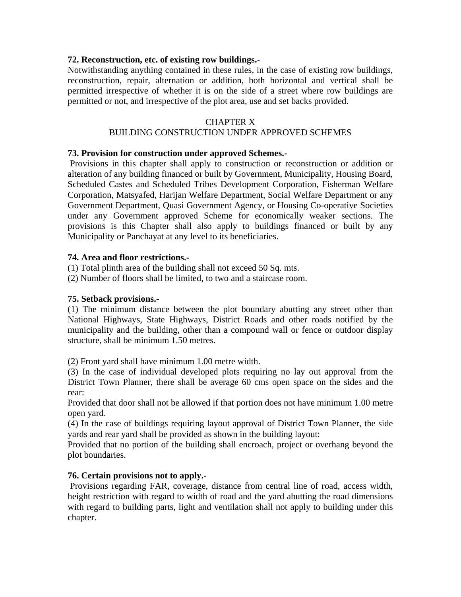## **72. Reconstruction, etc. of existing row buildings.-**

Notwithstanding anything contained in these rules, in the case of existing row buildings, reconstruction, repair, alternation or addition, both horizontal and vertical shall be permitted irrespective of whether it is on the side of a street where row buildings are permitted or not, and irrespective of the plot area, use and set backs provided.

## CHAPTER X

# BUILDING CONSTRUCTION UNDER APPROVED SCHEMES

## **73. Provision for construction under approved Schemes.-**

 Provisions in this chapter shall apply to construction or reconstruction or addition or alteration of any building financed or built by Government, Municipality, Housing Board, Scheduled Castes and Scheduled Tribes Development Corporation, Fisherman Welfare Corporation, Matsyafed, Harijan Welfare Department, Social Welfare Department or any Government Department, Quasi Government Agency, or Housing Co-operative Societies under any Government approved Scheme for economically weaker sections. The provisions is this Chapter shall also apply to buildings financed or built by any Municipality or Panchayat at any level to its beneficiaries.

# **74. Area and floor restrictions.-**

(1) Total plinth area of the building shall not exceed 50 Sq. mts.

(2) Number of floors shall be limited, to two and a staircase room.

## **75. Setback provisions.-**

(1) The minimum distance between the plot boundary abutting any street other than National Highways, State Highways, District Roads and other roads notified by the municipality and the building, other than a compound wall or fence or outdoor display structure, shall be minimum 1.50 metres.

(2) Front yard shall have minimum 1.00 metre width.

(3) In the case of individual developed plots requiring no lay out approval from the District Town Planner, there shall be average 60 cms open space on the sides and the rear:

Provided that door shall not be allowed if that portion does not have minimum 1.00 metre open yard.

(4) In the case of buildings requiring layout approval of District Town Planner, the side yards and rear yard shall be provided as shown in the building layout:

Provided that no portion of the building shall encroach, project or overhang beyond the plot boundaries.

# **76. Certain provisions not to apply.-**

 Provisions regarding FAR, coverage, distance from central line of road, access width, height restriction with regard to width of road and the yard abutting the road dimensions with regard to building parts, light and ventilation shall not apply to building under this chapter.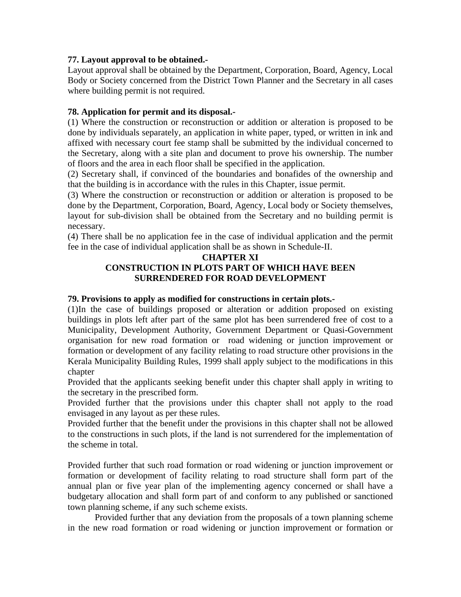# **77. Layout approval to be obtained.-**

Layout approval shall be obtained by the Department, Corporation, Board, Agency, Local Body or Society concerned from the District Town Planner and the Secretary in all cases where building permit is not required.

# **78. Application for permit and its disposal.-**

(1) Where the construction or reconstruction or addition or alteration is proposed to be done by individuals separately, an application in white paper, typed, or written in ink and affixed with necessary court fee stamp shall be submitted by the individual concerned to the Secretary, along with a site plan and document to prove his ownership. The number of floors and the area in each floor shall be specified in the application.

(2) Secretary shall, if convinced of the boundaries and bonafides of the ownership and that the building is in accordance with the rules in this Chapter, issue permit.

(3) Where the construction or reconstruction or addition or alteration is proposed to be done by the Department, Corporation, Board, Agency, Local body or Society themselves, layout for sub-division shall be obtained from the Secretary and no building permit is necessary.

(4) There shall be no application fee in the case of individual application and the permit fee in the case of individual application shall be as shown in Schedule-II.

#### **CHAPTER XI**

# **CONSTRUCTION IN PLOTS PART OF WHICH HAVE BEEN SURRENDERED FOR ROAD DEVELOPMENT**

## **79. Provisions to apply as modified for constructions in certain plots.-**

(1)In the case of buildings proposed or alteration or addition proposed on existing buildings in plots left after part of the same plot has been surrendered free of cost to a Municipality, Development Authority, Government Department or Quasi-Government organisation for new road formation or road widening or junction improvement or formation or development of any facility relating to road structure other provisions in the Kerala Municipality Building Rules, 1999 shall apply subject to the modifications in this chapter

Provided that the applicants seeking benefit under this chapter shall apply in writing to the secretary in the prescribed form.

Provided further that the provisions under this chapter shall not apply to the road envisaged in any layout as per these rules.

Provided further that the benefit under the provisions in this chapter shall not be allowed to the constructions in such plots, if the land is not surrendered for the implementation of the scheme in total.

Provided further that such road formation or road widening or junction improvement or formation or development of facility relating to road structure shall form part of the annual plan or five year plan of the implementing agency concerned or shall have a budgetary allocation and shall form part of and conform to any published or sanctioned town planning scheme, if any such scheme exists.

 Provided further that any deviation from the proposals of a town planning scheme in the new road formation or road widening or junction improvement or formation or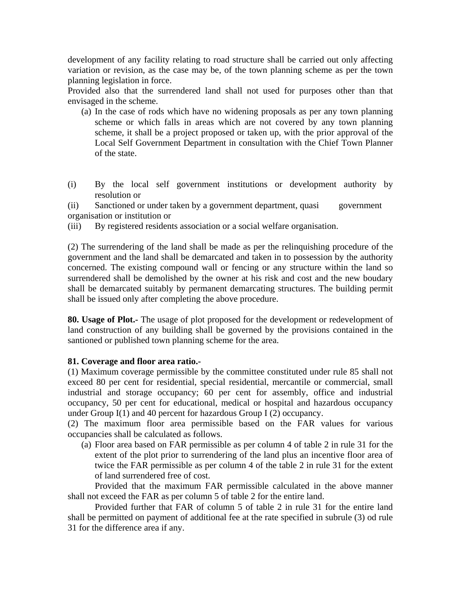development of any facility relating to road structure shall be carried out only affecting variation or revision, as the case may be, of the town planning scheme as per the town planning legislation in force.

Provided also that the surrendered land shall not used for purposes other than that envisaged in the scheme.

- (a) In the case of rods which have no widening proposals as per any town planning scheme or which falls in areas which are not covered by any town planning scheme, it shall be a project proposed or taken up, with the prior approval of the Local Self Government Department in consultation with the Chief Town Planner of the state.
- (i) By the local self government institutions or development authority by resolution or

(ii) Sanctioned or under taken by a government department, quasi government organisation or institution or

(iii) By registered residents association or a social welfare organisation.

(2) The surrendering of the land shall be made as per the relinquishing procedure of the government and the land shall be demarcated and taken in to possession by the authority concerned. The existing compound wall or fencing or any structure within the land so surrendered shall be demolished by the owner at his risk and cost and the new boudary shall be demarcated suitably by permanent demarcating structures. The building permit shall be issued only after completing the above procedure.

**80. Usage of Plot.-** The usage of plot proposed for the development or redevelopment of land construction of any building shall be governed by the provisions contained in the santioned or published town planning scheme for the area.

# **81. Coverage and floor area ratio.-**

(1) Maximum coverage permissible by the committee constituted under rule 85 shall not exceed 80 per cent for residential, special residential, mercantile or commercial, small industrial and storage occupancy; 60 per cent for assembly, office and industrial occupancy, 50 per cent for educational, medical or hospital and hazardous occupancy under Group I(1) and 40 percent for hazardous Group I (2) occupancy.

(2) The maximum floor area permissible based on the FAR values for various occupancies shall be calculated as follows.

(a) Floor area based on FAR permissible as per column 4 of table 2 in rule 31 for the extent of the plot prior to surrendering of the land plus an incentive floor area of twice the FAR permissible as per column 4 of the table 2 in rule 31 for the extent of land surrendered free of cost.

 Provided that the maximum FAR permissible calculated in the above manner shall not exceed the FAR as per column 5 of table 2 for the entire land.

 Provided further that FAR of column 5 of table 2 in rule 31 for the entire land shall be permitted on payment of additional fee at the rate specified in subrule (3) od rule 31 for the difference area if any.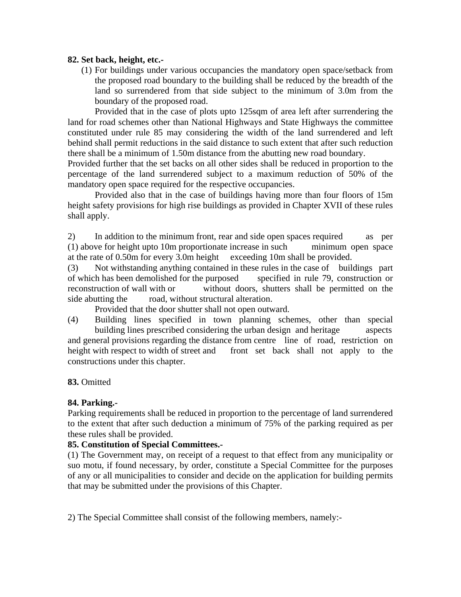## **82. Set back, height, etc.-**

(1) For buildings under various occupancies the mandatory open space/setback from the proposed road boundary to the building shall be reduced by the breadth of the land so surrendered from that side subject to the minimum of 3.0m from the boundary of the proposed road.

 Provided that in the case of plots upto 125sqm of area left after surrendering the land for road schemes other than National Highways and State Highways the committee constituted under rule 85 may considering the width of the land surrendered and left behind shall permit reductions in the said distance to such extent that after such reduction there shall be a minimum of 1.50m distance from the abutting new road boundary.

Provided further that the set backs on all other sides shall be reduced in proportion to the percentage of the land surrendered subject to a maximum reduction of 50% of the mandatory open space required for the respective occupancies.

 Provided also that in the case of buildings having more than four floors of 15m height safety provisions for high rise buildings as provided in Chapter XVII of these rules shall apply.

2) In addition to the minimum front, rear and side open spaces required as per (1) above for height upto 10m proportionate increase in such minimum open space at the rate of 0.50m for every 3.0m height exceeding 10m shall be provided.

(3) Not withstanding anything contained in these rules in the case of buildings part of which has been demolished for the purposed specified in rule 79, construction or reconstruction of wall with or without doors, shutters shall be permitted on the side abutting the road, without structural alteration.

Provided that the door shutter shall not open outward.

(4) Building lines specified in town planning schemes, other than special building lines prescribed considering the urban design and heritage aspects and general provisions regarding the distance from centre line of road, restriction on height with respect to width of street and front set back shall not apply to the constructions under this chapter.

# **83.** Omitted

# **84. Parking.-**

Parking requirements shall be reduced in proportion to the percentage of land surrendered to the extent that after such deduction a minimum of 75% of the parking required as per these rules shall be provided.

## **85. Constitution of Special Committees.-**

(1) The Government may, on receipt of a request to that effect from any municipality or suo motu, if found necessary, by order, constitute a Special Committee for the purposes of any or all municipalities to consider and decide on the application for building permits that may be submitted under the provisions of this Chapter.

2) The Special Committee shall consist of the following members, namely:-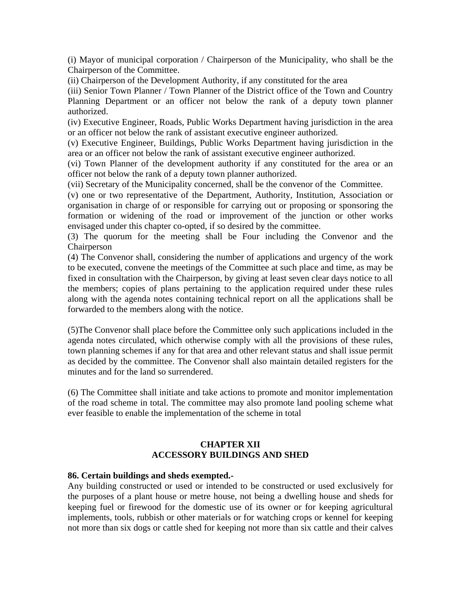(i) Mayor of municipal corporation / Chairperson of the Municipality, who shall be the Chairperson of the Committee.

(ii) Chairperson of the Development Authority, if any constituted for the area

(iii) Senior Town Planner / Town Planner of the District office of the Town and Country Planning Department or an officer not below the rank of a deputy town planner authorized.

(iv) Executive Engineer, Roads, Public Works Department having jurisdiction in the area or an officer not below the rank of assistant executive engineer authorized.

(v) Executive Engineer, Buildings, Public Works Department having jurisdiction in the area or an officer not below the rank of assistant executive engineer authorized.

(vi) Town Planner of the development authority if any constituted for the area or an officer not below the rank of a deputy town planner authorized.

(vii) Secretary of the Municipality concerned, shall be the convenor of the Committee.

(v) one or two representative of the Department, Authority, Institution, Association or organisation in charge of or responsible for carrying out or proposing or sponsoring the formation or widening of the road or improvement of the junction or other works envisaged under this chapter co-opted, if so desired by the committee.

(3) The quorum for the meeting shall be Four including the Convenor and the Chairperson

(4) The Convenor shall, considering the number of applications and urgency of the work to be executed, convene the meetings of the Committee at such place and time, as may be fixed in consultation with the Chairperson, by giving at least seven clear days notice to all the members; copies of plans pertaining to the application required under these rules along with the agenda notes containing technical report on all the applications shall be forwarded to the members along with the notice.

(5)The Convenor shall place before the Committee only such applications included in the agenda notes circulated, which otherwise comply with all the provisions of these rules, town planning schemes if any for that area and other relevant status and shall issue permit as decided by the committee. The Convenor shall also maintain detailed registers for the minutes and for the land so surrendered.

(6) The Committee shall initiate and take actions to promote and monitor implementation of the road scheme in total. The committee may also promote land pooling scheme what ever feasible to enable the implementation of the scheme in total

# **CHAPTER XII ACCESSORY BUILDINGS AND SHED**

## **86. Certain buildings and sheds exempted.-**

Any building constructed or used or intended to be constructed or used exclusively for the purposes of a plant house or metre house, not being a dwelling house and sheds for keeping fuel or firewood for the domestic use of its owner or for keeping agricultural implements, tools, rubbish or other materials or for watching crops or kennel for keeping not more than six dogs or cattle shed for keeping not more than six cattle and their calves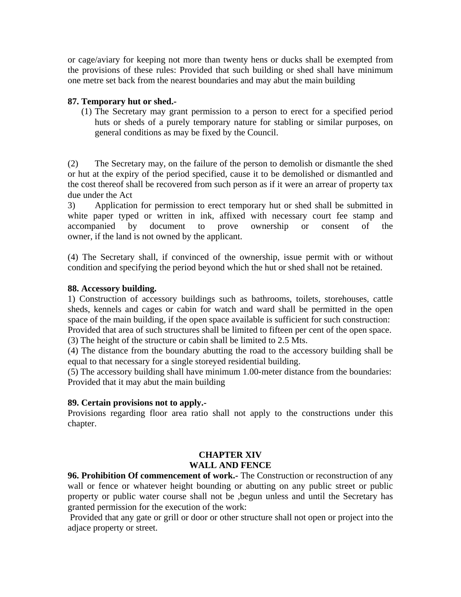or cage/aviary for keeping not more than twenty hens or ducks shall be exempted from the provisions of these rules: Provided that such building or shed shall have minimum one metre set back from the nearest boundaries and may abut the main building

# **87. Temporary hut or shed.-**

(1) The Secretary may grant permission to a person to erect for a specified period huts or sheds of a purely temporary nature for stabling or similar purposes, on general conditions as may be fixed by the Council.

(2) The Secretary may, on the failure of the person to demolish or dismantle the shed or hut at the expiry of the period specified, cause it to be demolished or dismantled and the cost thereof shall be recovered from such person as if it were an arrear of property tax due under the Act

3) Application for permission to erect temporary hut or shed shall be submitted in white paper typed or written in ink, affixed with necessary court fee stamp and accompanied by document to prove ownership or consent of the owner, if the land is not owned by the applicant.

(4) The Secretary shall, if convinced of the ownership, issue permit with or without condition and specifying the period beyond which the hut or shed shall not be retained.

# **88. Accessory building.**

1) Construction of accessory buildings such as bathrooms, toilets, storehouses, cattle sheds, kennels and cages or cabin for watch and ward shall be permitted in the open space of the main building, if the open space available is sufficient for such construction: Provided that area of such structures shall be limited to fifteen per cent of the open space.

(3) The height of the structure or cabin shall be limited to 2.5 Mts.

(4) The distance from the boundary abutting the road to the accessory building shall be equal to that necessary for a single storeyed residential building.

(5) The accessory building shall have minimum 1.00-meter distance from the boundaries: Provided that it may abut the main building

## **89. Certain provisions not to apply.-**

Provisions regarding floor area ratio shall not apply to the constructions under this chapter.

# **CHAPTER XIV WALL AND FENCE**

**96. Prohibition Of commencement of work.-** The Construction or reconstruction of any wall or fence or whatever height bounding or abutting on any public street or public property or public water course shall not be ,begun unless and until the Secretary has granted permission for the execution of the work:

 Provided that any gate or grill or door or other structure shall not open or project into the adjace property or street.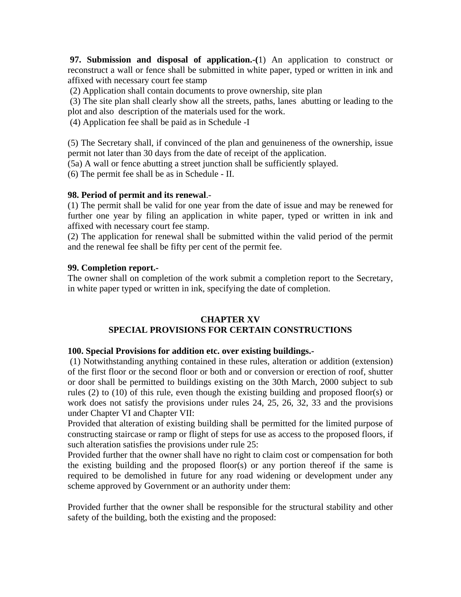**97. Submission and disposal of application.-(**1) An application to construct or reconstruct a wall or fence shall be submitted in white paper, typed or written in ink and affixed with necessary court fee stamp

(2) Application shall contain documents to prove ownership, site plan

 (3) The site plan shall clearly show all the streets, paths, lanes abutting or leading to the plot and also description of the materials used for the work.

(4) Application fee shall be paid as in Schedule -I

(5) The Secretary shall, if convinced of the plan and genuineness of the ownership, issue permit not later than 30 days from the date of receipt of the application.

(5a) A wall or fence abutting a street junction shall be sufficiently splayed.

(6) The permit fee shall be as in Schedule - II.

#### **98. Period of permit and its renewal**.-

(1) The permit shall be valid for one year from the date of issue and may be renewed for further one year by filing an application in white paper, typed or written in ink and affixed with necessary court fee stamp.

(2) The application for renewal shall be submitted within the valid period of the permit and the renewal fee shall be fifty per cent of the permit fee.

#### **99. Completion report.-**

The owner shall on completion of the work submit a completion report to the Secretary, in white paper typed or written in ink, specifying the date of completion.

# **CHAPTER XV**

# **SPECIAL PROVISIONS FOR CERTAIN CONSTRUCTIONS**

## **100. Special Provisions for addition etc. over existing buildings.-**

 (1) Notwithstanding anything contained in these rules, alteration or addition (extension) of the first floor or the second floor or both and or conversion or erection of roof, shutter or door shall be permitted to buildings existing on the 30th March, 2000 subject to sub rules (2) to (10) of this rule, even though the existing building and proposed floor(s) or work does not satisfy the provisions under rules 24, 25, 26, 32, 33 and the provisions under Chapter VI and Chapter VII:

Provided that alteration of existing building shall be permitted for the limited purpose of constructing staircase or ramp or flight of steps for use as access to the proposed floors, if such alteration satisfies the provisions under rule 25:

Provided further that the owner shall have no right to claim cost or compensation for both the existing building and the proposed floor(s) or any portion thereof if the same is required to be demolished in future for any road widening or development under any scheme approved by Government or an authority under them:

Provided further that the owner shall be responsible for the structural stability and other safety of the building, both the existing and the proposed: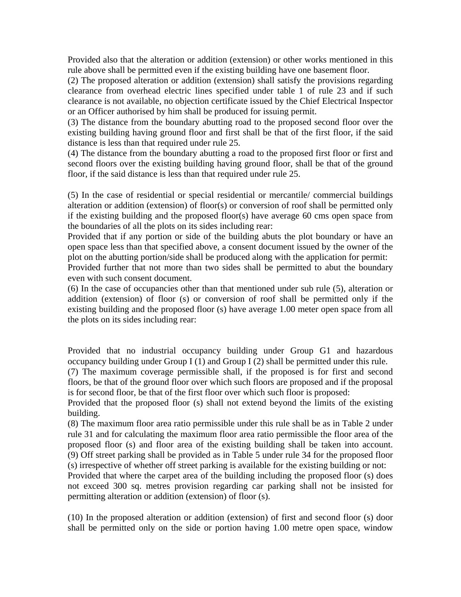Provided also that the alteration or addition (extension) or other works mentioned in this rule above shall be permitted even if the existing building have one basement floor.

(2) The proposed alteration or addition (extension) shall satisfy the provisions regarding clearance from overhead electric lines specified under table 1 of rule 23 and if such clearance is not available, no objection certificate issued by the Chief Electrical Inspector or an Officer authorised by him shall be produced for issuing permit.

(3) The distance from the boundary abutting road to the proposed second floor over the existing building having ground floor and first shall be that of the first floor, if the said distance is less than that required under rule 25.

(4) The distance from the boundary abutting a road to the proposed first floor or first and second floors over the existing building having ground floor, shall be that of the ground floor, if the said distance is less than that required under rule 25.

(5) In the case of residential or special residential or mercantile/ commercial buildings alteration or addition (extension) of floor(s) or conversion of roof shall be permitted only if the existing building and the proposed floor(s) have average 60 cms open space from the boundaries of all the plots on its sides including rear:

Provided that if any portion or side of the building abuts the plot boundary or have an open space less than that specified above, a consent document issued by the owner of the plot on the abutting portion/side shall be produced along with the application for permit:

Provided further that not more than two sides shall be permitted to abut the boundary even with such consent document.

(6) In the case of occupancies other than that mentioned under sub rule (5), alteration or addition (extension) of floor (s) or conversion of roof shall be permitted only if the existing building and the proposed floor (s) have average 1.00 meter open space from all the plots on its sides including rear:

Provided that no industrial occupancy building under Group G1 and hazardous occupancy building under Group I (1) and Group I (2) shall be permitted under this rule.

(7) The maximum coverage permissible shall, if the proposed is for first and second floors, be that of the ground floor over which such floors are proposed and if the proposal is for second floor, be that of the first floor over which such floor is proposed:

Provided that the proposed floor (s) shall not extend beyond the limits of the existing building.

(8) The maximum floor area ratio permissible under this rule shall be as in Table 2 under rule 31 and for calculating the maximum floor area ratio permissible the floor area of the proposed floor (s) and floor area of the existing building shall be taken into account. (9) Off street parking shall be provided as in Table 5 under rule 34 for the proposed floor (s) irrespective of whether off street parking is available for the existing building or not:

Provided that where the carpet area of the building including the proposed floor (s) does not exceed 300 sq. metres provision regarding car parking shall not be insisted for permitting alteration or addition (extension) of floor (s).

(10) In the proposed alteration or addition (extension) of first and second floor (s) door shall be permitted only on the side or portion having 1.00 metre open space, window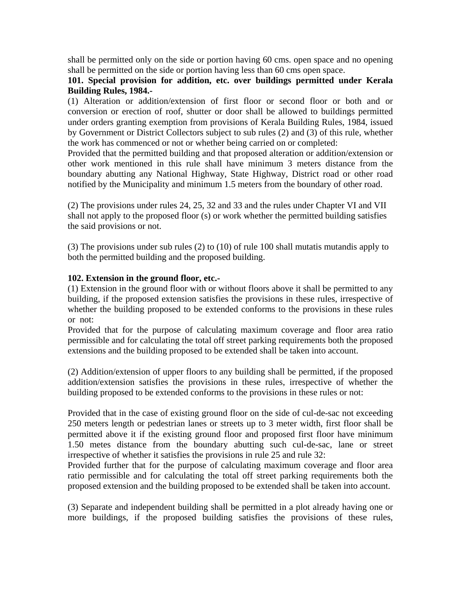shall be permitted only on the side or portion having 60 cms. open space and no opening shall be permitted on the side or portion having less than 60 cms open space.

# **101. Special provision for addition, etc. over buildings permitted under Kerala Building Rules, 1984.-**

(1) Alteration or addition/extension of first floor or second floor or both and or conversion or erection of roof, shutter or door shall be allowed to buildings permitted under orders granting exemption from provisions of Kerala Building Rules, 1984, issued by Government or District Collectors subject to sub rules (2) and (3) of this rule, whether the work has commenced or not or whether being carried on or completed:

Provided that the permitted building and that proposed alteration or addition/extension or other work mentioned in this rule shall have minimum 3 meters distance from the boundary abutting any National Highway, State Highway, District road or other road notified by the Municipality and minimum 1.5 meters from the boundary of other road.

(2) The provisions under rules 24, 25, 32 and 33 and the rules under Chapter VI and VII shall not apply to the proposed floor (s) or work whether the permitted building satisfies the said provisions or not.

(3) The provisions under sub rules (2) to (10) of rule 100 shall mutatis mutandis apply to both the permitted building and the proposed building.

# **102. Extension in the ground floor, etc.-**

(1) Extension in the ground floor with or without floors above it shall be permitted to any building, if the proposed extension satisfies the provisions in these rules, irrespective of whether the building proposed to be extended conforms to the provisions in these rules or not:

Provided that for the purpose of calculating maximum coverage and floor area ratio permissible and for calculating the total off street parking requirements both the proposed extensions and the building proposed to be extended shall be taken into account.

(2) Addition/extension of upper floors to any building shall be permitted, if the proposed addition/extension satisfies the provisions in these rules, irrespective of whether the building proposed to be extended conforms to the provisions in these rules or not:

Provided that in the case of existing ground floor on the side of cul-de-sac not exceeding 250 meters length or pedestrian lanes or streets up to 3 meter width, first floor shall be permitted above it if the existing ground floor and proposed first floor have minimum 1.50 metes distance from the boundary abutting such cul-de-sac, lane or street irrespective of whether it satisfies the provisions in rule 25 and rule 32:

Provided further that for the purpose of calculating maximum coverage and floor area ratio permissible and for calculating the total off street parking requirements both the proposed extension and the building proposed to be extended shall be taken into account.

(3) Separate and independent building shall be permitted in a plot already having one or more buildings, if the proposed building satisfies the provisions of these rules,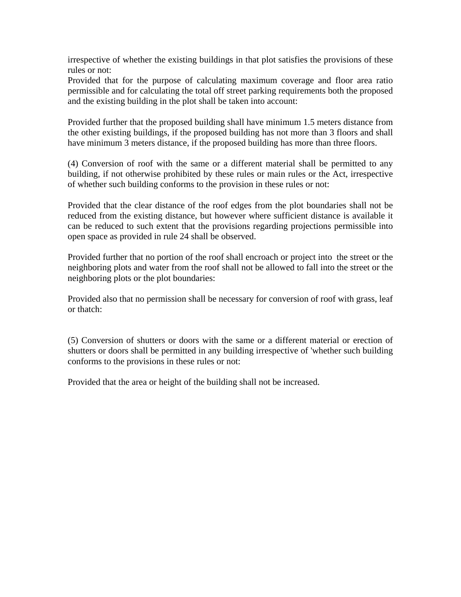irrespective of whether the existing buildings in that plot satisfies the provisions of these rules or not:

Provided that for the purpose of calculating maximum coverage and floor area ratio permissible and for calculating the total off street parking requirements both the proposed and the existing building in the plot shall be taken into account:

Provided further that the proposed building shall have minimum 1.5 meters distance from the other existing buildings, if the proposed building has not more than 3 floors and shall have minimum 3 meters distance, if the proposed building has more than three floors.

(4) Conversion of roof with the same or a different material shall be permitted to any building, if not otherwise prohibited by these rules or main rules or the Act, irrespective of whether such building conforms to the provision in these rules or not:

Provided that the clear distance of the roof edges from the plot boundaries shall not be reduced from the existing distance, but however where sufficient distance is available it can be reduced to such extent that the provisions regarding projections permissible into open space as provided in rule 24 shall be observed.

Provided further that no portion of the roof shall encroach or project into the street or the neighboring plots and water from the roof shall not be allowed to fall into the street or the neighboring plots or the plot boundaries:

Provided also that no permission shall be necessary for conversion of roof with grass, leaf or thatch:

(5) Conversion of shutters or doors with the same or a different material or erection of shutters or doors shall be permitted in any building irrespective of 'whether such building conforms to the provisions in these rules or not:

Provided that the area or height of the building shall not be increased.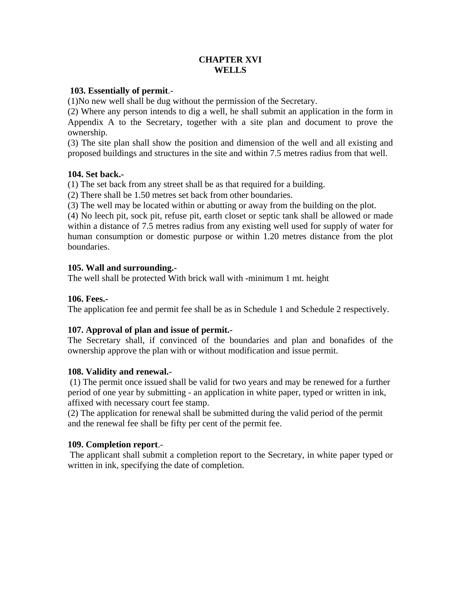# **CHAPTER XVI WELLS**

# **103. Essentially of permit**.-

(1)No new well shall be dug without the permission of the Secretary.

(2) Where any person intends to dig a well, he shall submit an application in the form in Appendix A to the Secretary, together with a site plan and document to prove the ownership.

(3) The site plan shall show the position and dimension of the well and all existing and proposed buildings and structures in the site and within 7.5 metres radius from that well.

## **104. Set back.-**

(1) The set back from any street shall be as that required for a building.

(2) There shall be 1.50 metres set back from other boundaries.

(3) The well may be located within or abutting or away from the building on the plot.

(4) No leech pit, sock pit, refuse pit, earth closet or septic tank shall be allowed or made within a distance of 7.5 metres radius from any existing well used for supply of water for human consumption or domestic purpose or within 1.20 metres distance from the plot boundaries.

# **105. Wall and surrounding.-**

The well shall be protected With brick wall with -minimum 1 mt. height

## **106. Fees.-**

The application fee and permit fee shall be as in Schedule 1 and Schedule 2 respectively.

## **107. Approval of plan and issue of permit.-**

The Secretary shall, if convinced of the boundaries and plan and bonafides of the ownership approve the plan with or without modification and issue permit.

## **108. Validity and renewal.-**

(1) The permit once issued shall be valid for two years and may be renewed for a further period of one year by submitting - an application in white paper, typed or written in ink, affixed with necessary court fee stamp.

(2) The application for renewal shall be submitted during the valid period of the permit and the renewal fee shall be fifty per cent of the permit fee.

## **109. Completion report**.-

 The applicant shall submit a completion report to the Secretary, in white paper typed or written in ink, specifying the date of completion.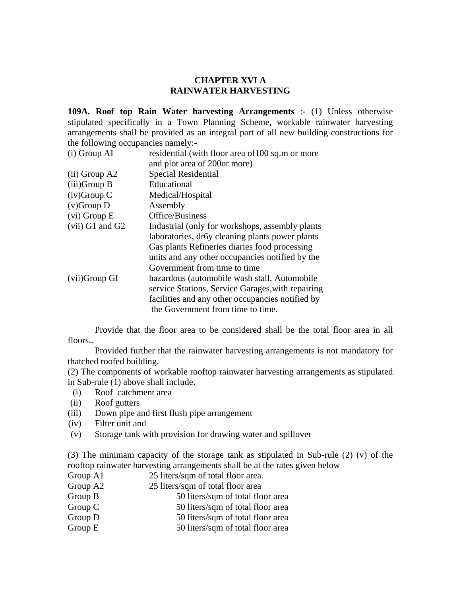## **CHAPTER XVI A RAINWATER HARVESTING**

**109A. Roof top Rain Water harvesting Arrangements** :- (1) Unless otherwise stipulated specifically in a Town Planning Scheme, workable rainwater harvesting arrangements shall be provided as an integral part of all new building constructions for the following occupancies namely:-

| $(i)$ Group AI    | residential (with floor area of 100 sq.m or more  |
|-------------------|---------------------------------------------------|
|                   | and plot area of 200or more)                      |
| $(ii)$ Group A2   | Special Residential                               |
| $(iii)$ Group B   | Educational                                       |
| $(iv)$ Group C    | Medical/Hospital                                  |
| $(v)$ Group D     | Assembly                                          |
| $(vi)$ Group E    | Office/Business                                   |
| $(vii)$ G1 and G2 | Industrial (only for workshops, assembly plants)  |
|                   | laboratories, dr6y cleaning plants power plants   |
|                   | Gas plants Refineries diaries food processing     |
|                   | units and any other occupancies notified by the   |
|                   | Government from time to time                      |
| (vii)Group GI     | hazardous (automobile wash stall, Automobile      |
|                   | service Stations, Service Garages, with repairing |
|                   | facilities and any other occupancies notified by  |
|                   | the Government from time to time.                 |

 Provide that the floor area to be considered shall be the total floor area in all floors..

 Provided further that the rainwater harvesting arrangements is not mandatory for thatched roofed building.

(2) The components of workable rooftop rainwater harvesting arrangements as stipulated in Sub-rule (1) above shall include.

- (i) Roof catchment area
- (ii) Roof gutters
- (iii) Down pipe and first flush pipe arrangement
- (iv) Filter unit and
- (v) Storage tank with provision for drawing water and spillover

(3) The minimam capacity of the storage tank as stipulated in Sub-rule (2) (v) of the rooftop rainwater harvesting arrangements shall be at the rates given below

- Group A1 25 liters/sqm of total floor area.
- Group A2 25 liters/sqm of total floor area
- Group B 50 liters/sqm of total floor area
- Group C 50 liters/sqm of total floor area
- Group D 50 liters/sqm of total floor area
- Group E 50 liters/sqm of total floor area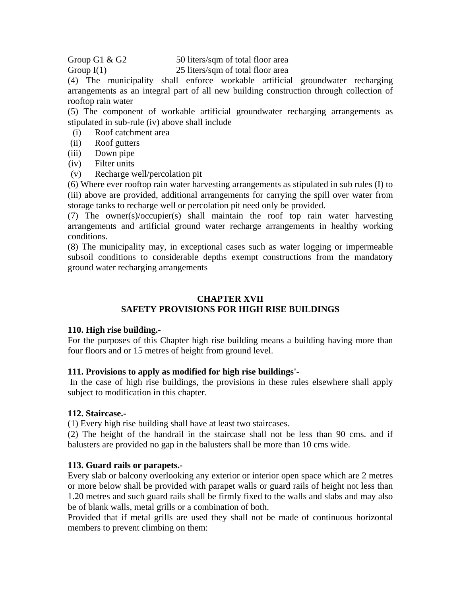Group G1  $\&$  G2 50 liters/sqm of total floor area Group I(1) 25 liters/sqm of total floor area

(4) The municipality shall enforce workable artificial groundwater recharging arrangements as an integral part of all new building construction through collection of rooftop rain water

(5) The component of workable artificial groundwater recharging arrangements as stipulated in sub-rule (iv) above shall include

- (i) Roof catchment area
- (ii) Roof gutters
- (iii) Down pipe
- (iv) Filter units
- (v) Recharge well/percolation pit

(6) Where ever rooftop rain water harvesting arrangements as stipulated in sub rules (I) to (iii) above are provided, additional arrangements for carrying the spill over water from storage tanks to recharge well or percolation pit need only be provided.

(7) The owner(s)/occupier(s) shall maintain the roof top rain water harvesting arrangements and artificial ground water recharge arrangements in healthy working conditions.

(8) The municipality may, in exceptional cases such as water logging or impermeable subsoil conditions to considerable depths exempt constructions from the mandatory ground water recharging arrangements

#### **CHAPTER XVII SAFETY PROVISIONS FOR HIGH RISE BUILDINGS**

## **110. High rise building.-**

For the purposes of this Chapter high rise building means a building having more than four floors and or 15 metres of height from ground level.

## **111. Provisions to apply as modified for high rise buildings'-**

 In the case of high rise buildings, the provisions in these rules elsewhere shall apply subject to modification in this chapter.

## **112. Staircase.-**

(1) Every high rise building shall have at least two staircases.

(2) The height of the handrail in the staircase shall not be less than 90 cms. and if balusters are provided no gap in the balusters shall be more than 10 cms wide.

# **113. Guard rails or parapets.-**

Every slab or balcony overlooking any exterior or interior open space which are 2 metres or more below shall be provided with parapet walls or guard rails of height not less than 1.20 metres and such guard rails shall be firmly fixed to the walls and slabs and may also be of blank walls, metal grills or a combination of both.

Provided that if metal grills are used they shall not be made of continuous horizontal members to prevent climbing on them: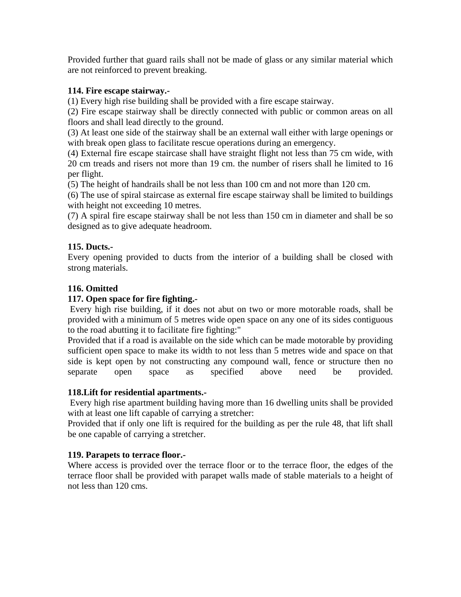Provided further that guard rails shall not be made of glass or any similar material which are not reinforced to prevent breaking.

# **114. Fire escape stairway.-**

(1) Every high rise building shall be provided with a fire escape stairway.

(2) Fire escape stairway shall be directly connected with public or common areas on all floors and shall lead directly to the ground.

(3) At least one side of the stairway shall be an external wall either with large openings or with break open glass to facilitate rescue operations during an emergency.

(4) External fire escape staircase shall have straight flight not less than 75 cm wide, with 20 cm treads and risers not more than 19 cm. the number of risers shall he limited to 16 per flight.

(5) The height of handrails shall be not less than 100 cm and not more than 120 cm.

(6) The use of spiral staircase as external fire escape stairway shall be limited to buildings with height not exceeding 10 metres.

(7) A spiral fire escape stairway shall be not less than 150 cm in diameter and shall be so designed as to give adequate headroom.

# **115. Ducts.-**

Every opening provided to ducts from the interior of a building shall be closed with strong materials.

# **116. Omitted**

# **117. Open space for fire fighting.-**

 Every high rise building, if it does not abut on two or more motorable roads, shall be provided with a minimum of 5 metres wide open space on any one of its sides contiguous to the road abutting it to facilitate fire fighting:"

Provided that if a road is available on the side which can be made motorable by providing sufficient open space to make its width to not less than 5 metres wide and space on that side is kept open by not constructing any compound wall, fence or structure then no separate open space as specified above need be provided.

## **118.Lift for residential apartments.-**

 Every high rise apartment building having more than 16 dwelling units shall be provided with at least one lift capable of carrying a stretcher:

Provided that if only one lift is required for the building as per the rule 48, that lift shall be one capable of carrying a stretcher.

## **119. Parapets to terrace floor.-**

Where access is provided over the terrace floor or to the terrace floor, the edges of the terrace floor shall be provided with parapet walls made of stable materials to a height of not less than 120 cms.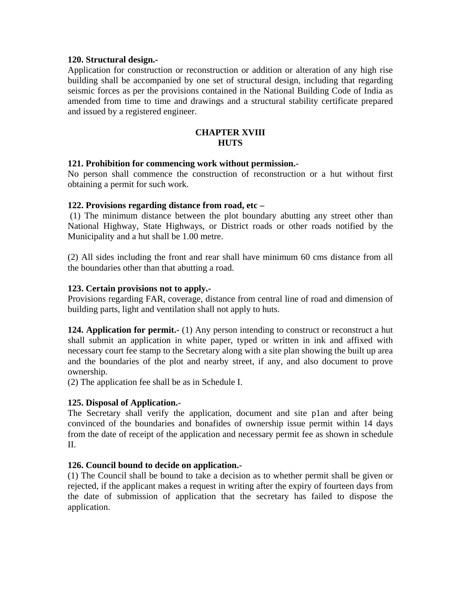## **120. Structural design.-**

Application for construction or reconstruction or addition or alteration of any high rise building shall be accompanied by one set of structural design, including that regarding seismic forces as per the provisions contained in the National Building Code of India as amended from time to time and drawings and a structural stability certificate prepared and issued by a registered engineer.

#### **CHAPTER XVIII HUTS**

#### **121. Prohibition for commencing work without permission.-**

No person shall commence the construction of reconstruction or a hut without first obtaining a permit for such work.

#### **122. Provisions regarding distance from road, etc –**

 (1) The minimum distance between the plot boundary abutting any street other than National Highway, State Highways, or District roads or other roads notified by the Municipality and a hut shall be 1.00 metre.

(2) All sides including the front and rear shall have minimum 60 cms distance from all the boundaries other than that abutting a road.

#### **123. Certain provisions not to apply.-**

Provisions regarding FAR, coverage, distance from central line of road and dimension of building parts, light and ventilation shall not apply to huts.

**124. Application for permit.-** (1) Any person intending to construct or reconstruct a hut shall submit an application in white paper, typed or written in ink and affixed with necessary court fee stamp to the Secretary along with a site plan showing the built up area and the boundaries of the plot and nearby street, if any, and also document to prove ownership.

(2) The application fee shall be as in Schedule I.

## **125. Disposal of Application.-**

The Secretary shall verify the application, document and site p1an and after being convinced of the boundaries and bonafides of ownership issue permit within 14 days from the date of receipt of the application and necessary permit fee as shown in schedule II.

## **126. Council bound to decide on application.-**

(1) The Council shall be bound to take a decision as to whether permit shall be given or rejected, if the applicant makes a request in writing after the expiry of fourteen days from the date of submission of application that the secretary has failed to dispose the application.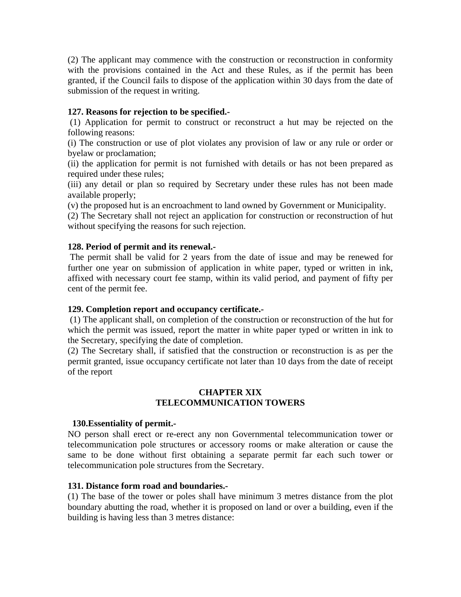(2) The applicant may commence with the construction or reconstruction in conformity with the provisions contained in the Act and these Rules, as if the permit has been granted, if the Council fails to dispose of the application within 30 days from the date of submission of the request in writing.

# **127. Reasons for rejection to be specified.-**

 (1) Application for permit to construct or reconstruct a hut may be rejected on the following reasons:

(i) The construction or use of plot violates any provision of law or any rule or order or byelaw or proclamation;

(ii) the application for permit is not furnished with details or has not been prepared as required under these rules;

(iii) any detail or plan so required by Secretary under these rules has not been made available properly;

(v) the proposed hut is an encroachment to land owned by Government or Municipality.

(2) The Secretary shall not reject an application for construction or reconstruction of hut without specifying the reasons for such rejection.

# **128. Period of permit and its renewal.-**

The permit shall be valid for 2 years from the date of issue and may be renewed for further one year on submission of application in white paper, typed or written in ink, affixed with necessary court fee stamp, within its valid period, and payment of fifty per cent of the permit fee.

# **129. Completion report and occupancy certificate.-**

 (1) The applicant shall, on completion of the construction or reconstruction of the hut for which the permit was issued, report the matter in white paper typed or written in ink to the Secretary, specifying the date of completion.

(2) The Secretary shall, if satisfied that the construction or reconstruction is as per the permit granted, issue occupancy certificate not later than 10 days from the date of receipt of the report

# **CHAPTER XIX TELECOMMUNICATION TOWERS**

# **130.Essentiality of permit.-**

NO person shall erect or re-erect any non Governmental telecommunication tower or telecommunication pole structures or accessory rooms or make alteration or cause the same to be done without first obtaining a separate permit far each such tower or telecommunication pole structures from the Secretary.

## **131. Distance form road and boundaries.-**

(1) The base of the tower or poles shall have minimum 3 metres distance from the plot boundary abutting the road, whether it is proposed on land or over a building, even if the building is having less than 3 metres distance: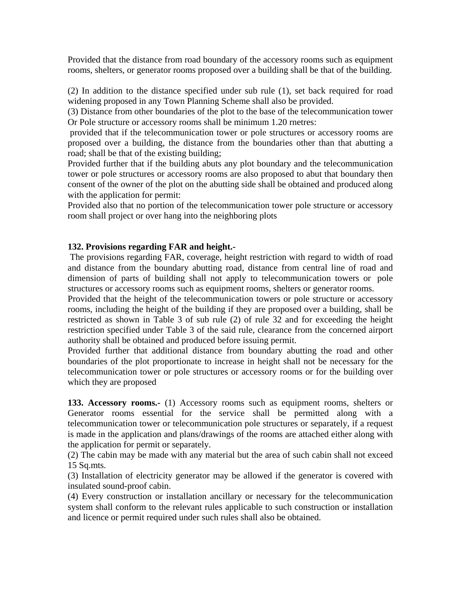Provided that the distance from road boundary of the accessory rooms such as equipment rooms, shelters, or generator rooms proposed over a building shall be that of the building.

(2) In addition to the distance specified under sub rule (1), set back required for road widening proposed in any Town Planning Scheme shall also be provided.

(3) Distance from other boundaries of the plot to the base of the telecommunication tower Or Pole structure or accessory rooms shall be minimum 1.20 rnetres:

 provided that if the telecommunication tower or pole structures or accessory rooms are proposed over a building, the distance from the boundaries other than that abutting a road; shall be that of the existing building;

Provided further that if the building abuts any plot boundary and the telecommunication tower or pole structures or accessory rooms are also proposed to abut that boundary then consent of the owner of the plot on the abutting side shall be obtained and produced along with the application for permit:

Provided also that no portion of the telecommunication tower pole structure or accessory room shall project or over hang into the neighboring plots

# **132. Provisions regarding FAR and height.-**

 The provisions regarding FAR, coverage, height restriction with regard to width of road and distance from the boundary abutting road, distance from central line of road and dimension of parts of building shall not apply to telecommunication towers or pole structures or accessory rooms such as equipment rooms, shelters or generator rooms.

Provided that the height of the telecommunication towers or pole structure or accessory rooms, including the height of the building if they are proposed over a building, shall be restricted as shown in Table 3 of sub rule (2) of rule 32 and for exceeding the height restriction specified under Table 3 of the said rule, clearance from the concerned airport authority shall be obtained and produced before issuing permit.

Provided further that additional distance from boundary abutting the road and other boundaries of the plot proportionate to increase in height shall not be necessary for the telecommunication tower or pole structures or accessory rooms or for the building over which they are proposed

**133. Accessory rooms.-** (1) Accessory rooms such as equipment rooms, shelters or Generator rooms essential for the service shall be permitted along with a telecommunication tower or telecommunication pole structures or separately, if a request is made in the application and plans/drawings of the rooms are attached either along with the application for permit or separately.

(2) The cabin may be made with any material but the area of such cabin shall not exceed 15 Sq.mts.

(3) Installation of electricity generator may be allowed if the generator is covered with insulated sound-proof cabin.

(4) Every construction or installation ancillary or necessary for the telecommunication system shall conform to the relevant rules applicable to such construction or installation and licence or permit required under such rules shall also be obtained.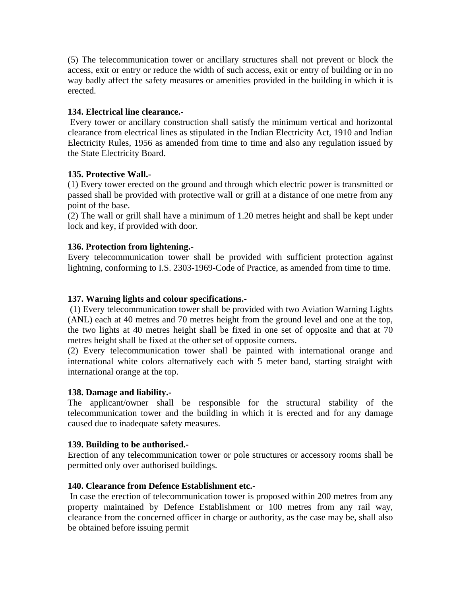(5) The telecommunication tower or ancillary structures shall not prevent or block the access, exit or entry or reduce the width of such access, exit or entry of building or in no way badly affect the safety measures or amenities provided in the building in which it is erected.

#### **134. Electrical line clearance.-**

 Every tower or ancillary construction shall satisfy the minimum vertical and horizontal clearance from electrical lines as stipulated in the Indian Electricity Act, 1910 and Indian Electricity Rules, 1956 as amended from time to time and also any regulation issued by the State Electricity Board.

#### **135. Protective Wall.-**

(1) Every tower erected on the ground and through which electric power is transmitted or passed shall be provided with protective wall or grill at a distance of one metre from any point of the base.

(2) The wall or grill shall have a minimum of 1.20 metres height and shall be kept under lock and key, if provided with door.

#### **136. Protection from lightening.-**

Every telecommunication tower shall be provided with sufficient protection against lightning, conforming to I.S. 2303-1969-Code of Practice, as amended from time to time.

#### **137. Warning lights and colour specifications.-**

 (1) Every telecommunication tower shall be provided with two Aviation Warning Lights (ANL) each at 40 metres and 70 metres height from the ground level and one at the top, the two lights at 40 metres height shall be fixed in one set of opposite and that at 70 metres height shall be fixed at the other set of opposite corners.

(2) Every telecommunication tower shall be painted with international orange and international white colors alternatively each with 5 meter band, starting straight with international orange at the top.

#### **138. Damage and liability.-**

The applicant/owner shall be responsible for the structural stability of the telecommunication tower and the building in which it is erected and for any damage caused due to inadequate safety measures.

#### **139. Building to be authorised.-**

Erection of any telecommunication tower or pole structures or accessory rooms shall be permitted only over authorised buildings.

#### **140. Clearance from Defence Establishment etc.-**

 In case the erection of telecommunication tower is proposed within 200 metres from any property maintained by Defence Establishment or 100 metres from any rail way, clearance from the concerned officer in charge or authority, as the case may be, shall also be obtained before issuing permit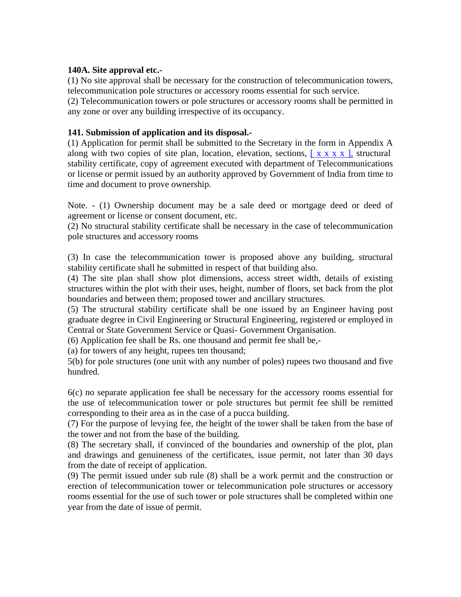#### **140A. Site approval etc.-**

(1) No site approval shall be necessary for the construction of telecommunication towers, telecommunication pole structures or accessory rooms essential for such service.

(2) Telecommunication towers or pole structures or accessory rooms shall be permitted in any zone or over any building irrespective of its occupancy.

#### **141. Submission of application and its disposal.-**

(1) Application for permit shall be submitted to the Secretary in the form in Appendix A along with two copies of site plan, location, elevation, sections,  $[x \times x \times x]$ , structural stability certificate, copy of agreement executed with department of Telecommunications or license or permit issued by an authority approved by Government of India from time to time and document to prove ownership.

Note. - (1) Ownership document may be a sale deed or mortgage deed or deed of agreement or license or consent document, etc.

(2) No structural stability certificate shall be necessary in the case of telecommunication pole structures and accessory rooms

(3) In case the telecommunication tower is proposed above any building, structural stability certificate shall he submitted in respect of that building also.

(4) The site plan shall show plot dimensions, access street width, details of existing structures within the plot with their uses, height, number of floors, set back from the plot boundaries and between them; proposed tower and ancillary structures.

(5) The structural stability certificate shall be one issued by an Engineer having post graduate degree in Civil Engineering or Structural Engineering, registered or employed in Central or State Government Service or Quasi- Government Organisation.

(6) Application fee shall be Rs. one thousand and permit fee shall be,-

(a) for towers of any height, rupees ten thousand;

5(b) for pole structures (one unit with any number of poles) rupees two thousand and five hundred.

6(c) no separate application fee shall be necessary for the accessory rooms essential for the use of telecommunication tower or pole structures but permit fee shill be remitted corresponding to their area as in the case of a pucca building.

(7) For the purpose of levying fee, the height of the tower shall be taken from the base of the tower and not from the base of the building.

(8) The secretary shall, if convinced of the boundaries and ownership of the plot, plan and drawings and genuineness of the certificates, issue permit, not later than 30 days from the date of receipt of application.

(9) The permit issued under sub rule (8) shall be a work permit and the construction or erection of telecommunication tower or telecommunication pole structures or accessory rooms essential for the use of such tower or pole structures shall be completed within one year from the date of issue of permit.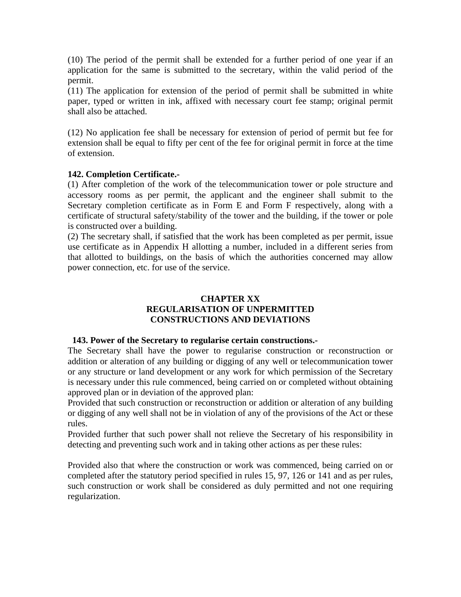(10) The period of the permit shall be extended for a further period of one year if an application for the same is submitted to the secretary, within the valid period of the permit.

(11) The application for extension of the period of permit shall be submitted in white paper, typed or written in ink, affixed with necessary court fee stamp; original permit shall also be attached.

(12) No application fee shall be necessary for extension of period of permit but fee for extension shall be equal to fifty per cent of the fee for original permit in force at the time of extension.

#### **142. Completion Certificate.-**

(1) After completion of the work of the telecommunication tower or pole structure and accessory rooms as per permit, the applicant and the engineer shall submit to the Secretary completion certificate as in Form E and Form F respectively, along with a certificate of structural safety/stability of the tower and the building, if the tower or pole is constructed over a building.

(2) The secretary shall, if satisfied that the work has been completed as per permit, issue use certificate as in Appendix H allotting a number, included in a different series from that allotted to buildings, on the basis of which the authorities concerned may allow power connection, etc. for use of the service.

#### **CHAPTER XX REGULARISATION OF UNPERMITTED CONSTRUCTIONS AND DEVIATIONS**

#### **143. Power of the Secretary to regularise certain constructions.-**

The Secretary shall have the power to regularise construction or reconstruction or addition or alteration of any building or digging of any well or telecommunication tower or any structure or land development or any work for which permission of the Secretary is necessary under this rule commenced, being carried on or completed without obtaining approved plan or in deviation of the approved plan:

Provided that such construction or reconstruction or addition or alteration of any building or digging of any well shall not be in violation of any of the provisions of the Act or these rules.

Provided further that such power shall not relieve the Secretary of his responsibility in detecting and preventing such work and in taking other actions as per these rules:

Provided also that where the construction or work was commenced, being carried on or completed after the statutory period specified in rules 15, 97, 126 or 141 and as per rules, such construction or work shall be considered as duly permitted and not one requiring regularization.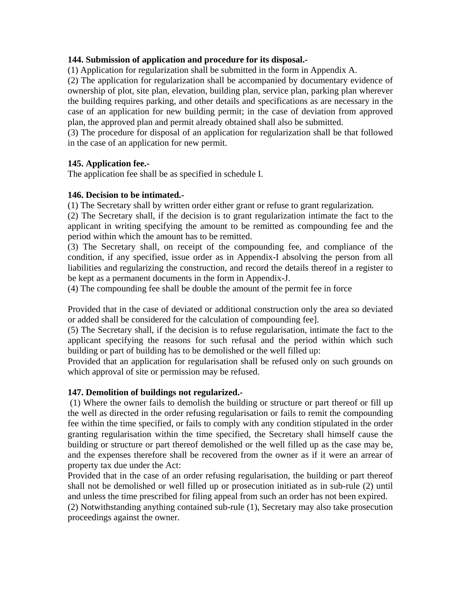#### **144. Submission of application and procedure for its disposal.-**

(1) Application for regularization shall be submitted in the form in Appendix A.

(2) The application for regularization shall be accompanied by documentary evidence of ownership of plot, site plan, elevation, building plan, service plan, parking plan wherever the building requires parking, and other details and specifications as are necessary in the case of an application for new building permit; in the case of deviation from approved plan, the approved plan and permit already obtained shall also be submitted.

(3) The procedure for disposal of an application for regularization shall be that followed in the case of an application for new permit.

#### **145. Application fee.-**

The application fee shall be as specified in schedule I.

#### **146. Decision to be intimated.-**

(1) The Secretary shall by written order either grant or refuse to grant regularization.

(2) The Secretary shall, if the decision is to grant regularization intimate the fact to the applicant in writing specifying the amount to be remitted as compounding fee and the period within which the amount has to be remitted.

(3) The Secretary shall, on receipt of the compounding fee, and compliance of the condition, if any specified, issue order as in Appendix-I absolving the person from all liabilities and regularizing the construction, and record the details thereof in a register to be kept as a permanent documents in the form in Appendix-J.

(4) The compounding fee shall be double the amount of the permit fee in force

Provided that in the case of deviated or additional construction only the area so deviated or added shall be considered for the calculation of compounding fee].

(5) The Secretary shall, if the decision is to refuse regularisation, intimate the fact to the applicant specifying the reasons for such refusal and the period within which such building or part of building has to be demolished or the well filled up:

Provided that an application for regularisation shall be refused only on such grounds on which approval of site or permission may be refused.

#### **147. Demolition of buildings not regularized.-**

 (1) Where the owner fails to demolish the building or structure or part thereof or fill up the well as directed in the order refusing regularisation or fails to remit the compounding fee within the time specified, or fails to comply with any condition stipulated in the order granting regularisation within the time specified, the Secretary shall himself cause the building or structure or part thereof demolished or the well filled up as the case may be, and the expenses therefore shall be recovered from the owner as if it were an arrear of property tax due under the Act:

Provided that in the case of an order refusing regularisation, the building or part thereof shall not be demolished or well filled up or prosecution initiated as in sub-rule (2) until and unless the time prescribed for filing appeal from such an order has not been expired. (2) Notwithstanding anything contained sub-rule (1), Secretary may also take prosecution proceedings against the owner.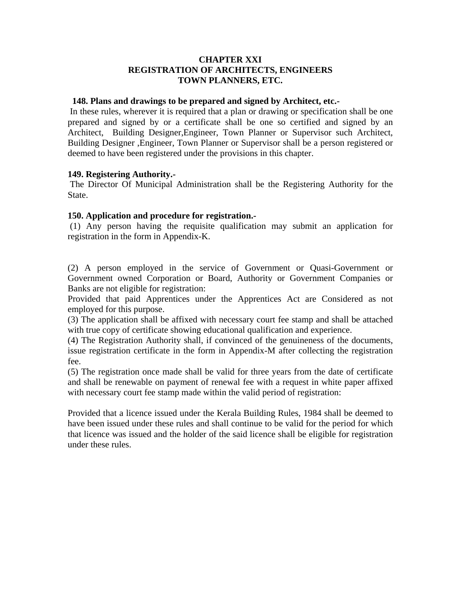#### **CHAPTER XXI REGISTRATION OF ARCHITECTS, ENGINEERS TOWN PLANNERS, ETC.**

#### **148. Plans and drawings to be prepared and signed by Architect, etc.-**

 In these rules, wherever it is required that a plan or drawing or specification shall be one prepared and signed by or a certificate shall be one so certified and signed by an Architect, Building Designer,Engineer, Town Planner or Supervisor such Architect, Building Designer ,Engineer, Town Planner or Supervisor shall be a person registered or deemed to have been registered under the provisions in this chapter.

#### **149. Registering Authority.-**

 The Director Of Municipal Administration shall be the Registering Authority for the State.

#### **150. Application and procedure for registration.-**

 (1) Any person having the requisite qualification may submit an application for registration in the form in Appendix-K.

(2) A person employed in the service of Government or Quasi-Government or Government owned Corporation or Board, Authority or Government Companies or Banks are not eligible for registration:

Provided that paid Apprentices under the Apprentices Act are Considered as not employed for this purpose.

(3) The application shall be affixed with necessary court fee stamp and shall be attached with true copy of certificate showing educational qualification and experience.

(4) The Registration Authority shall, if convinced of the genuineness of the documents, issue registration certificate in the form in Appendix-M after collecting the registration fee.

(5) The registration once made shall be valid for three years from the date of certificate and shall be renewable on payment of renewal fee with a request in white paper affixed with necessary court fee stamp made within the valid period of registration:

Provided that a licence issued under the Kerala Building Rules, 1984 shall be deemed to have been issued under these rules and shall continue to be valid for the period for which that licence was issued and the holder of the said licence shall be eligible for registration under these rules.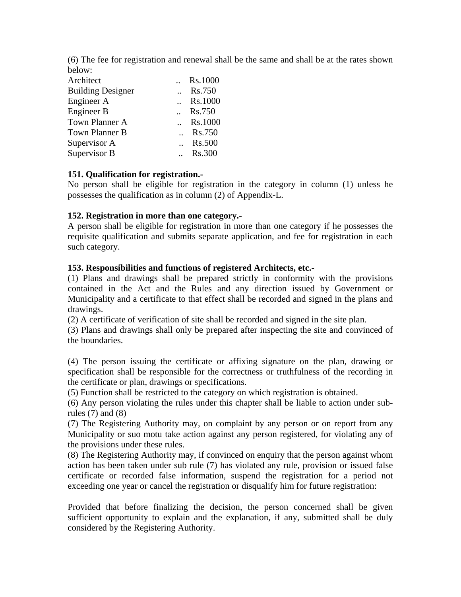(6) The fee for registration and renewal shall be the same and shall be at the rates shown below:

| Architect                | Rs.1000       |
|--------------------------|---------------|
| <b>Building Designer</b> | Rs.750        |
| Engineer A               | Rs.1000       |
| Engineer B               | Rs.750        |
| Town Planner A           | Rs.1000       |
| Town Planner B           | Rs.750        |
| Supervisor A             | <b>Rs.500</b> |
| Supervisor B             | <b>Rs.300</b> |

#### **151. Qualification for registration.-**

No person shall be eligible for registration in the category in column (1) unless he possesses the qualification as in column (2) of Appendix-L.

#### **152. Registration in more than one category.-**

A person shall be eligible for registration in more than one category if he possesses the requisite qualification and submits separate application, and fee for registration in each such category.

#### **153. Responsibilities and functions of registered Architects, etc.-**

(1) Plans and drawings shall be prepared strictly in conformity with the provisions contained in the Act and the Rules and any direction issued by Government or Municipality and a certificate to that effect shall be recorded and signed in the plans and drawings.

(2) A certificate of verification of site shall be recorded and signed in the site plan.

(3) Plans and drawings shall only be prepared after inspecting the site and convinced of the boundaries.

(4) The person issuing the certificate or affixing signature on the plan, drawing or specification shall be responsible for the correctness or truthfulness of the recording in the certificate or plan, drawings or specifications.

(5) Function shall be restricted to the category on which registration is obtained.

(6) Any person violating the rules under this chapter shall be liable to action under subrules  $(7)$  and  $(8)$ 

(7) The Registering Authority may, on complaint by any person or on report from any Municipality or suo motu take action against any person registered, for violating any of the provisions under these rules.

(8) The Registering Authority may, if convinced on enquiry that the person against whom action has been taken under sub rule (7) has violated any rule, provision or issued false certificate or recorded false information, suspend the registration for a period not exceeding one year or cancel the registration or disqualify him for future registration:

Provided that before finalizing the decision, the person concerned shall be given sufficient opportunity to explain and the explanation, if any, submitted shall be duly considered by the Registering Authority.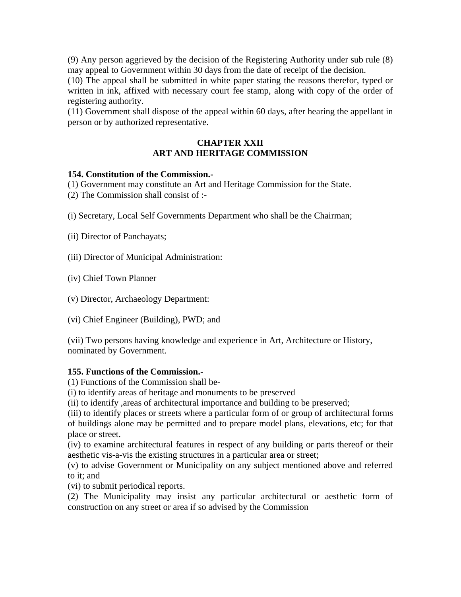(9) Any person aggrieved by the decision of the Registering Authority under sub rule (8) may appeal to Government within 30 days from the date of receipt of the decision.

(10) The appeal shall be submitted in white paper stating the reasons therefor, typed or written in ink, affixed with necessary court fee stamp, along with copy of the order of registering authority.

(11) Government shall dispose of the appeal within 60 days, after hearing the appellant in person or by authorized representative.

#### **CHAPTER XXII ART AND HERITAGE COMMISSION**

#### **154. Constitution of the Commission.-**

(1) Government may constitute an Art and Heritage Commission for the State.

(2) The Commission shall consist of :-

(i) Secretary, Local Self Governments Department who shall be the Chairman;

(ii) Director of Panchayats;

(iii) Director of Municipal Administration:

(iv) Chief Town Planner

(v) Director, Archaeology Department:

(vi) Chief Engineer (Building), PWD; and

(vii) Two persons having knowledge and experience in Art, Architecture or History, nominated by Government.

#### **155. Functions of the Commission.-**

(1) Functions of the Commission shall be-

(i) to identify areas of heritage and monuments to be preserved

(ii) to identify ,areas of architectural importance and building to be preserved;

(iii) to identify places or streets where a particular form of or group of architectural forms of buildings alone may be permitted and to prepare model plans, elevations, etc; for that place or street.

(iv) to examine architectural features in respect of any building or parts thereof or their aesthetic vis-a-vis the existing structures in a particular area or street;

(v) to advise Government or Municipality on any subject mentioned above and referred to it; and

(vi) to submit periodical reports.

(2) The Municipality may insist any particular architectural or aesthetic form of construction on any street or area if so advised by the Commission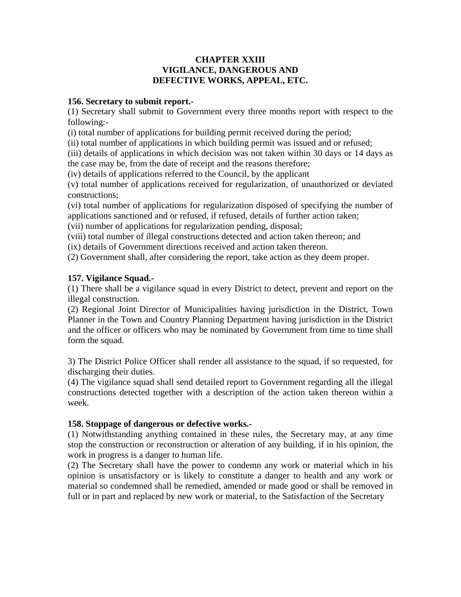#### **CHAPTER XXIII VIGILANCE, DANGEROUS AND DEFECTIVE WORKS, APPEAL, ETC.**

#### **156. Secretary to submit report.-**

(1) Secretary shall submit to Government every three months report with respect to the following:-

(i) total number of applications for building permit received during the period;

(ii) total number of applications in which building permit was issued and or refused;

(iii) details of applications in which decision was not taken within 30 days or 14 days as the case may be, from the date of receipt and the reasons therefore;

(iv) details of applications referred to the Council, by the applicant

(v) total number of applications received for regularization, of unauthorized or deviated constructions;

(vi) total number of applications for regularization disposed of specifying the number of applications sanctioned and or refused, if refused, details of further action taken;

(vii) number of applications for regularization pending, disposal;

(viii) total number of illegal constructions detected and action taken thereon; and

(ix) details of Government directions received and action taken thereon.

(2) Government shall, after considering the report, take action as they deem proper.

#### **157. Vigilance Squad.-**

(1) There shall be a vigilance squad in every District to detect, prevent and report on the illegal construction.

(2) Regional Joint Director of Municipalities having jurisdiction in the District, Town Planner in the Town and Country Planning Department having jurisdiction in the District and the officer or officers who may be nominated by Government from time to time shall form the squad.

3) The District Police Officer shall render all assistance to the squad, if so requested, for discharging their duties.

(4) The vigilance squad shall send detailed report to Government regarding all the illegal constructions detected together with a description of the action taken thereon within a week.

#### **158. Stoppage of dangerous or defective works.-**

(1) Notwithstanding anything contained in these rules, the Secretary may, at any time stop the construction or reconstruction or alteration of any building, if in his opinion, the work in progress is a danger to human life.

(2) The Secretary shall have the power to condemn any work or material which in his opinion is unsatisfactory or is likely to constitute a danger to health and any work or material so condemned shall be remedied, amended or made good or shall be removed in full or in part and replaced by new work or material, to the Satisfaction of the Secretary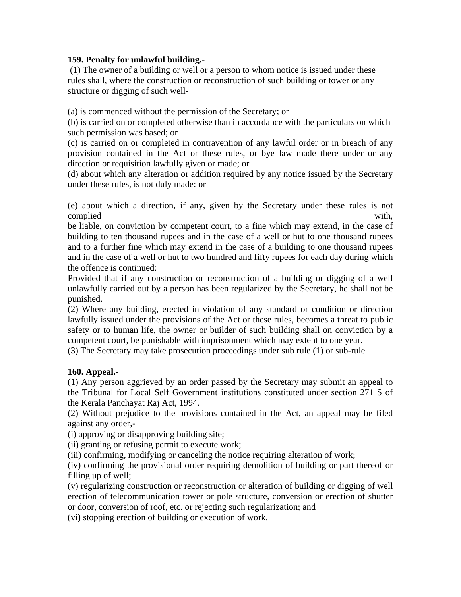#### **159. Penalty for unlawful building.-**

 (1) The owner of a building or well or a person to whom notice is issued under these rules shall, where the construction or reconstruction of such building or tower or any structure or digging of such well-

(a) is commenced without the permission of the Secretary; or

(b) is carried on or completed otherwise than in accordance with the particulars on which such permission was based; or

(c) is carried on or completed in contravention of any lawful order or in breach of any provision contained in the Act or these rules, or bye law made there under or any direction or requisition lawfully given or made; or

(d) about which any alteration or addition required by any notice issued by the Secretary under these rules, is not duly made: or

(e) about which a direction, if any, given by the Secretary under these rules is not complied with,

be liable, on conviction by competent court, to a fine which may extend, in the case of building to ten thousand rupees and in the case of a well or hut to one thousand rupees and to a further fine which may extend in the case of a building to one thousand rupees and in the case of a well or hut to two hundred and fifty rupees for each day during which the offence is continued:

Provided that if any construction or reconstruction of a building or digging of a well unlawfully carried out by a person has been regularized by the Secretary, he shall not be punished.

(2) Where any building, erected in violation of any standard or condition or direction lawfully issued under the provisions of the Act or these rules, becomes a threat to public safety or to human life, the owner or builder of such building shall on conviction by a competent court, be punishable with imprisonment which may extent to one year.

(3) The Secretary may take prosecution proceedings under sub rule (1) or sub-rule

#### **160. Appeal.-**

(1) Any person aggrieved by an order passed by the Secretary may submit an appeal to the Tribunal for Local Self Government institutions constituted under section 271 S of the Kerala Panchayat Raj Act, 1994.

(2) Without prejudice to the provisions contained in the Act, an appeal may be filed against any order,-

(i) approving or disapproving building site;

(ii) granting or refusing permit to execute work;

(iii) confirming, modifying or canceling the notice requiring alteration of work;

(iv) confirming the provisional order requiring demolition of building or part thereof or filling up of well;

(v) regularizing construction or reconstruction or alteration of building or digging of well erection of telecommunication tower or pole structure, conversion or erection of shutter or door, conversion of roof, etc. or rejecting such regularization; and

(vi) stopping erection of building or execution of work.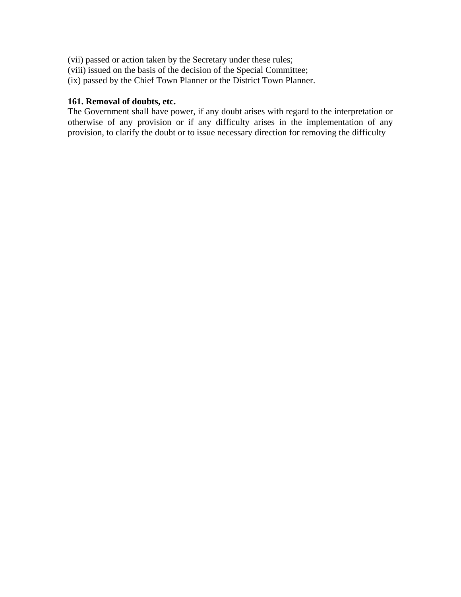- (vii) passed or action taken by the Secretary under these rules;
- (viii) issued on the basis of the decision of the Special Committee;
- (ix) passed by the Chief Town Planner or the District Town Planner.

# **161. Removal of doubts, etc.**

The Government shall have power, if any doubt arises with regard to the interpretation or otherwise of any provision or if any difficulty arises in the implementation of any provision, to clarify the doubt or to issue necessary direction for removing the difficulty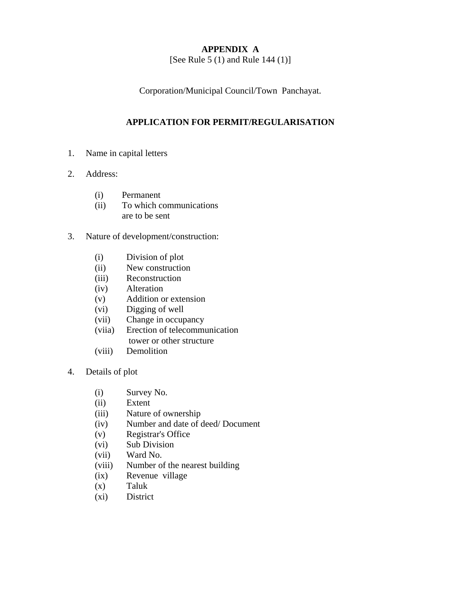# **APPENDIX A**

[See Rule 5 (1) and Rule 144 (1)]

Corporation/Municipal Council/Town Panchayat.

# **APPLICATION FOR PERMIT/REGULARISATION**

- 1. Name in capital letters
- 2. Address:
	- (i) Permanent
	- (ii) To which communications are to be sent
- 3. Nature of development/construction:
	- (i) Division of plot
	- (ii) New construction
	- (iii) Reconstruction
	- (iv) Alteration
	- (v) Addition or extension
	- (vi) Digging of well
	- (vii) Change in occupancy
	- (viia) Erection of telecommunication tower or other structure
	- (viii) Demolition
- 4. Details of plot
	- (i) Survey No.
	- (ii) Extent
	- (iii) Nature of ownership
	- (iv) Number and date of deed/ Document
	- (v) Registrar's Office
	- (vi) Sub Division
	- (vii) Ward No.
	- (viii) Number of the nearest building
	- (ix) Revenue village
	- (x) Taluk
	- (xi) District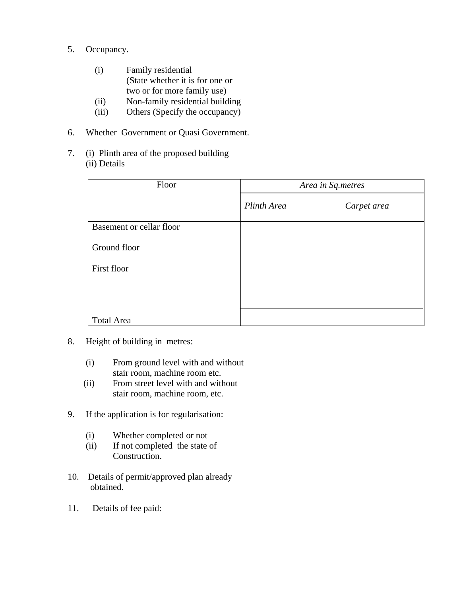- 5. Occupancy.
	- (i) Family residential (State whether it is for one or two or for more family use)
	- (ii) Non-family residential building
	- (iii) Others (Specify the occupancy)
- 6. Whether Government or Quasi Government.
- 7. (i) Plinth area of the proposed building (ii) Details

| Floor                    | Area in Sq.metres |             |  |
|--------------------------|-------------------|-------------|--|
|                          | Plinth Area       | Carpet area |  |
| Basement or cellar floor |                   |             |  |
| Ground floor             |                   |             |  |
| First floor              |                   |             |  |
|                          |                   |             |  |
|                          |                   |             |  |
| Total Area               |                   |             |  |

- 8. Height of building in metres:
	- (i) From ground level with and without stair room, machine room etc.
	- (ii) From street level with and without stair room, machine room, etc.
- 9. If the application is for regularisation:
	- (i) Whether completed or not
	- (ii) If not completed the state of Construction.
- 10. Details of permit/approved plan already obtained.
- 11. Details of fee paid: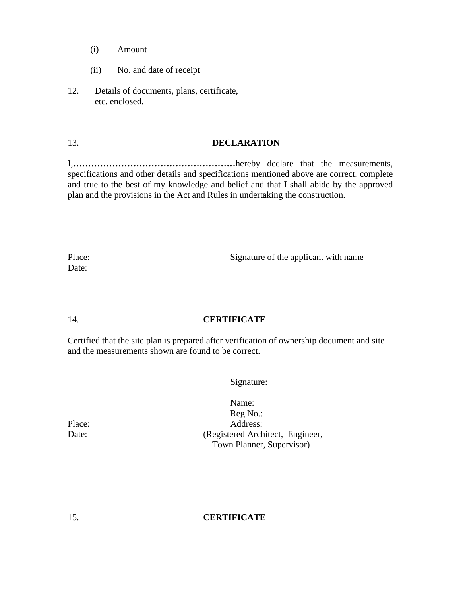- (i) Amount
- (ii) No. and date of receipt
- 12. Details of documents, plans, certificate, etc. enclosed.

#### 13. **DECLARATION**

I,**………………………………………………**hereby declare that the measurements, specifications and other details and specifications mentioned above are correct, complete and true to the best of my knowledge and belief and that I shall abide by the approved plan and the provisions in the Act and Rules in undertaking the construction.

Place: Signature of the applicant with name

Date:

#### 14. **CERTIFICATE**

Certified that the site plan is prepared after verification of ownership document and site and the measurements shown are found to be correct.

Signature:

Name: Reg.No.: Place: Address: Date: (Registered Architect, Engineer, Town Planner, Supervisor)

#### 15. **CERTIFICATE**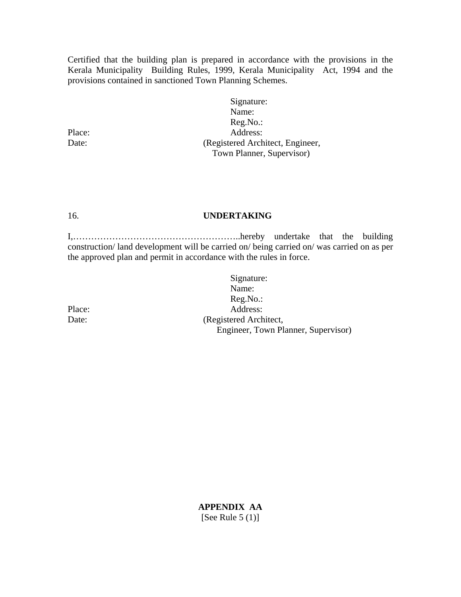Certified that the building plan is prepared in accordance with the provisions in the Kerala Municipality Building Rules, 1999, Kerala Municipality Act, 1994 and the provisions contained in sanctioned Town Planning Schemes.

Signature: Name: Reg.No.: Place: Address: Date: (Registered Architect, Engineer, Town Planner, Supervisor)

#### 16. **UNDERTAKING**

I,………………………………………………..hereby undertake that the building construction/ land development will be carried on/ being carried on/ was carried on as per the approved plan and permit in accordance with the rules in force.

Signature: Name: Reg.No.: Place: Address: Date: (Registered Architect, Engineer, Town Planner, Supervisor)

**APPENDIX AA**  [See Rule  $5(1)$ ]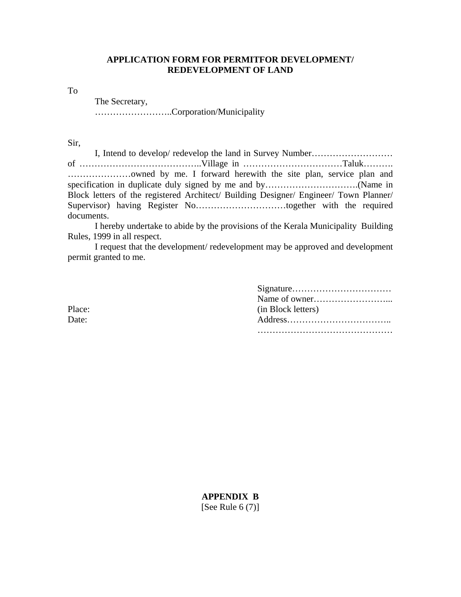#### **APPLICATION FORM FOR PERMITFOR DEVELOPMENT/ REDEVELOPMENT OF LAND**

To

The Secretary,

……………………..Corporation/Municipality

Sir,

 I, Intend to develop/ redevelop the land in Survey Number……………………… of …………………………………..Village in ……………………………Taluk………. …………………owned by me. I forward herewith the site plan, service plan and specification in duplicate duly signed by me and by…………………………………(Name in Block letters of the registered Architect/ Building Designer/ Engineer/ Town Planner/ Supervisor) having Register No…………………………together with the required documents.

 I hereby undertake to abide by the provisions of the Kerala Municipality Building Rules, 1999 in all respect.

 I request that the development/ redevelopment may be approved and development permit granted to me.

| Place: | (in Block letters) |
|--------|--------------------|
| Date:  |                    |
|        |                    |

**APPENDIX B**  [See Rule  $6(7)$ ]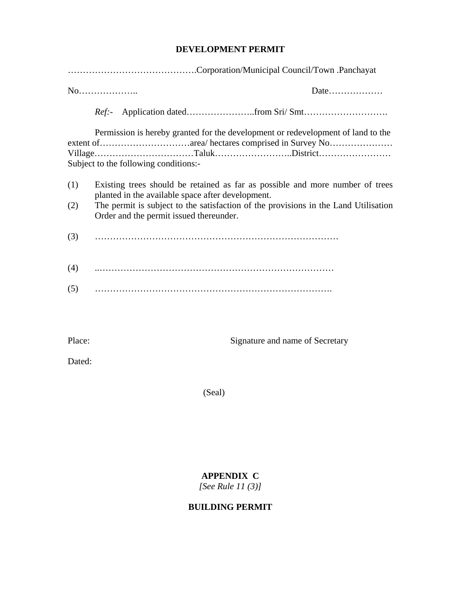# **DEVELOPMENT PERMIT**

|            | No                                                                                                                                                                                                                                                                   |  |
|------------|----------------------------------------------------------------------------------------------------------------------------------------------------------------------------------------------------------------------------------------------------------------------|--|
|            |                                                                                                                                                                                                                                                                      |  |
|            | Permission is hereby granted for the development or redevelopment of land to the<br>Subject to the following conditions:-                                                                                                                                            |  |
| (1)<br>(2) | Existing trees should be retained as far as possible and more number of trees<br>planted in the available space after development.<br>The permit is subject to the satisfaction of the provisions in the Land Utilisation<br>Order and the permit issued thereunder. |  |
| (3)        |                                                                                                                                                                                                                                                                      |  |
| (4)        |                                                                                                                                                                                                                                                                      |  |
| (5)        |                                                                                                                                                                                                                                                                      |  |

Place: Signature and name of Secretary

Dated:

(Seal)

# **APPENDIX C**

*[See Rule 11 (3)]* 

# **BUILDING PERMIT**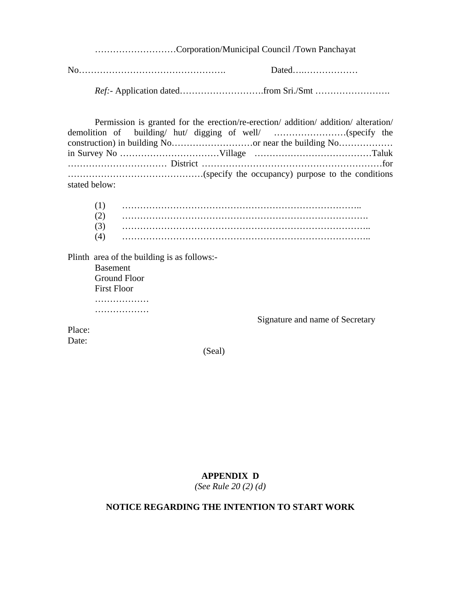………………………Corporation/Municipal Council /Town Panchayat

No…………………………………………. Dated….………………

*Ref:*- Application dated……………………….from Sri./Smt …………………….

|               | Permission is granted for the erection/re-erection/ addition/ addition/ alteration/ |
|---------------|-------------------------------------------------------------------------------------|
|               |                                                                                     |
|               |                                                                                     |
|               |                                                                                     |
|               |                                                                                     |
|               |                                                                                     |
| stated below: |                                                                                     |

| (1) |  |
|-----|--|
|     |  |
| (2) |  |
| (3) |  |
| (4) |  |
|     |  |

Plinth area of the building is as follows:-

Basement Ground Floor First Floor ……………… ………………

Signature and name of Secretary

Place: Date:

(Seal)

#### **APPENDIX D**

*(See Rule 20 (2) (d)* 

# **NOTICE REGARDING THE INTENTION TO START WORK**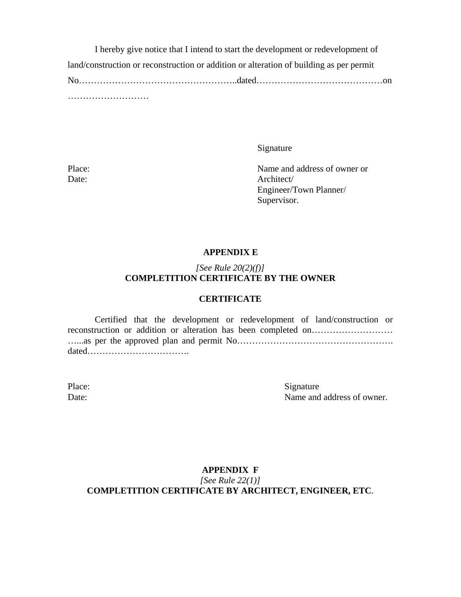I hereby give notice that I intend to start the development or redevelopment of land/construction or reconstruction or addition or alteration of building as per permit No……………………………………………..dated……………………………………on ………………………

Signature

Place: Name and address of owner or Date: Architect/ Engineer/Town Planner/ Supervisor.

#### **APPENDIX E**

#### *[See Rule 20(2)(f)]*  **COMPLETITION CERTIFICATE BY THE OWNER**

#### **CERTIFICATE**

Certified that the development or redevelopment of land/construction or reconstruction or addition or alteration has been completed on………………………………………………… …...as per the approved plan and permit No……………………………………………. dated…………………………….

Place: Signature Date: Name and address of owner.

#### **APPENDIX F**  *[See Rule 22(1)]*  **COMPLETITION CERTIFICATE BY ARCHITECT, ENGINEER, ETC**.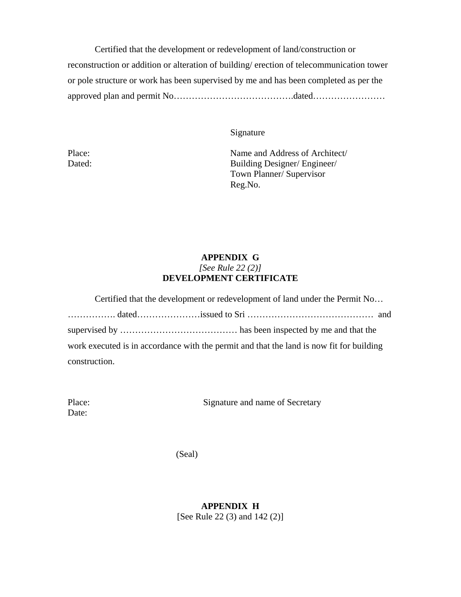Certified that the development or redevelopment of land/construction or reconstruction or addition or alteration of building/ erection of telecommunication tower or pole structure or work has been supervised by me and has been completed as per the approved plan and permit No………………………………….dated……………………

Signature

Place: Name and Address of Architect/ Dated: Building Designer/ Engineer/ Town Planner/ Supervisor Reg.No.

#### **APPENDIX G**  *[See Rule 22 (2)]*  **DEVELOPMENT CERTIFICATE**

| Certified that the development or redevelopment of land under the Permit No              |
|------------------------------------------------------------------------------------------|
|                                                                                          |
|                                                                                          |
| work executed is in accordance with the permit and that the land is now fit for building |
| construction.                                                                            |

| Place: |  |
|--------|--|
| Date:  |  |

Signature and name of Secretary

(Seal)

**APPENDIX H**  [See Rule 22 (3) and 142 (2)]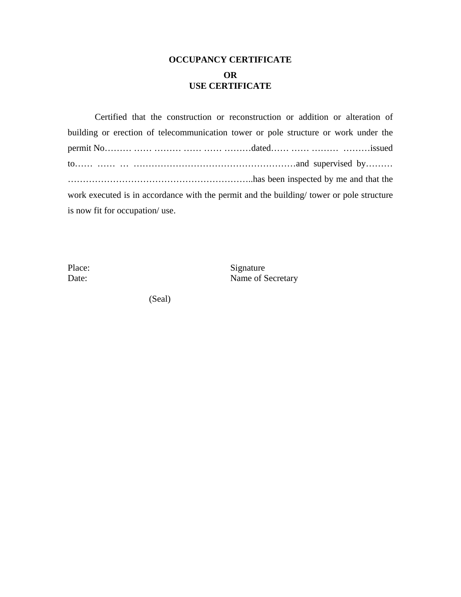# **OCCUPANCY CERTIFICATE OR USE CERTIFICATE**

 Certified that the construction or reconstruction or addition or alteration of building or erection of telecommunication tower or pole structure or work under the permit No……… …… ……… …… …… ………dated…… …… ……… ………issued to…… …… … ………………………………………………and supervised by……… ……………………………………………………..has been inspected by me and that the work executed is in accordance with the permit and the building/ tower or pole structure is now fit for occupation/ use.

Place: Signature Date: Name of Secretary

(Seal)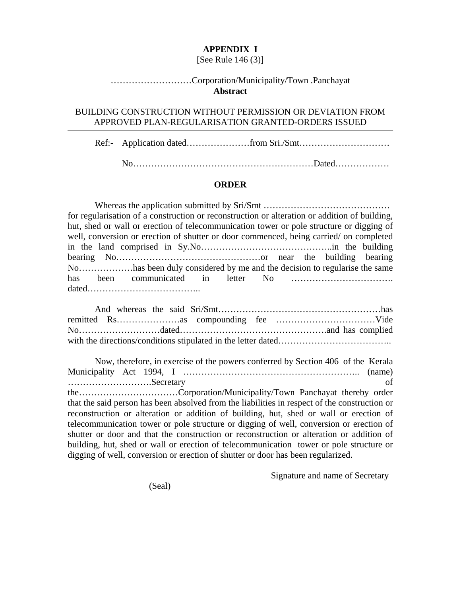#### **APPENDIX I**

#### [See Rule 146 (3)]

#### ………………………Corporation/Municipality/Town .Panchayat **Abstract**

#### BUILDING CONSTRUCTION WITHOUT PERMISSION OR DEVIATION FROM APPROVED PLAN-REGULARISATION GRANTED-ORDERS ISSUED

Ref:- Application dated…………………from Sri./Smt…………………………

No……………………………………………………Dated………………

#### **ORDER**

Whereas the application submitted by Sri/Smt …………………………………… for regularisation of a construction or reconstruction or alteration or addition of building, hut, shed or wall or erection of telecommunication tower or pole structure or digging of well, conversion or erection of shutter or door commenced, being carried/ on completed in the land comprised in Sy.No……………………………………..in the building bearing No…………………………………………or near the building bearing No………………has been duly considered by me and the decision to regularise the same has been communicated in letter No ……………………………. dated………………………………..

 Now, therefore, in exercise of the powers conferred by Section 406 of the Kerala Municipality Act 1994, I ………………………………………………….. (name) ……………………….Secretary of the……………………………Corporation/Municipality/Town Panchayat thereby order that the said person has been absolved from the liabilities in respect of the construction or reconstruction or alteration or addition of building, hut, shed or wall or erection of telecommunication tower or pole structure or digging of well, conversion or erection of shutter or door and that the construction or reconstruction or alteration or addition of building, hut, shed or wall or erection of telecommunication tower or pole structure or digging of well, conversion or erection of shutter or door has been regularized.

Signature and name of Secretary

(Seal)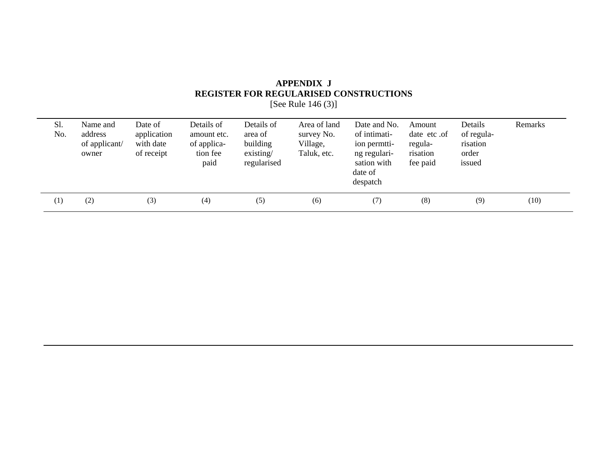# **APPENDIX J REGISTER FOR REGULARISED CONSTRUCTIONS**

[See Rule 146 (3)]

| Sl.<br>No. | Name and<br>address<br>of applicant/<br>owner | Date of<br>application<br>with date<br>of receipt | Details of<br>amount etc.<br>of applica-<br>tion fee<br>paid | Details of<br>area of<br>building<br>existsing/<br>regularised | Area of land<br>survey No.<br>Village,<br>Taluk, etc. | Date and No.<br>of intimati-<br>ion permiti-<br>ng regulari-<br>sation with<br>date of<br>despatch | Amount<br>date etc.of<br>regula-<br>risation<br>fee paid | Details<br>of regula-<br>risation<br>order<br>issued | Remarks |
|------------|-----------------------------------------------|---------------------------------------------------|--------------------------------------------------------------|----------------------------------------------------------------|-------------------------------------------------------|----------------------------------------------------------------------------------------------------|----------------------------------------------------------|------------------------------------------------------|---------|
| (1)        | (2)                                           | (3)                                               | (4)                                                          | (5)                                                            | (6)                                                   | (7)                                                                                                | (8)                                                      | (9)                                                  | (10)    |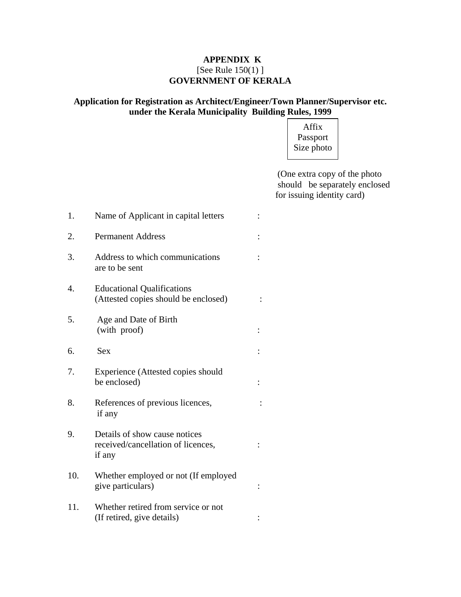### **APPENDIX K**  [See Rule 150(1) ] **GOVERNMENT OF KERALA**

#### **Application for Registration as Architect/Engineer/Town Planner/Supervisor etc. under the Kerala Municipality Building Rules, 1999**

Affix Passport Size photo

 (One extra copy of the photo should be separately enclosed for issuing identity card)

| 1.  | Name of Applicant in capital letters                                          |  |
|-----|-------------------------------------------------------------------------------|--|
| 2.  | <b>Permanent Address</b>                                                      |  |
| 3.  | Address to which communications<br>are to be sent                             |  |
| 4.  | <b>Educational Qualifications</b><br>(Attested copies should be enclosed)     |  |
| 5.  | Age and Date of Birth<br>(with proof)                                         |  |
| 6.  | <b>Sex</b>                                                                    |  |
| 7.  | Experience (Attested copies should<br>be enclosed)                            |  |
| 8.  | References of previous licences,<br>if any                                    |  |
| 9.  | Details of show cause notices<br>received/cancellation of licences,<br>if any |  |
| 10. | Whether employed or not (If employed<br>give particulars)                     |  |
| 11. | Whether retired from service or not<br>(If retired, give details)             |  |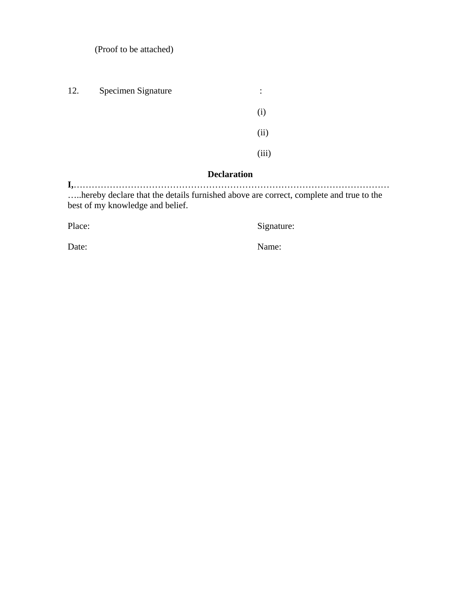(Proof to be attached)

| 12. | Specimen Signature | $\ddot{\cdot}$ |
|-----|--------------------|----------------|
|     |                    | (i)            |
|     |                    | (ii)           |
|     |                    | (iii)          |
|     |                    |                |

#### **Declaration**

**I,**…………………………………………………………………………………………… …..hereby declare that the details furnished above are correct, complete and true to the best of my knowledge and belief.

Place: Signature: Signature:

Date: Name: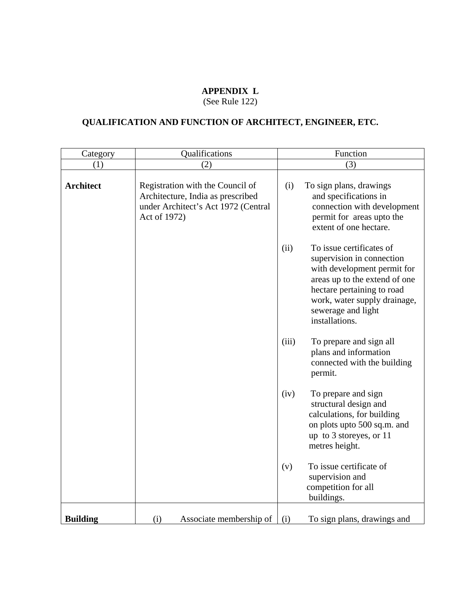### **APPENDIX L**

(See Rule 122)

# **QUALIFICATION AND FUNCTION OF ARCHITECT, ENGINEER, ETC.**

| Category         | Qualifications                                                                                                               | Function                                                                                                                                                                                                                            |  |  |  |
|------------------|------------------------------------------------------------------------------------------------------------------------------|-------------------------------------------------------------------------------------------------------------------------------------------------------------------------------------------------------------------------------------|--|--|--|
| (1)              | (2)                                                                                                                          | (3)                                                                                                                                                                                                                                 |  |  |  |
| <b>Architect</b> | Registration with the Council of<br>Architecture, India as prescribed<br>under Architect's Act 1972 (Central<br>Act of 1972) | To sign plans, drawings<br>(i)<br>and specifications in<br>connection with development<br>permit for areas upto the<br>extent of one hectare.                                                                                       |  |  |  |
|                  |                                                                                                                              | To issue certificates of<br>(ii)<br>supervision in connection<br>with development permit for<br>areas up to the extend of one<br>hectare pertaining to road<br>work, water supply drainage,<br>sewerage and light<br>installations. |  |  |  |
|                  |                                                                                                                              | (iii)<br>To prepare and sign all<br>plans and information<br>connected with the building<br>permit.                                                                                                                                 |  |  |  |
|                  |                                                                                                                              | (iv)<br>To prepare and sign<br>structural design and<br>calculations, for building<br>on plots upto 500 sq.m. and<br>up to 3 storeyes, or 11<br>metres height.                                                                      |  |  |  |
|                  |                                                                                                                              | To issue certificate of<br>(v)<br>supervision and<br>competition for all<br>buildings.                                                                                                                                              |  |  |  |
| <b>Building</b>  | (i)<br>Associate membership of                                                                                               | (i)<br>To sign plans, drawings and                                                                                                                                                                                                  |  |  |  |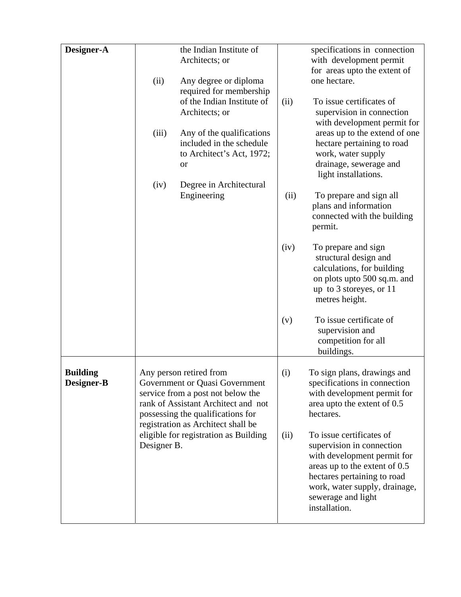| Designer-A                    |                                                      | the Indian Institute of<br>Architects; or                                                                                                                                                                        |      | specifications in connection<br>with development permit                                                                                                                                                                      |
|-------------------------------|------------------------------------------------------|------------------------------------------------------------------------------------------------------------------------------------------------------------------------------------------------------------------|------|------------------------------------------------------------------------------------------------------------------------------------------------------------------------------------------------------------------------------|
|                               | (ii)                                                 | Any degree or diploma<br>required for membership                                                                                                                                                                 |      | for areas upto the extent of<br>one hectare.                                                                                                                                                                                 |
|                               |                                                      | of the Indian Institute of<br>Architects; or                                                                                                                                                                     | (ii) | To issue certificates of<br>supervision in connection<br>with development permit for                                                                                                                                         |
|                               | (iii)                                                | Any of the qualifications<br>included in the schedule<br>to Architect's Act, 1972;<br>or                                                                                                                         |      | areas up to the extend of one<br>hectare pertaining to road<br>work, water supply<br>drainage, sewerage and<br>light installations.                                                                                          |
|                               | (iv)                                                 | Degree in Architectural<br>Engineering                                                                                                                                                                           | (ii) | To prepare and sign all<br>plans and information<br>connected with the building<br>permit.                                                                                                                                   |
|                               |                                                      |                                                                                                                                                                                                                  | (iv) | To prepare and sign<br>structural design and<br>calculations, for building<br>on plots upto 500 sq.m. and<br>up to 3 storeyes, or 11<br>metres height.                                                                       |
|                               |                                                      |                                                                                                                                                                                                                  | (v)  | To issue certificate of<br>supervision and<br>competition for all<br>buildings.                                                                                                                                              |
| <b>Building</b><br>Designer-B |                                                      | Any person retired from<br>Government or Quasi Government<br>service from a post not below the<br>rank of Assistant Architect and not<br>possessing the qualifications for<br>registration as Architect shall be | (i)  | To sign plans, drawings and<br>specifications in connection<br>with development permit for<br>area upto the extent of 0.5<br>hectares.                                                                                       |
|                               | eligible for registration as Building<br>Designer B. |                                                                                                                                                                                                                  | (ii) | To issue certificates of<br>supervision in connection<br>with development permit for<br>areas up to the extent of 0.5<br>hectares pertaining to road<br>work, water supply, drainage,<br>sewerage and light<br>installation. |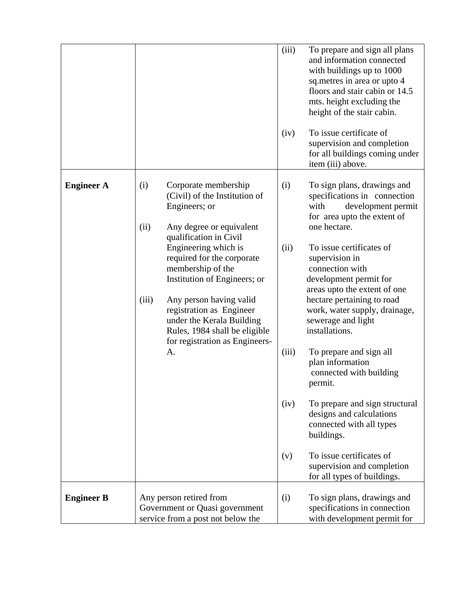|                   |                                                                                                                                                                                                                                                                                                                                                                                                                              | (iii)<br>To prepare and sign all plans<br>and information connected<br>with buildings up to 1000<br>sq. metres in area or upto 4<br>floors and stair cabin or 14.5<br>mts. height excluding the<br>height of the stair cabin.<br>To issue certificate of<br>(iv)<br>supervision and completion<br>for all buildings coming under<br>item (iii) above.                                                                                                                                                                                                                                                                                                                                                   |
|-------------------|------------------------------------------------------------------------------------------------------------------------------------------------------------------------------------------------------------------------------------------------------------------------------------------------------------------------------------------------------------------------------------------------------------------------------|---------------------------------------------------------------------------------------------------------------------------------------------------------------------------------------------------------------------------------------------------------------------------------------------------------------------------------------------------------------------------------------------------------------------------------------------------------------------------------------------------------------------------------------------------------------------------------------------------------------------------------------------------------------------------------------------------------|
| <b>Engineer A</b> | (i)<br>Corporate membership<br>(Civil) of the Institution of<br>Engineers; or<br>(ii)<br>Any degree or equivalent<br>qualification in Civil<br>Engineering which is<br>required for the corporate<br>membership of the<br>Institution of Engineers; or<br>(iii)<br>Any person having valid<br>registration as Engineer<br>under the Kerala Building<br>Rules, 1984 shall be eligible<br>for registration as Engineers-<br>A. | (i)<br>To sign plans, drawings and<br>specifications in connection<br>with<br>development permit<br>for area upto the extent of<br>one hectare.<br>(ii)<br>To issue certificates of<br>supervision in<br>connection with<br>development permit for<br>areas upto the extent of one<br>hectare pertaining to road<br>work, water supply, drainage,<br>sewerage and light<br>installations.<br>(iii)<br>To prepare and sign all<br>plan information<br>connected with building<br>permit.<br>(iv)<br>To prepare and sign structural<br>designs and calculations<br>connected with all types<br>buildings.<br>To issue certificates of<br>(v)<br>supervision and completion<br>for all types of buildings. |
| <b>Engineer B</b> | Any person retired from<br>Government or Quasi government<br>service from a post not below the                                                                                                                                                                                                                                                                                                                               | (i)<br>To sign plans, drawings and<br>specifications in connection<br>with development permit for                                                                                                                                                                                                                                                                                                                                                                                                                                                                                                                                                                                                       |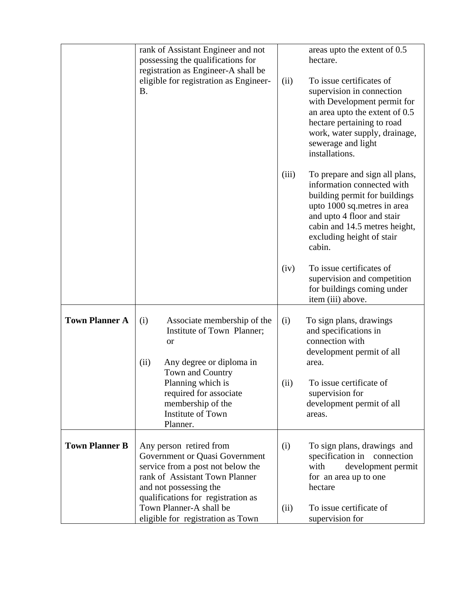|                       | rank of Assistant Engineer and not<br>possessing the qualifications for                                                                                                                          |       | areas upto the extent of 0.5<br>hectare.                                                                                                                                                                                           |  |  |
|-----------------------|--------------------------------------------------------------------------------------------------------------------------------------------------------------------------------------------------|-------|------------------------------------------------------------------------------------------------------------------------------------------------------------------------------------------------------------------------------------|--|--|
|                       | registration as Engineer-A shall be<br>eligible for registration as Engineer-<br><b>B.</b>                                                                                                       | (ii)  | To issue certificates of<br>supervision in connection<br>with Development permit for<br>an area upto the extent of 0.5<br>hectare pertaining to road<br>work, water supply, drainage,<br>sewerage and light<br>installations.      |  |  |
|                       |                                                                                                                                                                                                  | (iii) | To prepare and sign all plans,<br>information connected with<br>building permit for buildings<br>upto 1000 sq.metres in area<br>and upto 4 floor and stair<br>cabin and 14.5 metres height,<br>excluding height of stair<br>cabin. |  |  |
|                       |                                                                                                                                                                                                  | (iv)  | To issue certificates of<br>supervision and competition<br>for buildings coming under<br>item (iii) above.                                                                                                                         |  |  |
| <b>Town Planner A</b> | Associate membership of the<br>(i)<br>Institute of Town Planner;<br><b>or</b><br>Any degree or diploma in<br>(ii)                                                                                | (i)   | To sign plans, drawings<br>and specifications in<br>connection with<br>development permit of all<br>area.                                                                                                                          |  |  |
|                       | Town and Country<br>Planning which is<br>required for associate<br>membership of the<br>Institute of Town<br>Planner.                                                                            |       | To issue certificate of<br>supervision for<br>development permit of all<br>areas.                                                                                                                                                  |  |  |
| <b>Town Planner B</b> | Any person retired from<br>Government or Quasi Government<br>service from a post not below the<br>rank of Assistant Town Planner<br>and not possessing the<br>qualifications for registration as | (i)   | To sign plans, drawings and<br>specification in<br>connection<br>with<br>development permit<br>for an area up to one<br>hectare                                                                                                    |  |  |
|                       | Town Planner-A shall be<br>eligible for registration as Town                                                                                                                                     | (ii)  | To issue certificate of<br>supervision for                                                                                                                                                                                         |  |  |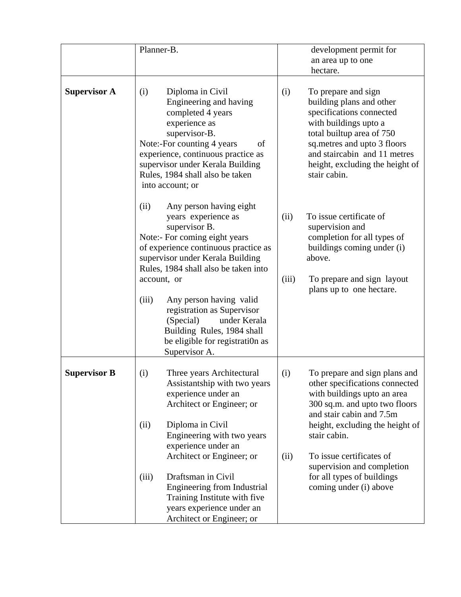|                     | Planner-B.                                                                                                                                                                                                                                                                    | development permit for<br>an area up to one<br>hectare.                                                                                                                                                                                                    |
|---------------------|-------------------------------------------------------------------------------------------------------------------------------------------------------------------------------------------------------------------------------------------------------------------------------|------------------------------------------------------------------------------------------------------------------------------------------------------------------------------------------------------------------------------------------------------------|
| <b>Supervisor A</b> | Diploma in Civil<br>(i)<br>Engineering and having<br>completed 4 years<br>experience as<br>supervisor-B.<br>Note:-For counting 4 years<br>of<br>experience, continuous practice as<br>supervisor under Kerala Building<br>Rules, 1984 shall also be taken<br>into account; or | (i)<br>To prepare and sign<br>building plans and other<br>specifications connected<br>with buildings upto a<br>total builtup area of 750<br>sq.metres and upto 3 floors<br>and staircabin and 11 metres<br>height, excluding the height of<br>stair cabin. |
|                     | Any person having eight<br>(ii)<br>years experience as<br>supervisor B.<br>Note:- For coming eight years<br>of experience continuous practice as<br>supervisor under Kerala Building<br>Rules, 1984 shall also be taken into<br>account, or                                   | To issue certificate of<br>(ii)<br>supervision and<br>completion for all types of<br>buildings coming under (i)<br>above.<br>(iii)<br>To prepare and sign layout                                                                                           |
|                     | Any person having valid<br>(iii)<br>registration as Supervisor<br>under Kerala<br>(Special)<br>Building Rules, 1984 shall<br>be eligible for registration as<br>Supervisor A.                                                                                                 | plans up to one hectare.                                                                                                                                                                                                                                   |
| <b>Supervisor B</b> | Three years Architectural<br>(i)<br>Assistantship with two years<br>experience under an<br>Architect or Engineer; or                                                                                                                                                          | To prepare and sign plans and<br>(i)<br>other specifications connected<br>with buildings upto an area<br>300 sq.m. and upto two floors<br>and stair cabin and 7.5m                                                                                         |
|                     | Diploma in Civil<br>(ii)<br>Engineering with two years<br>experience under an<br>Architect or Engineer; or                                                                                                                                                                    | height, excluding the height of<br>stair cabin.<br>To issue certificates of<br>(ii)<br>supervision and completion                                                                                                                                          |
|                     | Draftsman in Civil<br>(iii)<br>Engineering from Industrial<br>Training Institute with five<br>years experience under an<br>Architect or Engineer; or                                                                                                                          | for all types of buildings<br>coming under (i) above                                                                                                                                                                                                       |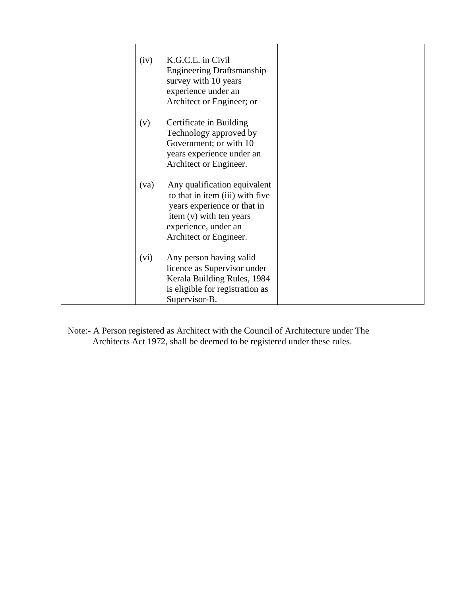| (iv) | K.G.C.E. in Civil<br><b>Engineering Draftsmanship</b><br>survey with 10 years<br>experience under an<br>Architect or Engineer; or                                           |  |
|------|-----------------------------------------------------------------------------------------------------------------------------------------------------------------------------|--|
| (v)  | Certificate in Building<br>Technology approved by<br>Government; or with 10<br>years experience under an<br>Architect or Engineer.                                          |  |
| (va) | Any qualification equivalent<br>to that in item (iii) with five<br>years experience or that in<br>item (v) with ten years<br>experience, under an<br>Architect or Engineer. |  |
| (vi) | Any person having valid<br>licence as Supervisor under<br>Kerala Building Rules, 1984<br>is eligible for registration as<br>Supervisor-B.                                   |  |

Note:- A Person registered as Architect with the Council of Architecture under The Architects Act 1972, shall be deemed to be registered under these rules.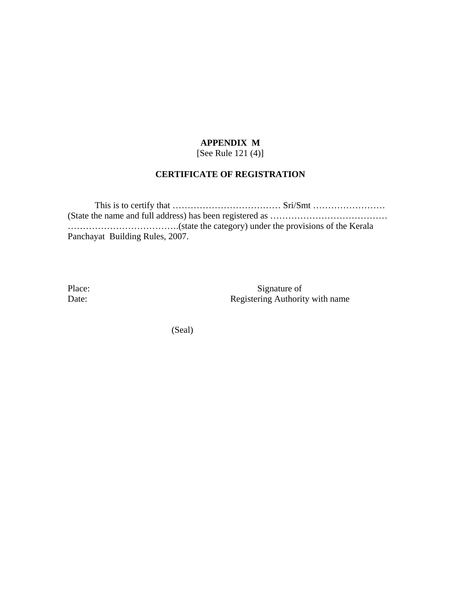#### **APPENDIX M**  [See Rule 121 (4)]

#### **CERTIFICATE OF REGISTRATION**

 This is to certify that ……………………………… Sri/Smt …………………… (State the name and full address) has been registered as ………………………………… ……………………………….(state the category) under the provisions of the Kerala Panchayat Building Rules, 2007.

Place: Signature of Date: Registering Authority with name

(Seal)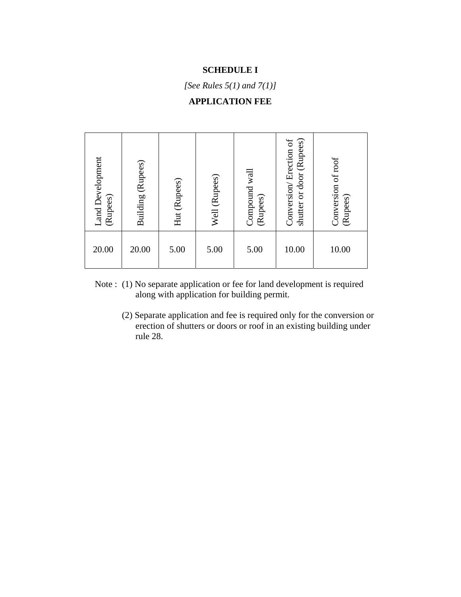#### **SCHEDULE I**

*[See Rules 5(1) and 7(1)]* 

# **APPLICATION FEE**

| <b>Land Development</b><br>(Rupees) | Building (Rupees) | Hut (Rupees) | Well (Rupees) | Compound wall<br>(Rupees) | (Rupees)<br>Conversion/Erection of<br>shutter or door | Conversion of roof<br>(Rupees) |
|-------------------------------------|-------------------|--------------|---------------|---------------------------|-------------------------------------------------------|--------------------------------|
| 20.00                               | 20.00             | 5.00         | 5.00          | 5.00                      | 10.00                                                 | 10.00                          |

- Note : (1) No separate application or fee for land development is required along with application for building permit.
	- (2) Separate application and fee is required only for the conversion or erection of shutters or doors or roof in an existing building under rule 28.